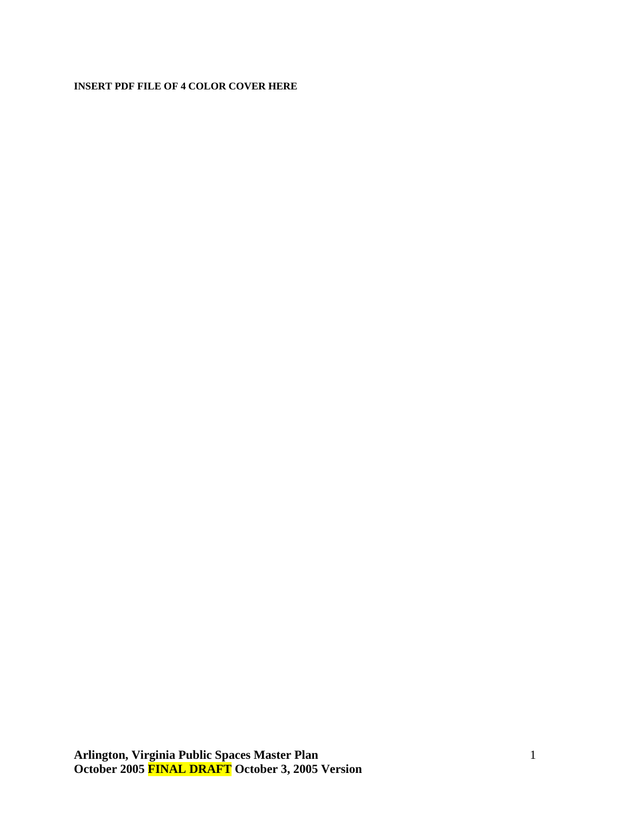#### **INSERT PDF FILE OF 4 COLOR COVER HERE**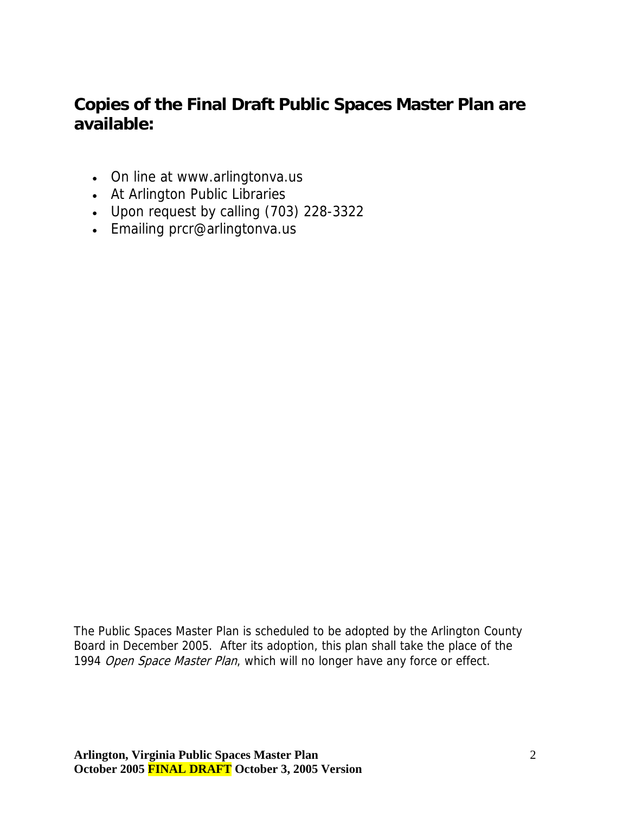# **Copies of the Final Draft Public Spaces Master Plan are available:**

- On line at [www.arlingtonva.us](http://www.arlingtonva.us/)
- At Arlington Public Libraries
- Upon request by calling (703) 228-3322
- Emailing [prcr@arlingtonva.us](mailto:prcr@arlingtonva.us)

The Public Spaces Master Plan is scheduled to be adopted by the Arlington County Board in December 2005. After its adoption, this plan shall take the place of the 1994 Open Space Master Plan, which will no longer have any force or effect.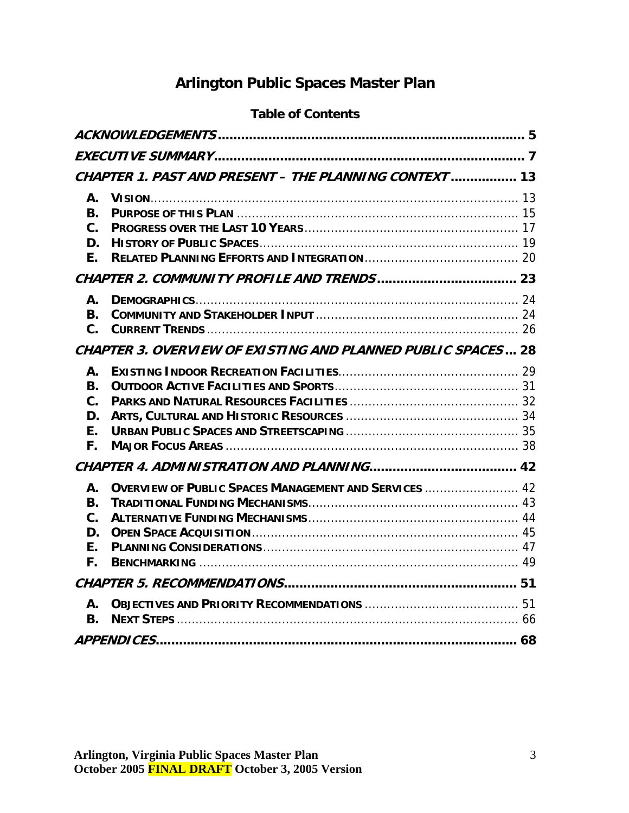# **Arlington Public Spaces Master Plan**

## **Table of Contents**

| CHAPTER 1. PAST AND PRESENT - THE PLANNING CONTEXT  13                                                       |  |
|--------------------------------------------------------------------------------------------------------------|--|
| Α.<br><b>B.</b><br>$\mathbf{C}$ .<br>D.<br>Е.                                                                |  |
|                                                                                                              |  |
| А.<br><b>B.</b><br>$\mathbf{C}$ .                                                                            |  |
| <b>CHAPTER 3. OVERVIEW OF EXISTING AND PLANNED PUBLIC SPACES 28</b>                                          |  |
| А.<br><b>B.</b><br>C.<br>D.<br>Ε.<br>F.                                                                      |  |
|                                                                                                              |  |
| <b>OVERVIEW OF PUBLIC SPACES MANAGEMENT AND SERVICES  42</b><br>А.<br>В.<br>$\mathbf{C}$ .<br>D.<br>F.<br>F. |  |
|                                                                                                              |  |
| А.<br>В.                                                                                                     |  |
|                                                                                                              |  |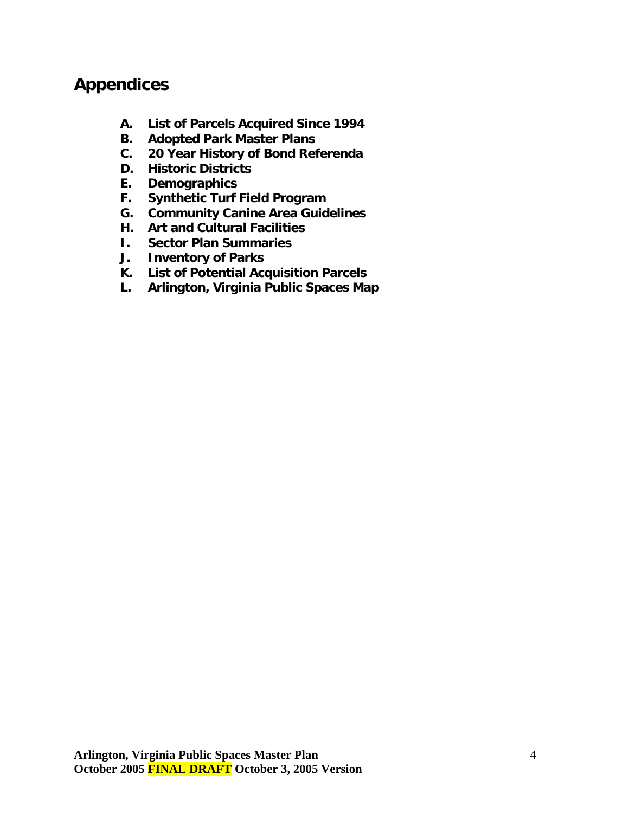# **Appendices**

- **A. List of Parcels Acquired Since 1994**
- **B. Adopted Park Master Plans**
- **C. 20 Year History of Bond Referenda**
- **D. Historic Districts**
- **E. Demographics**
- **F. Synthetic Turf Field Program**
- **G. Community Canine Area Guidelines**
- **H. Art and Cultural Facilities**
- **I. Sector Plan Summaries**
- **J. Inventory of Parks**
- **K. List of Potential Acquisition Parcels**
- **L. Arlington, Virginia Public Spaces Map**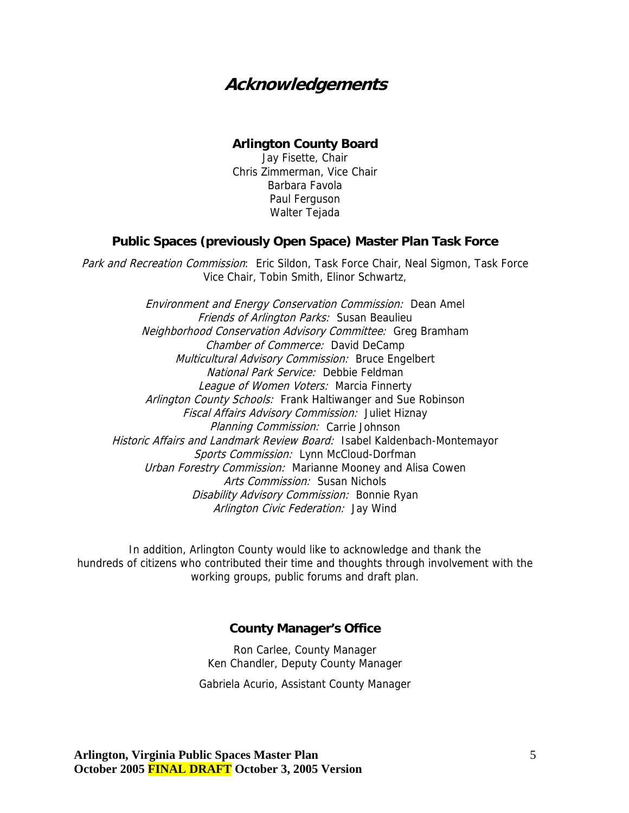# <span id="page-4-0"></span>**Acknowledgements**

#### **Arlington County Board**

Jay Fisette, Chair Chris Zimmerman, Vice Chair Barbara Favola Paul Ferguson Walter Tejada

#### **Public Spaces (previously Open Space) Master Plan Task Force**

Park and Recreation Commission: Eric Sildon, Task Force Chair, Neal Sigmon, Task Force Vice Chair, Tobin Smith, Elinor Schwartz,

Friends of Arlington Parks: Susan Beaulieu Neighborhood Conservation Advisory Committee: Greg Bramham National Park Service: Debbie Feldman League of Women Voters: Marcia Finnerty Historic Affairs and Landmark Review Board: Isabel Kaldenbach-Montemayor Urban Forestry Commission: Marianne Mooney and Alisa Cowen Environment and Energy Conservation Commission: Dean Amel Chamber of Commerce: David DeCamp Multicultural Advisory Commission: Bruce Engelbert Arlington County Schools: Frank Haltiwanger and Sue Robinson Fiscal Affairs Advisory Commission: Juliet Hiznay Planning Commission: Carrie Johnson Sports Commission: Lynn McCloud-Dorfman Arts Commission: Susan Nichols Disability Advisory Commission: Bonnie Ryan Arlington Civic Federation: Jay Wind

In addition, Arlington County would like to acknowledge and thank the hundreds of citizens who contributed their time and thoughts through involvement with the working groups, public forums and draft plan.

#### **County Manager's Office**

Ron Carlee, County Manager Ken Chandler, Deputy County Manager

Gabriela Acurio, Assistant County Manager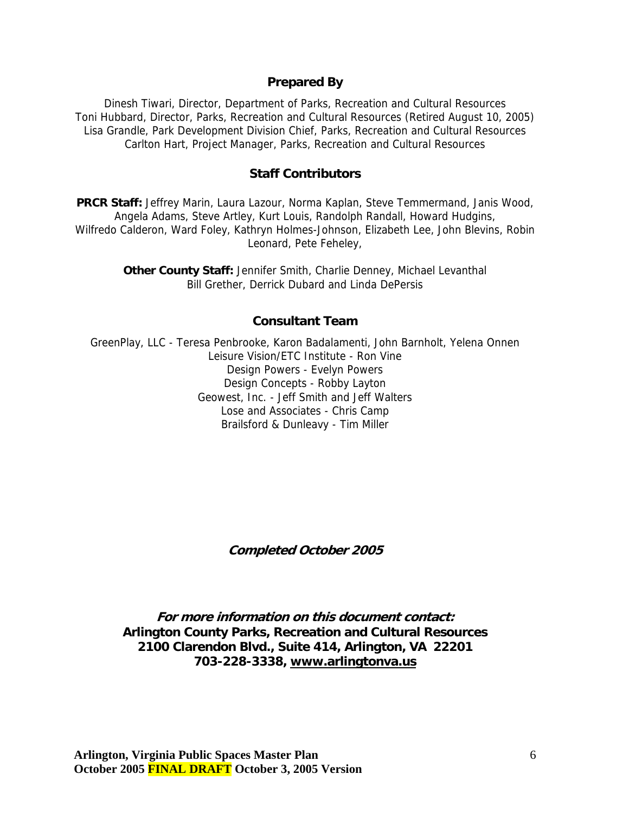#### **Prepared By**

Dinesh Tiwari, Director, Department of Parks, Recreation and Cultural Resources Toni Hubbard, Director, Parks, Recreation and Cultural Resources (Retired August 10, 2005) Lisa Grandle, Park Development Division Chief, Parks, Recreation and Cultural Resources Carlton Hart, Project Manager, Parks, Recreation and Cultural Resources

#### **Staff Contributors**

**PRCR Staff:** Jeffrey Marin, Laura Lazour, Norma Kaplan, Steve Temmermand, Janis Wood, Angela Adams, Steve Artley, Kurt Louis, Randolph Randall, Howard Hudgins, Wilfredo Calderon, Ward Foley, Kathryn Holmes-Johnson, Elizabeth Lee, John Blevins, Robin Leonard, Pete Feheley,

> **Other County Staff:** Jennifer Smith, Charlie Denney, Michael Levanthal Bill Grether, Derrick Dubard and Linda DePersis

#### **Consultant Team**

GreenPlay, LLC - Teresa Penbrooke, Karon Badalamenti, John Barnholt, Yelena Onnen Leisure Vision/ETC Institute - Ron Vine Design Powers - Evelyn Powers Design Concepts - Robby Layton Geowest, Inc. - Jeff Smith and Jeff Walters Lose and Associates - Chris Camp Brailsford & Dunleavy - Tim Miller

**Completed October 2005** 

**For more information on this document contact: Arlington County Parks, Recreation and Cultural Resources 2100 Clarendon Blvd., Suite 414, Arlington, VA 22201 703-228-3338, [www.arlingtonva.us](http://www.arlingtonva.us/)**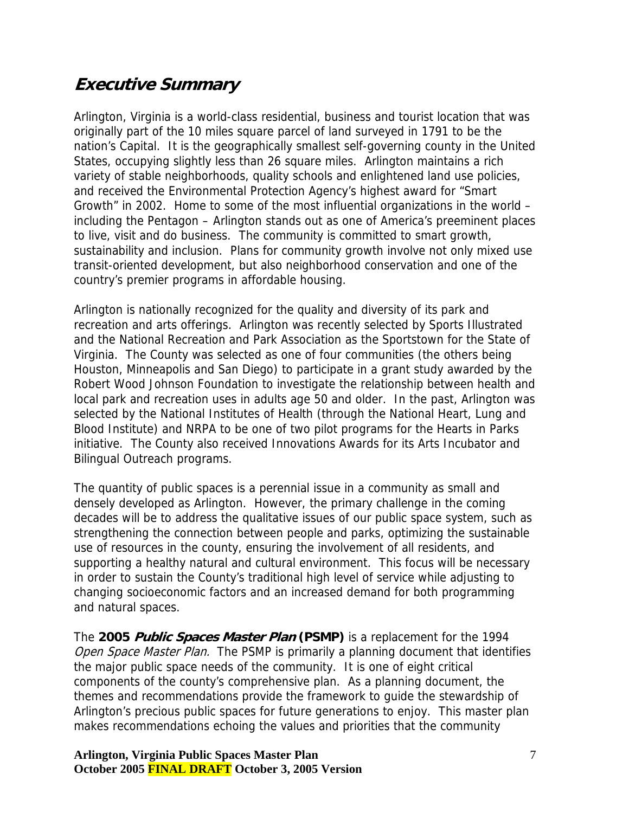# <span id="page-6-0"></span>**Executive Summary**

Arlington, Virginia is a world-class residential, business and tourist location that was originally part of the 10 miles square parcel of land surveyed in 1791 to be the nation's Capital. It is the geographically smallest self-governing county in the United States, occupying slightly less than 26 square miles. Arlington maintains a rich variety of stable neighborhoods, quality schools and enlightened land use policies, and received the Environmental Protection Agency's highest award for "Smart Growth" in 2002. Home to some of the most influential organizations in the world – including the Pentagon – Arlington stands out as one of America's preeminent places to live, visit and do business. The community is committed to smart growth, sustainability and inclusion. Plans for community growth involve not only mixed use transit-oriented development, but also neighborhood conservation and one of the country's premier programs in affordable housing.

Arlington is nationally recognized for the quality and diversity of its park and recreation and arts offerings. Arlington was recently selected by Sports Illustrated and the National Recreation and Park Association as the Sportstown for the State of Virginia. The County was selected as one of four communities (the others being Houston, Minneapolis and San Diego) to participate in a grant study awarded by the Robert Wood Johnson Foundation to investigate the relationship between health and local park and recreation uses in adults age 50 and older. In the past, Arlington was selected by the National Institutes of Health (through the National Heart, Lung and Blood Institute) and NRPA to be one of two pilot programs for the Hearts in Parks initiative. The County also received Innovations Awards for its Arts Incubator and Bilingual Outreach programs.

The quantity of public spaces is a perennial issue in a community as small and densely developed as Arlington. However, the primary challenge in the coming decades will be to address the qualitative issues of our public space system, such as strengthening the connection between people and parks, optimizing the sustainable use of resources in the county, ensuring the involvement of all residents, and supporting a healthy natural and cultural environment. This focus will be necessary in order to sustain the County's traditional high level of service while adjusting to changing socioeconomic factors and an increased demand for both programming and natural spaces.

The **2005 Public Spaces Master Plan (PSMP)** is a replacement for the 1994 Open Space Master Plan.The PSMP is primarily a planning document that identifies the major public space needs of the community. It is one of eight critical components of the county's comprehensive plan. As a planning document, the themes and recommendations provide the framework to guide the stewardship of Arlington's precious public spaces for future generations to enjoy. This master plan makes recommendations echoing the values and priorities that the community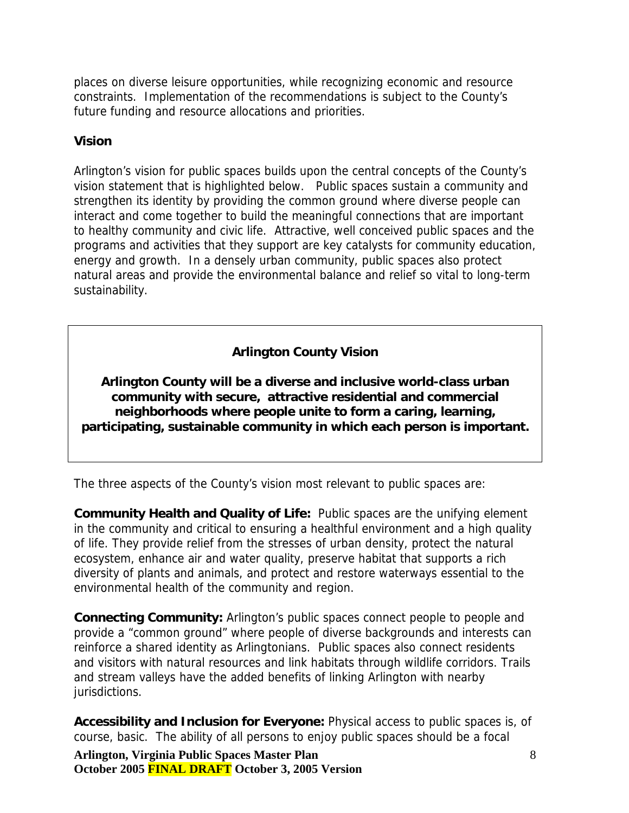places on diverse leisure opportunities, while recognizing economic and resource constraints. Implementation of the recommendations is subject to the County's future funding and resource allocations and priorities.

#### **Vision**

Arlington's vision for public spaces builds upon the central concepts of the County's vision statement that is highlighted below. Public spaces sustain a community and strengthen its identity by providing the common ground where diverse people can interact and come together to build the meaningful connections that are important to healthy community and civic life. Attractive, well conceived public spaces and the programs and activities that they support are key catalysts for community education, energy and growth. In a densely urban community, public spaces also protect natural areas and provide the environmental balance and relief so vital to long-term sustainability.

## **Arlington County Vision**

**Arlington County will be a diverse and inclusive world-class urban community with secure, attractive residential and commercial neighborhoods where people unite to form a caring, learning, participating, sustainable community in which each person is important.** 

The three aspects of the County's vision most relevant to public spaces are:

**Community Health and Quality of Life:** Public spaces are the unifying element in the community and critical to ensuring a healthful environment and a high quality of life. They provide relief from the stresses of urban density, protect the natural ecosystem, enhance air and water quality, preserve habitat that supports a rich diversity of plants and animals, and protect and restore waterways essential to the environmental health of the community and region.

**Connecting Community:** Arlington's public spaces connect people to people and provide a "common ground" where people of diverse backgrounds and interests can reinforce a shared identity as Arlingtonians. Public spaces also connect residents and visitors with natural resources and link habitats through wildlife corridors. Trails and stream valleys have the added benefits of linking Arlington with nearby jurisdictions.

**Accessibility and Inclusion for Everyone:** Physical access to public spaces is, of course, basic. The ability of all persons to enjoy public spaces should be a focal

**Arlington, Virginia Public Spaces Master Plan October 2005 FINAL DRAFT October 3, 2005 Version**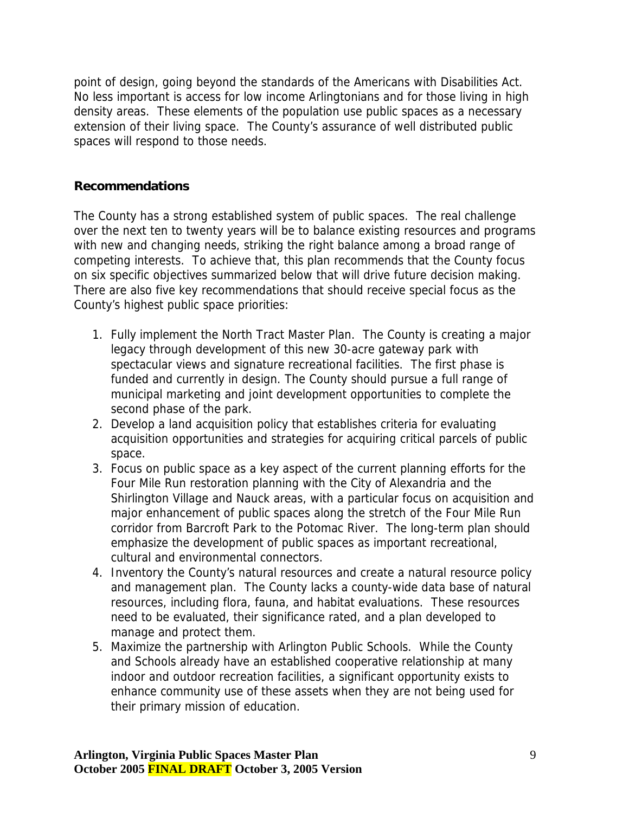point of design, going beyond the standards of the Americans with Disabilities Act. No less important is access for low income Arlingtonians and for those living in high density areas. These elements of the population use public spaces as a necessary extension of their living space. The County's assurance of well distributed public spaces will respond to those needs.

#### **Recommendations**

The County has a strong established system of public spaces. The real challenge over the next ten to twenty years will be to balance existing resources and programs with new and changing needs, striking the right balance among a broad range of competing interests. To achieve that, this plan recommends that the County focus on six specific objectives summarized below that will drive future decision making. There are also five key recommendations that should receive special focus as the County's highest public space priorities:

- 1. Fully implement the North Tract Master Plan. The County is creating a major legacy through development of this new 30-acre gateway park with spectacular views and signature recreational facilities. The first phase is funded and currently in design. The County should pursue a full range of municipal marketing and joint development opportunities to complete the second phase of the park.
- 2. Develop a land acquisition policy that establishes criteria for evaluating acquisition opportunities and strategies for acquiring critical parcels of public space.
- 3. Focus on public space as a key aspect of the current planning efforts for the Four Mile Run restoration planning with the City of Alexandria and the Shirlington Village and Nauck areas, with a particular focus on acquisition and major enhancement of public spaces along the stretch of the Four Mile Run corridor from Barcroft Park to the Potomac River. The long-term plan should emphasize the development of public spaces as important recreational, cultural and environmental connectors.
- 4. Inventory the County's natural resources and create a natural resource policy and management plan. The County lacks a county-wide data base of natural resources, including flora, fauna, and habitat evaluations. These resources need to be evaluated, their significance rated, and a plan developed to manage and protect them.
- 5. Maximize the partnership with Arlington Public Schools. While the County and Schools already have an established cooperative relationship at many indoor and outdoor recreation facilities, a significant opportunity exists to enhance community use of these assets when they are not being used for their primary mission of education.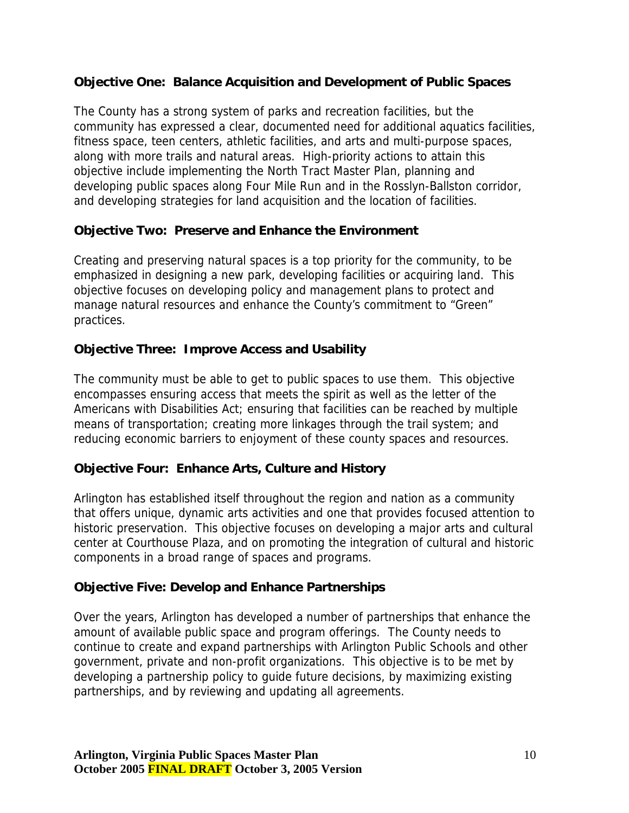#### **Objective One: Balance Acquisition and Development of Public Spaces**

The County has a strong system of parks and recreation facilities, but the community has expressed a clear, documented need for additional aquatics facilities, fitness space, teen centers, athletic facilities, and arts and multi-purpose spaces, along with more trails and natural areas. High-priority actions to attain this objective include implementing the North Tract Master Plan, planning and developing public spaces along Four Mile Run and in the Rosslyn-Ballston corridor, and developing strategies for land acquisition and the location of facilities.

### **Objective Two: Preserve and Enhance the Environment**

Creating and preserving natural spaces is a top priority for the community, to be emphasized in designing a new park, developing facilities or acquiring land. This objective focuses on developing policy and management plans to protect and manage natural resources and enhance the County's commitment to "Green" practices.

## **Objective Three: Improve Access and Usability**

The community must be able to get to public spaces to use them. This objective encompasses ensuring access that meets the spirit as well as the letter of the Americans with Disabilities Act; ensuring that facilities can be reached by multiple means of transportation; creating more linkages through the trail system; and reducing economic barriers to enjoyment of these county spaces and resources.

## **Objective Four: Enhance Arts, Culture and History**

Arlington has established itself throughout the region and nation as a community that offers unique, dynamic arts activities and one that provides focused attention to historic preservation. This objective focuses on developing a major arts and cultural center at Courthouse Plaza, and on promoting the integration of cultural and historic components in a broad range of spaces and programs.

## **Objective Five: Develop and Enhance Partnerships**

Over the years, Arlington has developed a number of partnerships that enhance the amount of available public space and program offerings. The County needs to continue to create and expand partnerships with Arlington Public Schools and other government, private and non-profit organizations. This objective is to be met by developing a partnership policy to guide future decisions, by maximizing existing partnerships, and by reviewing and updating all agreements.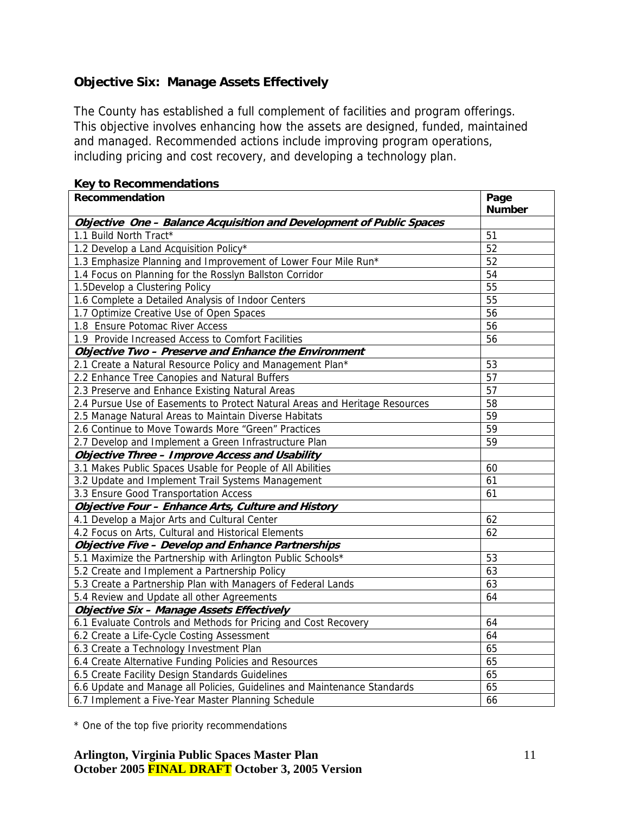## **Objective Six: Manage Assets Effectively**

The County has established a full complement of facilities and program offerings. This objective involves enhancing how the assets are designed, funded, maintained and managed. Recommended actions include improving program operations, including pricing and cost recovery, and developing a technology plan.

| Recommendation                                                              | Page<br><b>Number</b> |
|-----------------------------------------------------------------------------|-----------------------|
| Objective One - Balance Acquisition and Development of Public Spaces        |                       |
| 1.1 Build North Tract*                                                      | 51                    |
| 1.2 Develop a Land Acquisition Policy*                                      | 52                    |
| 1.3 Emphasize Planning and Improvement of Lower Four Mile Run*              | 52                    |
| 1.4 Focus on Planning for the Rosslyn Ballston Corridor                     | 54                    |
| 1.5Develop a Clustering Policy                                              | 55                    |
| 1.6 Complete a Detailed Analysis of Indoor Centers                          | 55                    |
| 1.7 Optimize Creative Use of Open Spaces                                    | 56                    |
| 1.8 Ensure Potomac River Access                                             | 56                    |
| 1.9 Provide Increased Access to Comfort Facilities                          | 56                    |
| Objective Two - Preserve and Enhance the Environment                        |                       |
| 2.1 Create a Natural Resource Policy and Management Plan*                   | 53                    |
| 2.2 Enhance Tree Canopies and Natural Buffers                               | 57                    |
| 2.3 Preserve and Enhance Existing Natural Areas                             | 57                    |
| 2.4 Pursue Use of Easements to Protect Natural Areas and Heritage Resources | 58                    |
| 2.5 Manage Natural Areas to Maintain Diverse Habitats                       | 59                    |
| 2.6 Continue to Move Towards More "Green" Practices                         | 59                    |
| 2.7 Develop and Implement a Green Infrastructure Plan                       | 59                    |
| <b>Objective Three - Improve Access and Usability</b>                       |                       |
| 3.1 Makes Public Spaces Usable for People of All Abilities                  | 60                    |
| 3.2 Update and Implement Trail Systems Management                           | 61                    |
| 3.3 Ensure Good Transportation Access                                       | 61                    |
| Objective Four - Enhance Arts, Culture and History                          |                       |
| 4.1 Develop a Major Arts and Cultural Center                                | 62                    |
| 4.2 Focus on Arts, Cultural and Historical Elements                         | 62                    |
| <b>Objective Five - Develop and Enhance Partnerships</b>                    |                       |
| 5.1 Maximize the Partnership with Arlington Public Schools*                 | 53                    |
| 5.2 Create and Implement a Partnership Policy                               | 63                    |
| 5.3 Create a Partnership Plan with Managers of Federal Lands                | 63                    |
| 5.4 Review and Update all other Agreements                                  | 64                    |
| Objective Six - Manage Assets Effectively                                   |                       |
| 6.1 Evaluate Controls and Methods for Pricing and Cost Recovery             | 64                    |
| 6.2 Create a Life-Cycle Costing Assessment                                  | 64                    |
| 6.3 Create a Technology Investment Plan                                     | 65                    |
| 6.4 Create Alternative Funding Policies and Resources                       | 65                    |
| 6.5 Create Facility Design Standards Guidelines                             | 65                    |
| 6.6 Update and Manage all Policies, Guidelines and Maintenance Standards    | 65                    |
| 6.7 Implement a Five-Year Master Planning Schedule                          | 66                    |

#### **Key to Recommendations**

\* One of the top five priority recommendations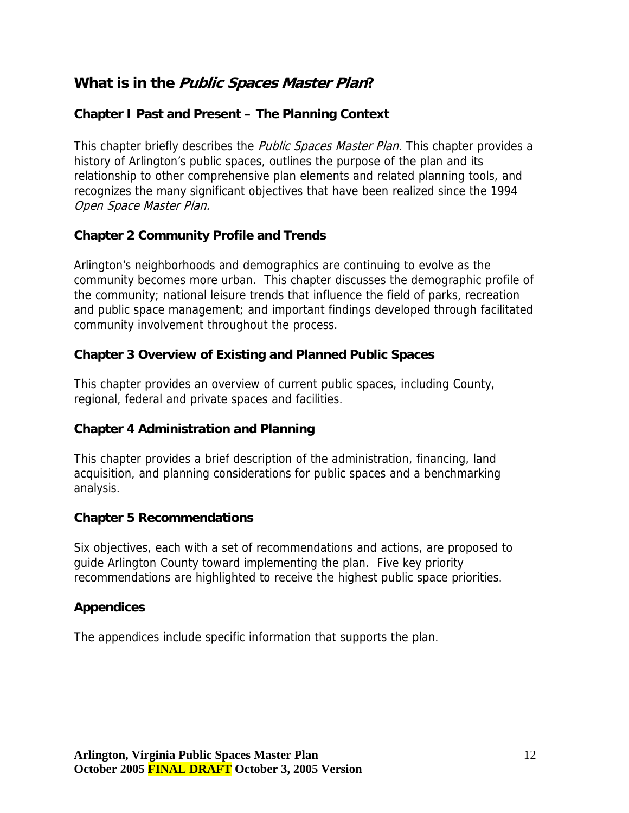## **What is in the Public Spaces Master Plan?**

### **Chapter I Past and Present – The Planning Context**

This chapter briefly describes the *Public Spaces Master Plan.* This chapter provides a history of Arlington's public spaces, outlines the purpose of the plan and its relationship to other comprehensive plan elements and related planning tools, and recognizes the many significant objectives that have been realized since the 1994 Open Space Master Plan.

#### **Chapter 2 Community Profile and Trends**

Arlington's neighborhoods and demographics are continuing to evolve as the community becomes more urban. This chapter discusses the demographic profile of the community; national leisure trends that influence the field of parks, recreation and public space management; and important findings developed through facilitated community involvement throughout the process.

#### **Chapter 3 Overview of Existing and Planned Public Spaces**

This chapter provides an overview of current public spaces, including County, regional, federal and private spaces and facilities.

#### **Chapter 4 Administration and Planning**

This chapter provides a brief description of the administration, financing, land acquisition, and planning considerations for public spaces and a benchmarking analysis.

#### **Chapter 5 Recommendations**

Six objectives, each with a set of recommendations and actions, are proposed to guide Arlington County toward implementing the plan. Five key priority recommendations are highlighted to receive the highest public space priorities.

#### **Appendices**

The appendices include specific information that supports the plan.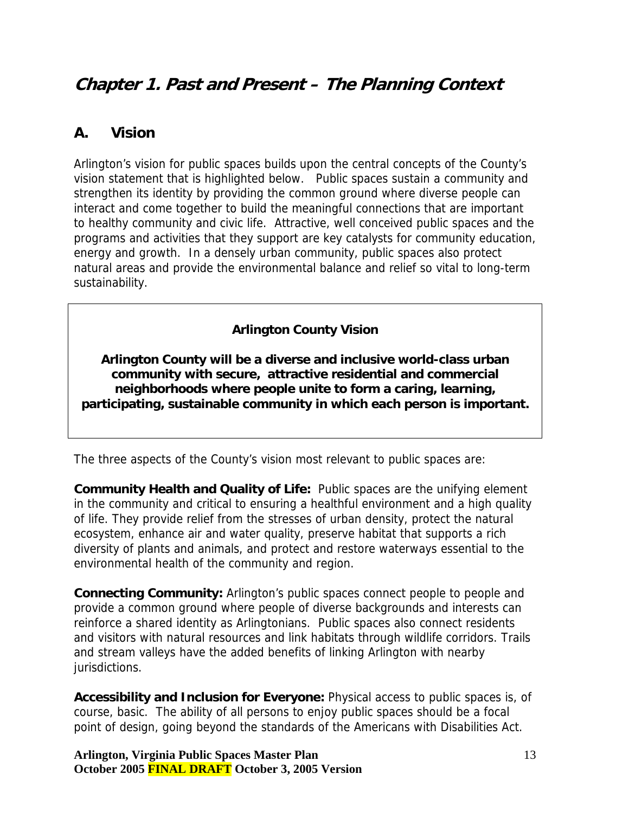# <span id="page-12-0"></span>**Chapter 1. Past and Present – The Planning Context**

## **A. Vision**

Arlington's vision for public spaces builds upon the central concepts of the County's vision statement that is highlighted below. Public spaces sustain a community and strengthen its identity by providing the common ground where diverse people can interact and come together to build the meaningful connections that are important to healthy community and civic life. Attractive, well conceived public spaces and the programs and activities that they support are key catalysts for community education, energy and growth. In a densely urban community, public spaces also protect natural areas and provide the environmental balance and relief so vital to long-term sustainability.

### **Arlington County Vision**

**Arlington County will be a diverse and inclusive world-class urban community with secure, attractive residential and commercial neighborhoods where people unite to form a caring, learning, participating, sustainable community in which each person is important.** 

The three aspects of the County's vision most relevant to public spaces are:

**Community Health and Quality of Life:** Public spaces are the unifying element in the community and critical to ensuring a healthful environment and a high quality of life. They provide relief from the stresses of urban density, protect the natural ecosystem, enhance air and water quality, preserve habitat that supports a rich diversity of plants and animals, and protect and restore waterways essential to the environmental health of the community and region.

**Connecting Community:** Arlington's public spaces connect people to people and provide a common ground where people of diverse backgrounds and interests can reinforce a shared identity as Arlingtonians. Public spaces also connect residents and visitors with natural resources and link habitats through wildlife corridors. Trails and stream valleys have the added benefits of linking Arlington with nearby jurisdictions.

**Accessibility and Inclusion for Everyone:** Physical access to public spaces is, of course, basic. The ability of all persons to enjoy public spaces should be a focal point of design, going beyond the standards of the Americans with Disabilities Act.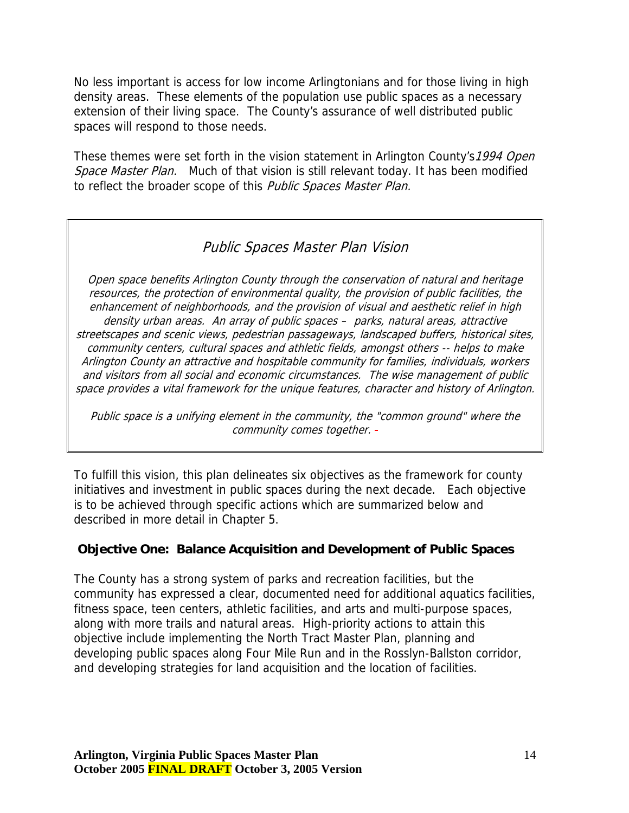No less important is access for low income Arlingtonians and for those living in high density areas. These elements of the population use public spaces as a necessary extension of their living space. The County's assurance of well distributed public spaces will respond to those needs.

These themes were set forth in the vision statement in Arlington County's 1994 Open Space Master Plan. Much of that vision is still relevant today. It has been modified to reflect the broader scope of this Public Spaces Master Plan.

## Public Spaces Master Plan Vision

Open space benefits Arlington County through the conservation of natural and heritage resources, the protection of environmental quality, the provision of public facilities, the enhancement of neighborhoods, and the provision of visual and aesthetic relief in high density urban areas. An array of public spaces – parks, natural areas, attractive streetscapes and scenic views, pedestrian passageways, landscaped buffers, historical sites, community centers, cultural spaces and athletic fields, amongst others -- helps to make Arlington County an attractive and hospitable community for families, individuals, workers and visitors from all social and economic circumstances. The wise management of public space provides a vital framework for the unique features, character and history of Arlington.

Public space is a unifying element in the community, the "common ground" where the community comes together. -

To fulfill this vision, this plan delineates six objectives as the framework for county initiatives and investment in public spaces during the next decade. Each objective is to be achieved through specific actions which are summarized below and described in more detail in Chapter 5.

#### **Objective One: Balance Acquisition and Development of Public Spaces**

The County has a strong system of parks and recreation facilities, but the community has expressed a clear, documented need for additional aquatics facilities, fitness space, teen centers, athletic facilities, and arts and multi-purpose spaces, along with more trails and natural areas. High-priority actions to attain this objective include implementing the North Tract Master Plan, planning and developing public spaces along Four Mile Run and in the Rosslyn-Ballston corridor, and developing strategies for land acquisition and the location of facilities.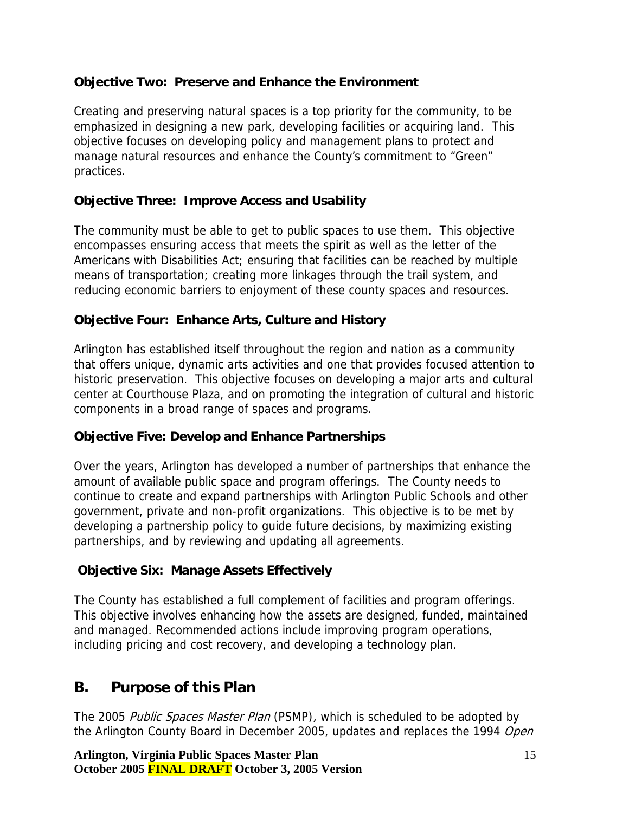### <span id="page-14-0"></span>**Objective Two: Preserve and Enhance the Environment**

Creating and preserving natural spaces is a top priority for the community, to be emphasized in designing a new park, developing facilities or acquiring land. This objective focuses on developing policy and management plans to protect and manage natural resources and enhance the County's commitment to "Green" practices.

### **Objective Three: Improve Access and Usability**

The community must be able to get to public spaces to use them. This objective encompasses ensuring access that meets the spirit as well as the letter of the Americans with Disabilities Act; ensuring that facilities can be reached by multiple means of transportation; creating more linkages through the trail system, and reducing economic barriers to enjoyment of these county spaces and resources.

### **Objective Four: Enhance Arts, Culture and History**

Arlington has established itself throughout the region and nation as a community that offers unique, dynamic arts activities and one that provides focused attention to historic preservation. This objective focuses on developing a major arts and cultural center at Courthouse Plaza, and on promoting the integration of cultural and historic components in a broad range of spaces and programs.

## **Objective Five: Develop and Enhance Partnerships**

Over the years, Arlington has developed a number of partnerships that enhance the amount of available public space and program offerings. The County needs to continue to create and expand partnerships with Arlington Public Schools and other government, private and non-profit organizations. This objective is to be met by developing a partnership policy to guide future decisions, by maximizing existing partnerships, and by reviewing and updating all agreements.

## **Objective Six: Manage Assets Effectively**

The County has established a full complement of facilities and program offerings. This objective involves enhancing how the assets are designed, funded, maintained and managed. Recommended actions include improving program operations, including pricing and cost recovery, and developing a technology plan.

## **B. Purpose of this Plan**

The 2005 Public Spaces Master Plan (PSMP), which is scheduled to be adopted by the Arlington County Board in December 2005, updates and replaces the 1994 Open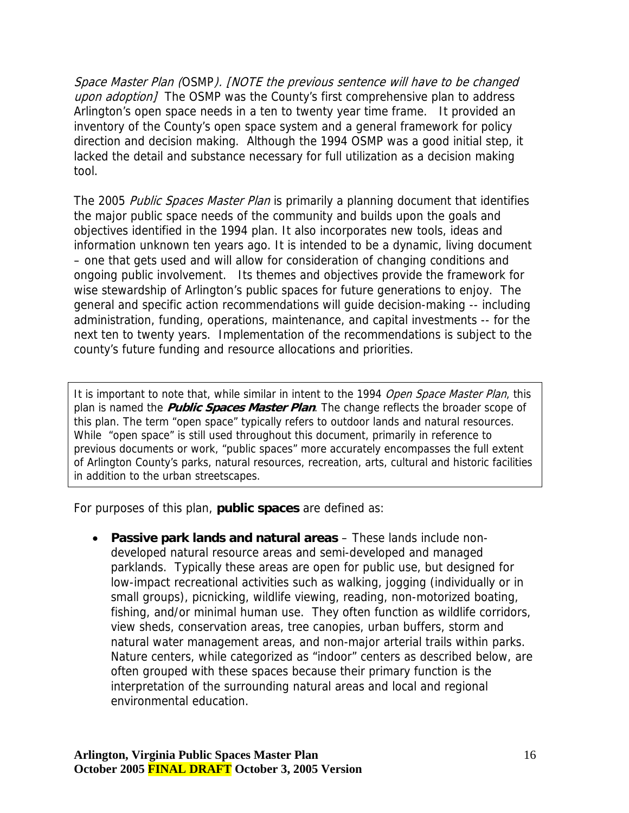Space Master Plan (OSMP). [NOTE the previous sentence will have to be changed upon adoption] The OSMP was the County's first comprehensive plan to address Arlington's open space needs in a ten to twenty year time frame. It provided an inventory of the County's open space system and a general framework for policy direction and decision making. Although the 1994 OSMP was a good initial step, it lacked the detail and substance necessary for full utilization as a decision making tool.

The 2005 Public Spaces Master Plan is primarily a planning document that identifies the major public space needs of the community and builds upon the goals and objectives identified in the 1994 plan. It also incorporates new tools, ideas and information unknown ten years ago. It is intended to be a dynamic, living document – one that gets used and will allow for consideration of changing conditions and ongoing public involvement. Its themes and objectives provide the framework for wise stewardship of Arlington's public spaces for future generations to enjoy. The general and specific action recommendations will guide decision-making -- including administration, funding, operations, maintenance, and capital investments -- for the next ten to twenty years. Implementation of the recommendations is subject to the county's future funding and resource allocations and priorities.

It is important to note that, while similar in intent to the 1994 Open Space Master Plan, this plan is named the **Public Spaces Master Plan**. The change reflects the broader scope of this plan. The term "open space" typically refers to outdoor lands and natural resources. While "open space" is still used throughout this document, primarily in reference to previous documents or work, "public spaces" more accurately encompasses the full extent of Arlington County's parks, natural resources, recreation, arts, cultural and historic facilities in addition to the urban streetscapes.

For purposes of this plan, **public spaces** are defined as:

• **Passive park lands and natural areas** – These lands include nondeveloped natural resource areas and semi-developed and managed parklands. Typically these areas are open for public use, but designed for low-impact recreational activities such as walking, jogging (individually or in small groups), picnicking, wildlife viewing, reading, non-motorized boating, fishing, and/or minimal human use. They often function as wildlife corridors, view sheds, conservation areas, tree canopies, urban buffers, storm and natural water management areas, and non-major arterial trails within parks. Nature centers, while categorized as "indoor" centers as described below, are often grouped with these spaces because their primary function is the interpretation of the surrounding natural areas and local and regional environmental education.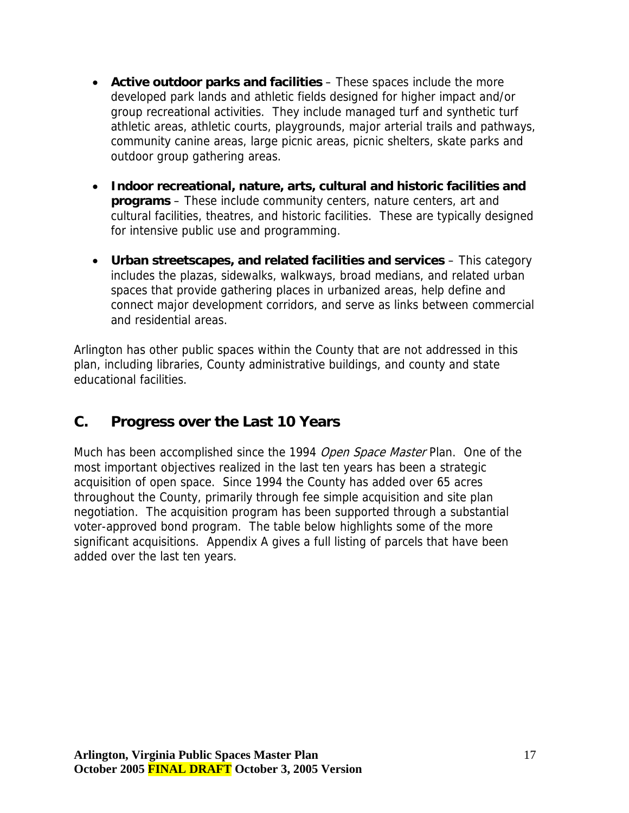- <span id="page-16-0"></span>• **Active outdoor parks and facilities** – These spaces include the more developed park lands and athletic fields designed for higher impact and/or group recreational activities. They include managed turf and synthetic turf athletic areas, athletic courts, playgrounds, major arterial trails and pathways, community canine areas, large picnic areas, picnic shelters, skate parks and outdoor group gathering areas.
- **Indoor recreational, nature, arts, cultural and historic facilities and programs** – These include community centers, nature centers, art and cultural facilities, theatres, and historic facilities. These are typically designed for intensive public use and programming.
- **Urban streetscapes, and related facilities and services** This category includes the plazas, sidewalks, walkways, broad medians, and related urban spaces that provide gathering places in urbanized areas, help define and connect major development corridors, and serve as links between commercial and residential areas.

Arlington has other public spaces within the County that are not addressed in this plan, including libraries, County administrative buildings, and county and state educational facilities.

## **C. Progress over the Last 10 Years**

Much has been accomplished since the 1994 Open Space Master Plan. One of the most important objectives realized in the last ten years has been a strategic acquisition of open space. Since 1994 the County has added over 65 acres throughout the County, primarily through fee simple acquisition and site plan negotiation. The acquisition program has been supported through a substantial voter-approved bond program. The table below highlights some of the more significant acquisitions. Appendix A gives a full listing of parcels that have been added over the last ten years.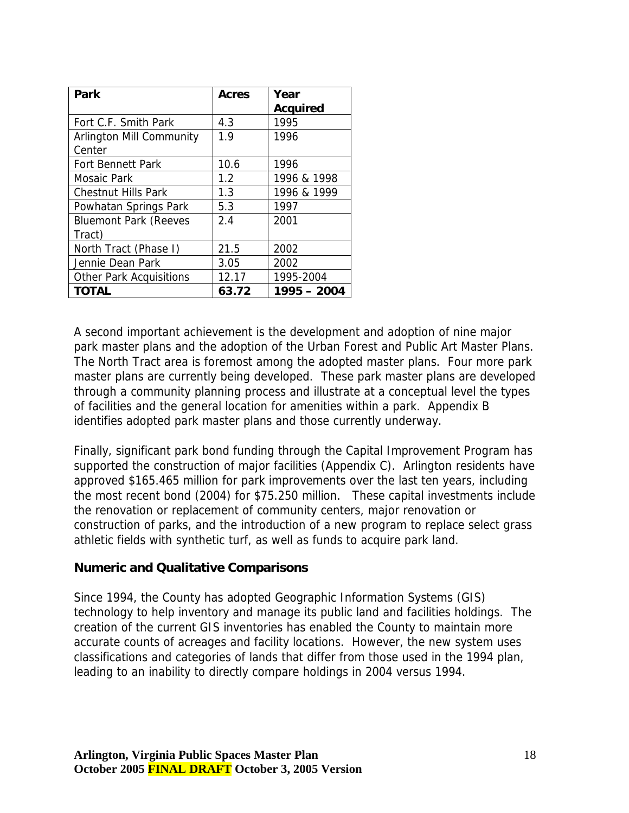| Park                            | <b>Acres</b> | Year            |
|---------------------------------|--------------|-----------------|
|                                 |              | <b>Acquired</b> |
| Fort C.F. Smith Park            | 4.3          | 1995            |
| <b>Arlington Mill Community</b> | 1.9          | 1996            |
| Center                          |              |                 |
| <b>Fort Bennett Park</b>        | 10.6         | 1996            |
| Mosaic Park                     | 1.2          | 1996 & 1998     |
| <b>Chestnut Hills Park</b>      | 1.3          | 1996 & 1999     |
| Powhatan Springs Park           | 5.3          | 1997            |
| <b>Bluemont Park (Reeves</b>    | 2.4          | 2001            |
| Tract)                          |              |                 |
| North Tract (Phase I)           | 21.5         | 2002            |
| Jennie Dean Park                | 3.05         | 2002            |
| <b>Other Park Acquisitions</b>  | 12.17        | 1995-2004       |
| <b>TOTAL</b>                    | 63.72        | $1995 - 2004$   |

A second important achievement is the development and adoption of nine major park master plans and the adoption of the Urban Forest and Public Art Master Plans. The North Tract area is foremost among the adopted master plans. Four more park master plans are currently being developed. These park master plans are developed through a community planning process and illustrate at a conceptual level the types of facilities and the general location for amenities within a park. Appendix B identifies adopted park master plans and those currently underway.

Finally, significant park bond funding through the Capital Improvement Program has supported the construction of major facilities (Appendix C). Arlington residents have approved \$165.465 million for park improvements over the last ten years, including the most recent bond (2004) for \$75.250 million. These capital investments include the renovation or replacement of community centers, major renovation or construction of parks, and the introduction of a new program to replace select grass athletic fields with synthetic turf, as well as funds to acquire park land.

#### **Numeric and Qualitative Comparisons**

Since 1994, the County has adopted Geographic Information Systems (GIS) technology to help inventory and manage its public land and facilities holdings. The creation of the current GIS inventories has enabled the County to maintain more accurate counts of acreages and facility locations. However, the new system uses classifications and categories of lands that differ from those used in the 1994 plan, leading to an inability to directly compare holdings in 2004 versus 1994.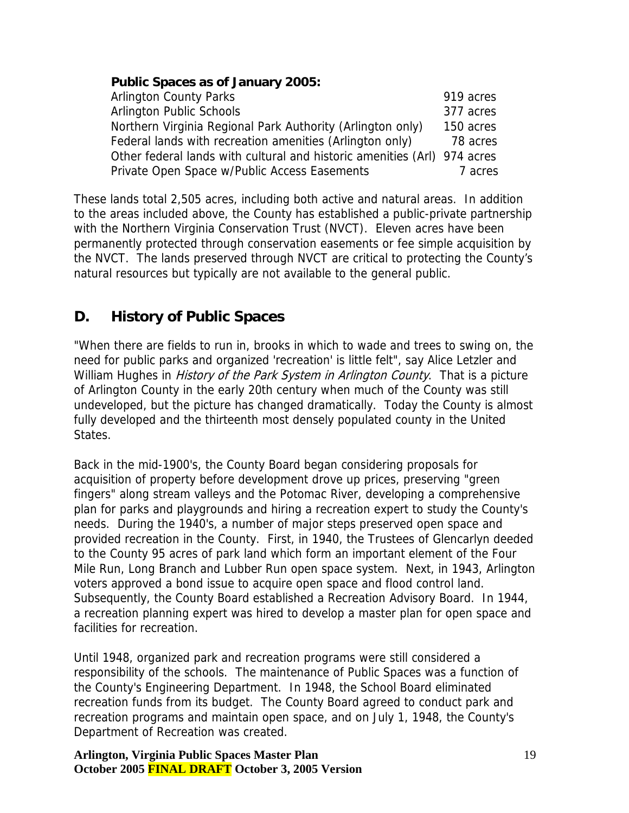#### <span id="page-18-0"></span>**Public Spaces as of January 2005:**

| <b>Arlington County Parks</b>                                            | 919 acres |
|--------------------------------------------------------------------------|-----------|
| <b>Arlington Public Schools</b>                                          | 377 acres |
| Northern Virginia Regional Park Authority (Arlington only)               | 150 acres |
| Federal lands with recreation amenities (Arlington only)                 | 78 acres  |
| Other federal lands with cultural and historic amenities (Arl) 974 acres |           |
| Private Open Space w/Public Access Easements                             | 7 acres   |

These lands total 2,505 acres, including both active and natural areas. In addition to the areas included above, the County has established a public-private partnership with the Northern Virginia Conservation Trust (NVCT). Eleven acres have been permanently protected through conservation easements or fee simple acquisition by the NVCT. The lands preserved through NVCT are critical to protecting the County's natural resources but typically are not available to the general public.

# **D. History of Public Spaces**

William Hughes in *History of the Park System in Arlington County*. That is a picture "When there are fields to run in, brooks in which to wade and trees to swing on, the need for public parks and organized 'recreation' is little felt", say Alice Letzler and of Arlington County in the early 20th century when much of the County was still undeveloped, but the picture has changed dramatically. Today the County is almost fully developed and the thirteenth most densely populated county in the United States.

Back in the mid-1900's, the County Board began considering proposals for acquisition of property before development drove up prices, preserving "green fingers" along stream valleys and the Potomac River, developing a comprehensive plan for parks and playgrounds and hiring a recreation expert to study the County's needs. During the 1940's, a number of major steps preserved open space and provided recreation in the County. First, in 1940, the Trustees of Glencarlyn deeded to the County 95 acres of park land which form an important element of the Four Mile Run, Long Branch and Lubber Run open space system. Next, in 1943, Arlington voters approved a bond issue to acquire open space and flood control land. Subsequently, the County Board established a Recreation Advisory Board. In 1944, a recreation planning expert was hired to develop a master plan for open space and facilities for recreation.

Until 1948, organized park and recreation programs were still considered a responsibility of the schools. The maintenance of Public Spaces was a function of the County's Engineering Department. In 1948, the School Board eliminated recreation funds from its budget. The County Board agreed to conduct park and recreation programs and maintain open space, and on July 1, 1948, the County's Department of Recreation was created.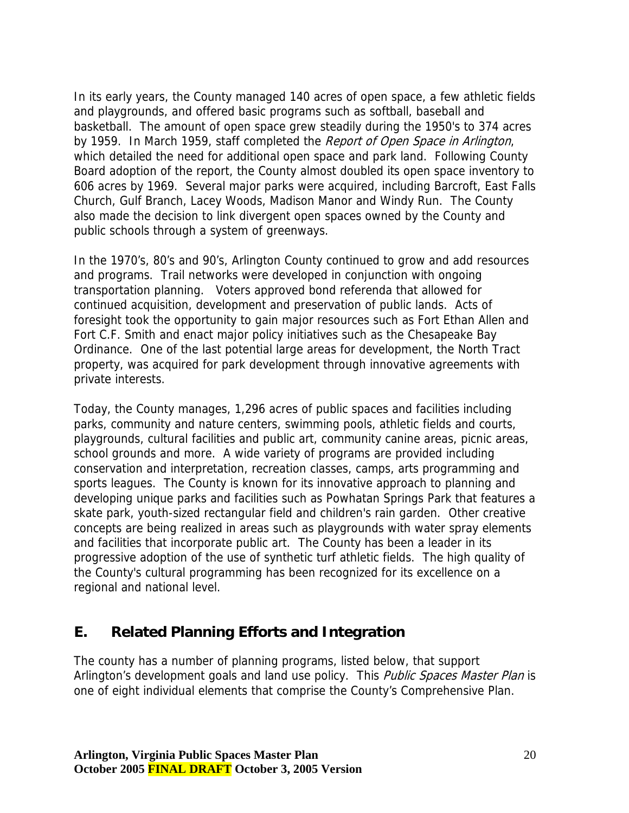<span id="page-19-0"></span>In its early years, the County managed 140 acres of open space, a few athletic fields and playgrounds, and offered basic programs such as softball, baseball and basketball. The amount of open space grew steadily during the 1950's to 374 acres by 1959. In March 1959, staff completed the Report of Open Space in Arlington, which detailed the need for additional open space and park land. Following County Board adoption of the report, the County almost doubled its open space inventory to 606 acres by 1969. Several major parks were acquired, including Barcroft, East Falls Church, Gulf Branch, Lacey Woods, Madison Manor and Windy Run. The County also made the decision to link divergent open spaces owned by the County and public schools through a system of greenways.

In the 1970's, 80's and 90's, Arlington County continued to grow and add resources and programs. Trail networks were developed in conjunction with ongoing transportation planning. Voters approved bond referenda that allowed for continued acquisition, development and preservation of public lands. Acts of foresight took the opportunity to gain major resources such as Fort Ethan Allen and Fort C.F. Smith and enact major policy initiatives such as the Chesapeake Bay Ordinance. One of the last potential large areas for development, the North Tract property, was acquired for park development through innovative agreements with private interests.

Today, the County manages, 1,296 acres of public spaces and facilities including parks, community and nature centers, swimming pools, athletic fields and courts, playgrounds, cultural facilities and public art, community canine areas, picnic areas, school grounds and more. A wide variety of programs are provided including conservation and interpretation, recreation classes, camps, arts programming and sports leagues. The County is known for its innovative approach to planning and developing unique parks and facilities such as Powhatan Springs Park that features a skate park, youth-sized rectangular field and children's rain garden. Other creative concepts are being realized in areas such as playgrounds with water spray elements and facilities that incorporate public art. The County has been a leader in its progressive adoption of the use of synthetic turf athletic fields. The high quality of the County's cultural programming has been recognized for its excellence on a regional and national level.

## **E. Related Planning Efforts and Integration**

The county has a number of planning programs, listed below, that support Arlington's development goals and land use policy. This *Public Spaces Master Plan* is one of eight individual elements that comprise the County's Comprehensive Plan.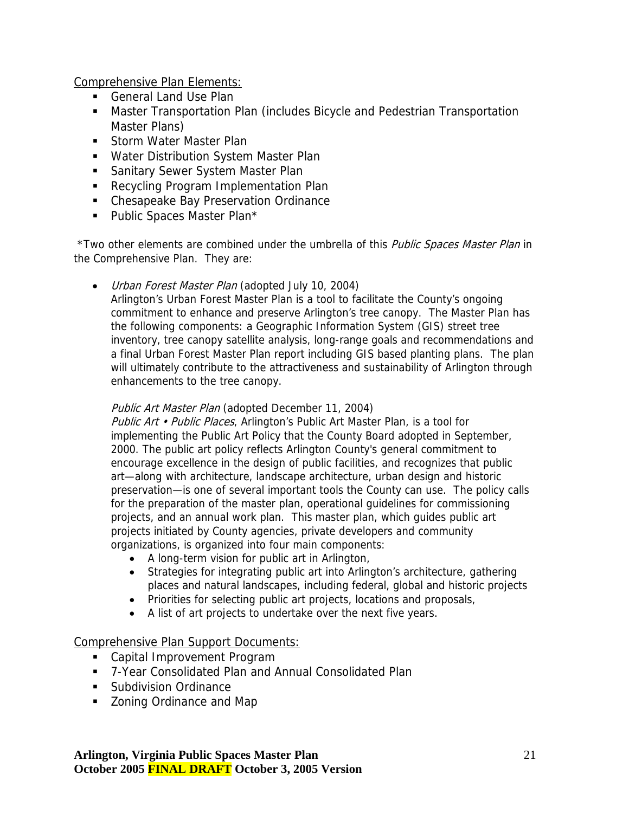Comprehensive Plan Elements:

- General Land Use Plan
- Master Transportation Plan (includes Bicycle and Pedestrian Transportation Master Plans)
- **Storm Water Master Plan**
- **Water Distribution System Master Plan**
- **Sanitary Sewer System Master Plan**
- **Recycling Program Implementation Plan**
- **EXEC** Chesapeake Bay Preservation Ordinance
- **Public Spaces Master Plan\***

\*Two other elements are combined under the umbrella of this Public Spaces Master Plan in the Comprehensive Plan. They are:

• Urban Forest Master Plan (adopted July 10, 2004)

Arlington's Urban Forest Master Plan is a tool to facilitate the County's ongoing commitment to enhance and preserve Arlington's tree canopy. The Master Plan has the following components: a Geographic Information System (GIS) street tree inventory, tree canopy satellite analysis, long-range goals and recommendations and a final Urban Forest Master Plan report including GIS based planting plans. The plan will ultimately contribute to the attractiveness and sustainability of Arlington through enhancements to the tree canopy.

#### Public Art Master Plan (adopted December 11, 2004)

Public Art • Public Places, Arlington's Public Art Master Plan, is a tool for implementing the Public Art Policy that the County Board adopted in September, 2000. The public art policy reflects Arlington County's general commitment to encourage excellence in the design of public facilities, and recognizes that public art—along with architecture, landscape architecture, urban design and historic preservation—is one of several important tools the County can use. The policy calls for the preparation of the master plan, operational guidelines for commissioning projects, and an annual work plan. This master plan, which guides public art projects initiated by County agencies, private developers and community organizations, is organized into four main components:

- A long-term vision for public art in Arlington,
- Strategies for integrating public art into Arlington's architecture, gathering places and natural landscapes, including federal, global and historic projects
- Priorities for selecting public art projects, locations and proposals,
- A list of art projects to undertake over the next five years.

#### Comprehensive Plan Support Documents:

- Capital Improvement Program
- 7-Year Consolidated Plan and Annual Consolidated Plan
- **Subdivision Ordinance**
- **EXECONING** Zoning Ordinance and Map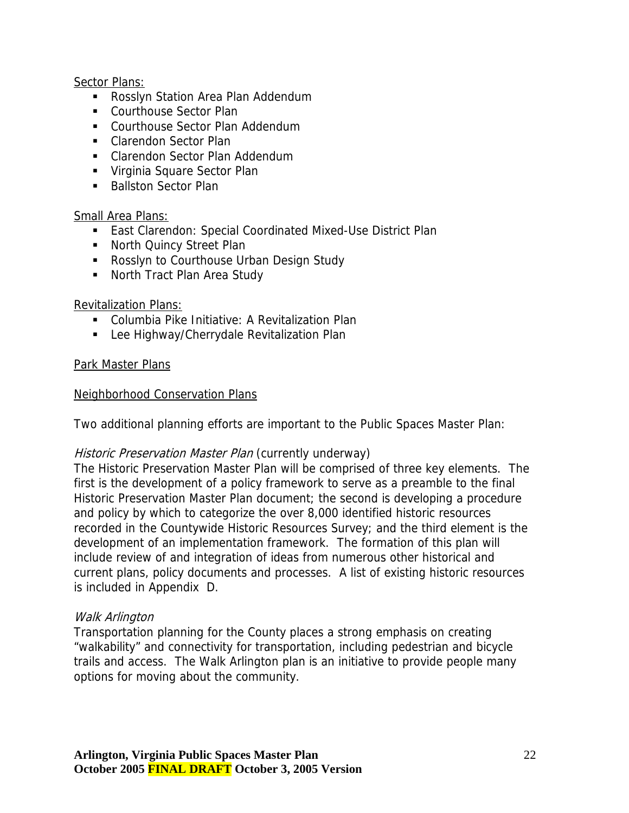#### Sector Plans:

- **Rosslyn Station Area Plan Addendum**
- Courthouse Sector Plan
- Courthouse Sector Plan Addendum
- Clarendon Sector Plan
- **EXEC** Clarendon Sector Plan Addendum
- Virginia Square Sector Plan
- Ballston Sector Plan

#### Small Area Plans:

- East Clarendon: Special Coordinated Mixed-Use District Plan
- **North Quincy Street Plan**
- **Rosslyn to Courthouse Urban Design Study**
- **North Tract Plan Area Study**

#### Revitalization Plans:

- Columbia Pike Initiative: A Revitalization Plan
- **Lee Highway/Cherrydale Revitalization Plan**

#### Park Master Plans

#### Neighborhood Conservation Plans

Two additional planning efforts are important to the Public Spaces Master Plan:

#### Historic Preservation Master Plan (currently underway)

The Historic Preservation Master Plan will be comprised of three key elements. The first is the development of a policy framework to serve as a preamble to the final Historic Preservation Master Plan document; the second is developing a procedure and policy by which to categorize the over 8,000 identified historic resources recorded in the Countywide Historic Resources Survey; and the third element is the development of an implementation framework. The formation of this plan will include review of and integration of ideas from numerous other historical and current plans, policy documents and processes. A list of existing historic resources is included in Appendix D.

#### Walk Arlington

Transportation planning for the County places a strong emphasis on creating "walkability" and connectivity for transportation, including pedestrian and bicycle trails and access. The Walk Arlington plan is an initiative to provide people many options for moving about the community.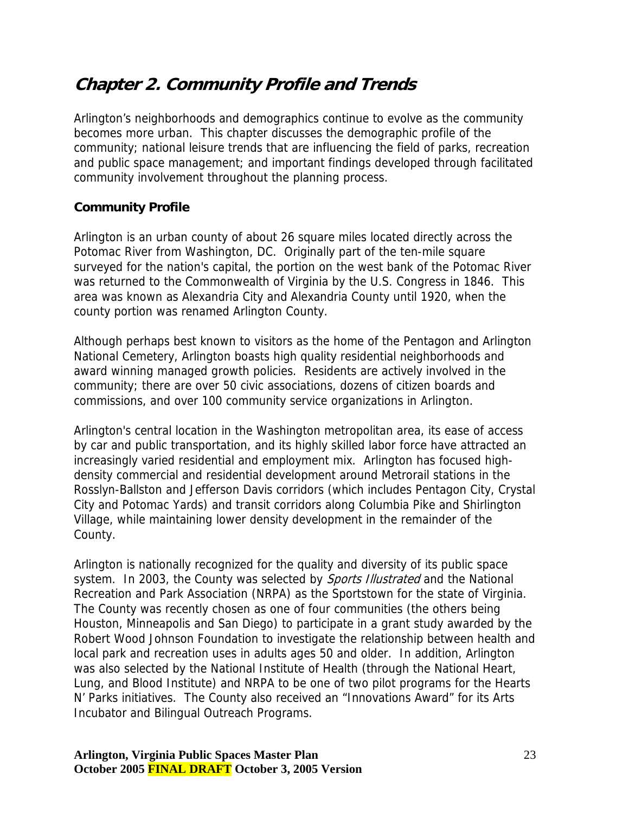# <span id="page-22-0"></span>**Chapter 2. Community Profile and Trends**

Arlington's neighborhoods and demographics continue to evolve as the community becomes more urban. This chapter discusses the demographic profile of the community; national leisure trends that are influencing the field of parks, recreation and public space management; and important findings developed through facilitated community involvement throughout the planning process.

## **Community Profile**

Arlington is an urban county of about 26 square miles located directly across the Potomac River from Washington, DC. Originally part of the ten-mile square surveyed for the nation's capital, the portion on the west bank of the Potomac River was returned to the Commonwealth of Virginia by the U.S. Congress in 1846. This area was known as Alexandria City and Alexandria County until 1920, when the county portion was renamed Arlington County.

Although perhaps best known to visitors as the home of the Pentagon and Arlington National Cemetery, Arlington boasts high quality residential neighborhoods and award winning managed growth policies. Residents are actively involved in the community; there are over 50 civic associations, dozens of citizen boards and commissions, and over 100 community service organizations in Arlington.

Arlington's central location in the Washington metropolitan area, its ease of access by car and public transportation, and its highly skilled labor force have attracted an increasingly varied residential and employment mix. Arlington has focused highdensity commercial and residential development around Metrorail stations in the Rosslyn-Ballston and Jefferson Davis corridors (which includes Pentagon City, Crystal City and Potomac Yards) and transit corridors along Columbia Pike and Shirlington Village, while maintaining lower density development in the remainder of the County.

Arlington is nationally recognized for the quality and diversity of its public space system. In 2003, the County was selected by Sports Illustrated and the National Recreation and Park Association (NRPA) as the Sportstown for the state of Virginia. The County was recently chosen as one of four communities (the others being Houston, Minneapolis and San Diego) to participate in a grant study awarded by the Robert Wood Johnson Foundation to investigate the relationship between health and local park and recreation uses in adults ages 50 and older. In addition, Arlington was also selected by the National Institute of Health (through the National Heart, Lung, and Blood Institute) and NRPA to be one of two pilot programs for the Hearts N' Parks initiatives. The County also received an "Innovations Award" for its Arts Incubator and Bilingual Outreach Programs.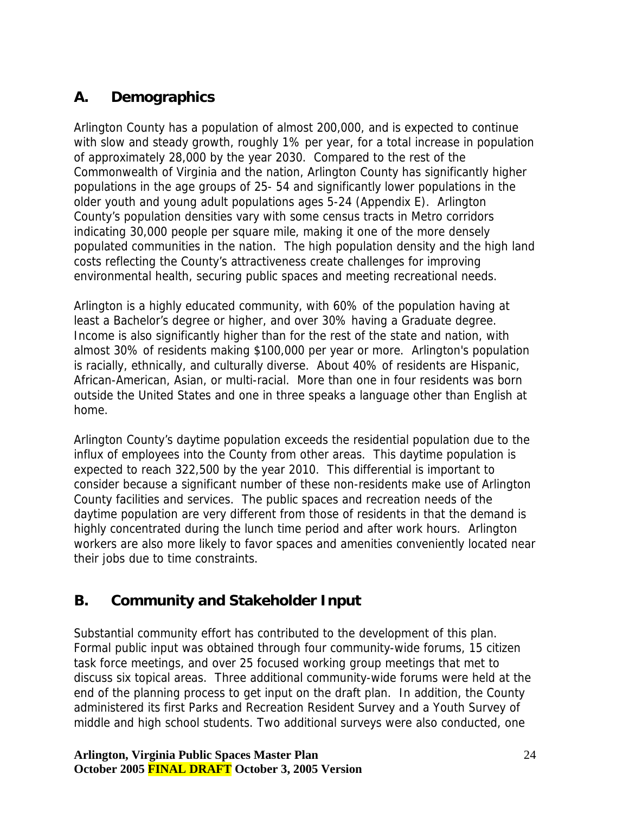# <span id="page-23-0"></span>**A. Demographics**

Arlington County has a population of almost 200,000, and is expected to continue with slow and steady growth, roughly 1% per year, for a total increase in population of approximately 28,000 by the year 2030. Compared to the rest of the Commonwealth of Virginia and the nation, Arlington County has significantly higher populations in the age groups of 25- 54 and significantly lower populations in the older youth and young adult populations ages 5-24 (Appendix E). Arlington County's population densities vary with some census tracts in Metro corridors indicating 30,000 people per square mile, making it one of the more densely populated communities in the nation. The high population density and the high land costs reflecting the County's attractiveness create challenges for improving environmental health, securing public spaces and meeting recreational needs.

Arlington is a highly educated community, with 60% of the population having at least a Bachelor's degree or higher, and over 30% having a Graduate degree. Income is also significantly higher than for the rest of the state and nation, with almost 30% of residents making \$100,000 per year or more. Arlington's population is racially, ethnically, and culturally diverse. About 40% of residents are Hispanic, African-American, Asian, or multi-racial. More than one in four residents was born outside the United States and one in three speaks a language other than English at home.

Arlington County's daytime population exceeds the residential population due to the influx of employees into the County from other areas. This daytime population is expected to reach 322,500 by the year 2010. This differential is important to consider because a significant number of these non-residents make use of Arlington County facilities and services. The public spaces and recreation needs of the daytime population are very different from those of residents in that the demand is highly concentrated during the lunch time period and after work hours. Arlington workers are also more likely to favor spaces and amenities conveniently located near their jobs due to time constraints.

# **B. Community and Stakeholder Input**

Substantial community effort has contributed to the development of this plan. Formal public input was obtained through four community-wide forums, 15 citizen task force meetings, and over 25 focused working group meetings that met to discuss six topical areas. Three additional community-wide forums were held at the end of the planning process to get input on the draft plan. In addition, the County administered its first Parks and Recreation Resident Survey and a Youth Survey of middle and high school students. Two additional surveys were also conducted, one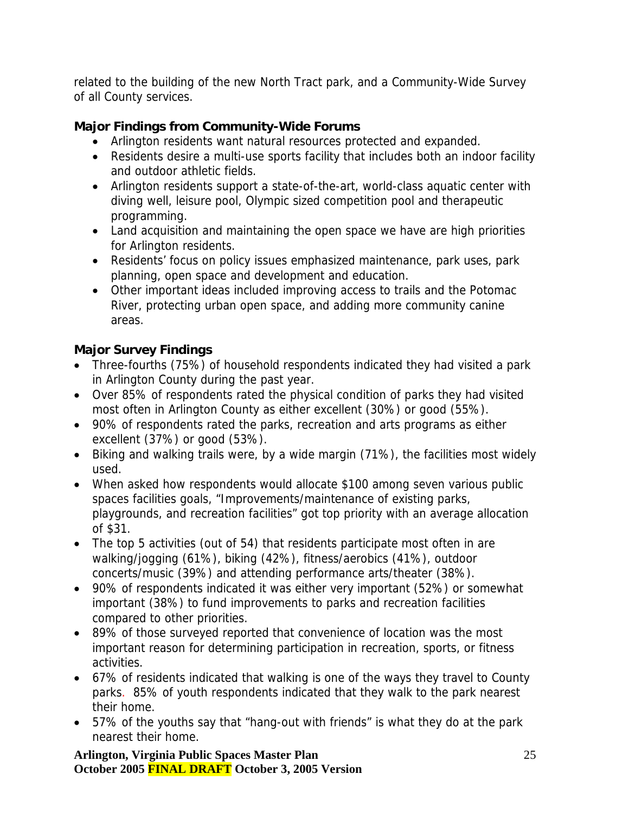related to the building of the new North Tract park, and a Community-Wide Survey of all County services.

## **Major Findings from Community-Wide Forums**

- Arlington residents want natural resources protected and expanded.
- Residents desire a multi-use sports facility that includes both an indoor facility and outdoor athletic fields.
- Arlington residents support a state-of-the-art, world-class aquatic center with diving well, leisure pool, Olympic sized competition pool and therapeutic programming.
- Land acquisition and maintaining the open space we have are high priorities for Arlington residents.
- Residents' focus on policy issues emphasized maintenance, park uses, park planning, open space and development and education.
- Other important ideas included improving access to trails and the Potomac River, protecting urban open space, and adding more community canine areas.

## **Major Survey Findings**

- Three-fourths (75%) of household respondents indicated they had visited a park in Arlington County during the past year.
- Over 85% of respondents rated the physical condition of parks they had visited most often in Arlington County as either excellent (30%) or good (55%).
- 90% of respondents rated the parks, recreation and arts programs as either excellent (37%) or good (53%).
- Biking and walking trails were, by a wide margin (71%), the facilities most widely used.
- When asked how respondents would allocate \$100 among seven various public spaces facilities goals, "Improvements/maintenance of existing parks, playgrounds, and recreation facilities" got top priority with an average allocation of \$31.
- The top 5 activities (out of 54) that residents participate most often in are walking/jogging (61%), biking (42%), fitness/aerobics (41%), outdoor concerts/music (39%) and attending performance arts/theater (38%).
- 90% of respondents indicated it was either very important (52%) or somewhat important (38%) to fund improvements to parks and recreation facilities compared to other priorities.
- 89% of those surveyed reported that convenience of location was the most important reason for determining participation in recreation, sports, or fitness activities.
- 67% of residents indicated that walking is one of the ways they travel to County parks. 85% of youth respondents indicated that they walk to the park nearest their home.
- 57% of the youths say that "hang-out with friends" is what they do at the park nearest their home.

**Arlington, Virginia Public Spaces Master Plan October 2005 FINAL DRAFT October 3, 2005 Version**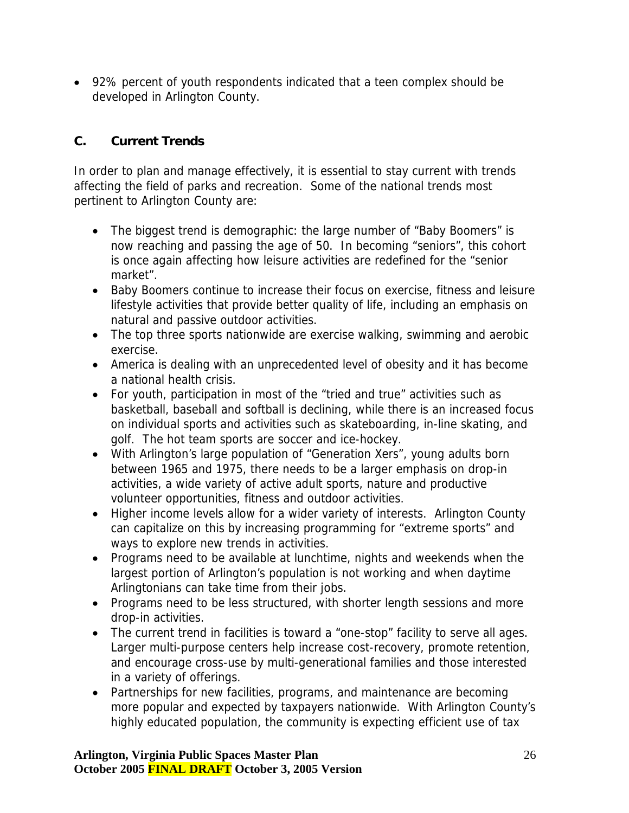<span id="page-25-0"></span>• 92% percent of youth respondents indicated that a teen complex should be developed in Arlington County.

## **C. Current Trends**

In order to plan and manage effectively, it is essential to stay current with trends affecting the field of parks and recreation. Some of the national trends most pertinent to Arlington County are:

- The biggest trend is demographic: the large number of "Baby Boomers" is now reaching and passing the age of 50. In becoming "seniors", this cohort is once again affecting how leisure activities are redefined for the "senior market".
- Baby Boomers continue to increase their focus on exercise, fitness and leisure lifestyle activities that provide better quality of life, including an emphasis on natural and passive outdoor activities.
- The top three sports nationwide are exercise walking, swimming and aerobic exercise.
- America is dealing with an unprecedented level of obesity and it has become a national health crisis.
- For youth, participation in most of the "tried and true" activities such as basketball, baseball and softball is declining, while there is an increased focus on individual sports and activities such as skateboarding, in-line skating, and golf. The hot team sports are soccer and ice-hockey.
- With Arlington's large population of "Generation Xers", young adults born between 1965 and 1975, there needs to be a larger emphasis on drop-in activities, a wide variety of active adult sports, nature and productive volunteer opportunities, fitness and outdoor activities.
- Higher income levels allow for a wider variety of interests. Arlington County can capitalize on this by increasing programming for "extreme sports" and ways to explore new trends in activities.
- Programs need to be available at lunchtime, nights and weekends when the largest portion of Arlington's population is not working and when daytime Arlingtonians can take time from their jobs.
- Programs need to be less structured, with shorter length sessions and more drop-in activities.
- The current trend in facilities is toward a "one-stop" facility to serve all ages. Larger multi-purpose centers help increase cost-recovery, promote retention, and encourage cross-use by multi-generational families and those interested in a variety of offerings.
- Partnerships for new facilities, programs, and maintenance are becoming more popular and expected by taxpayers nationwide. With Arlington County's highly educated population, the community is expecting efficient use of tax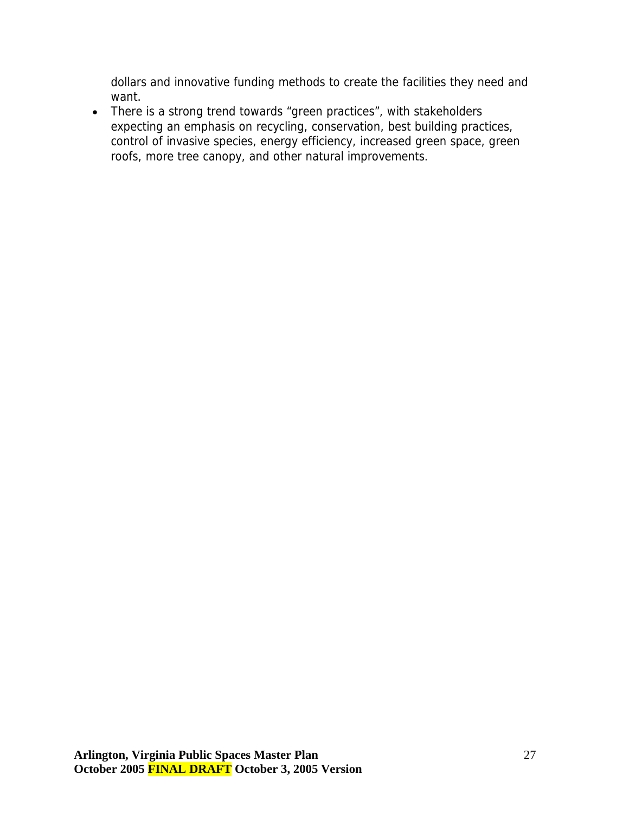dollars and innovative funding methods to create the facilities they need and want.

• There is a strong trend towards "green practices", with stakeholders expecting an emphasis on recycling, conservation, best building practices, control of invasive species, energy efficiency, increased green space, green roofs, more tree canopy, and other natural improvements.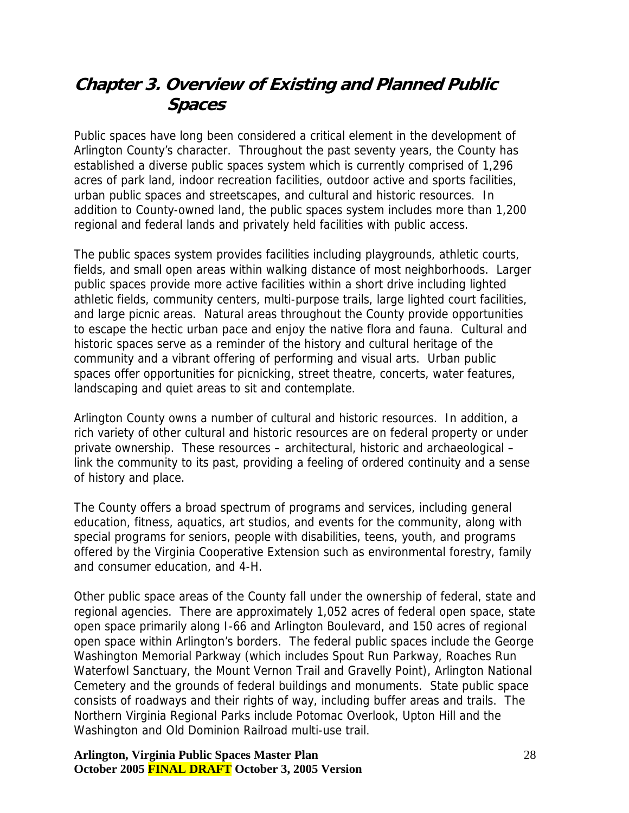# <span id="page-27-0"></span>**Chapter 3. Overview of Existing and Planned Public Spaces**

Public spaces have long been considered a critical element in the development of Arlington County's character. Throughout the past seventy years, the County has established a diverse public spaces system which is currently comprised of 1,296 acres of park land, indoor recreation facilities, outdoor active and sports facilities, urban public spaces and streetscapes, and cultural and historic resources. In addition to County-owned land, the public spaces system includes more than 1,200 regional and federal lands and privately held facilities with public access.

The public spaces system provides facilities including playgrounds, athletic courts, fields, and small open areas within walking distance of most neighborhoods. Larger public spaces provide more active facilities within a short drive including lighted athletic fields, community centers, multi-purpose trails, large lighted court facilities, and large picnic areas. Natural areas throughout the County provide opportunities to escape the hectic urban pace and enjoy the native flora and fauna. Cultural and historic spaces serve as a reminder of the history and cultural heritage of the community and a vibrant offering of performing and visual arts. Urban public spaces offer opportunities for picnicking, street theatre, concerts, water features, landscaping and quiet areas to sit and contemplate.

Arlington County owns a number of cultural and historic resources. In addition, a rich variety of other cultural and historic resources are on federal property or under private ownership. These resources – architectural, historic and archaeological – link the community to its past, providing a feeling of ordered continuity and a sense of history and place.

The County offers a broad spectrum of programs and services, including general education, fitness, aquatics, art studios, and events for the community, along with special programs for seniors, people with disabilities, teens, youth, and programs offered by the Virginia Cooperative Extension such as environmental forestry, family and consumer education, and 4-H.

Other public space areas of the County fall under the ownership of federal, state and regional agencies. There are approximately 1,052 acres of federal open space, state open space primarily along I-66 and Arlington Boulevard, and 150 acres of regional open space within Arlington's borders. The federal public spaces include the George Washington Memorial Parkway (which includes Spout Run Parkway, Roaches Run Waterfowl Sanctuary, the Mount Vernon Trail and Gravelly Point), Arlington National Cemetery and the grounds of federal buildings and monuments. State public space consists of roadways and their rights of way, including buffer areas and trails. The Northern Virginia Regional Parks include Potomac Overlook, Upton Hill and the Washington and Old Dominion Railroad multi-use trail.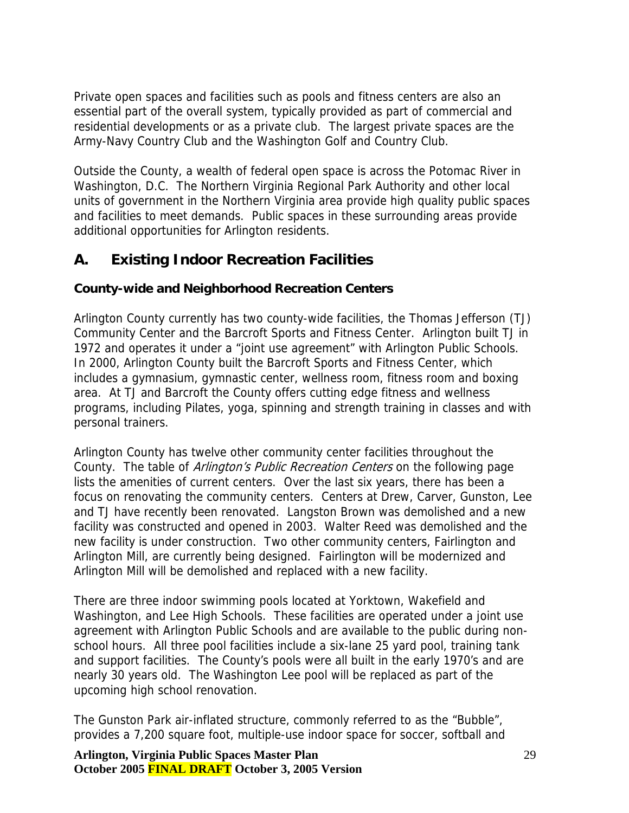<span id="page-28-0"></span>Private open spaces and facilities such as pools and fitness centers are also an essential part of the overall system, typically provided as part of commercial and residential developments or as a private club. The largest private spaces are the Army-Navy Country Club and the Washington Golf and Country Club.

Outside the County, a wealth of federal open space is across the Potomac River in Washington, D.C. The Northern Virginia Regional Park Authority and other local units of government in the Northern Virginia area provide high quality public spaces and facilities to meet demands. Public spaces in these surrounding areas provide additional opportunities for Arlington residents.

## **A. Existing Indoor Recreation Facilities**

#### **County-wide and Neighborhood Recreation Centers**

Arlington County currently has two county-wide facilities, the Thomas Jefferson (TJ) Community Center and the Barcroft Sports and Fitness Center. Arlington built TJ in 1972 and operates it under a "joint use agreement" with Arlington Public Schools. In 2000, Arlington County built the Barcroft Sports and Fitness Center, which includes a gymnasium, gymnastic center, wellness room, fitness room and boxing area. At TJ and Barcroft the County offers cutting edge fitness and wellness programs, including Pilates, yoga, spinning and strength training in classes and with personal trainers.

Arlington County has twelve other community center facilities throughout the County. The table of Arlington's Public Recreation Centers on the following page lists the amenities of current centers. Over the last six years, there has been a focus on renovating the community centers. Centers at Drew, Carver, Gunston, Lee and TJ have recently been renovated. Langston Brown was demolished and a new facility was constructed and opened in 2003. Walter Reed was demolished and the new facility is under construction. Two other community centers, Fairlington and Arlington Mill, are currently being designed. Fairlington will be modernized and Arlington Mill will be demolished and replaced with a new facility.

There are three indoor swimming pools located at Yorktown, Wakefield and Washington, and Lee High Schools. These facilities are operated under a joint use agreement with Arlington Public Schools and are available to the public during nonschool hours. All three pool facilities include a six-lane 25 yard pool, training tank and support facilities. The County's pools were all built in the early 1970's and are nearly 30 years old. The Washington Lee pool will be replaced as part of the upcoming high school renovation.

The Gunston Park air-inflated structure, commonly referred to as the "Bubble", provides a 7,200 square foot, multiple-use indoor space for soccer, softball and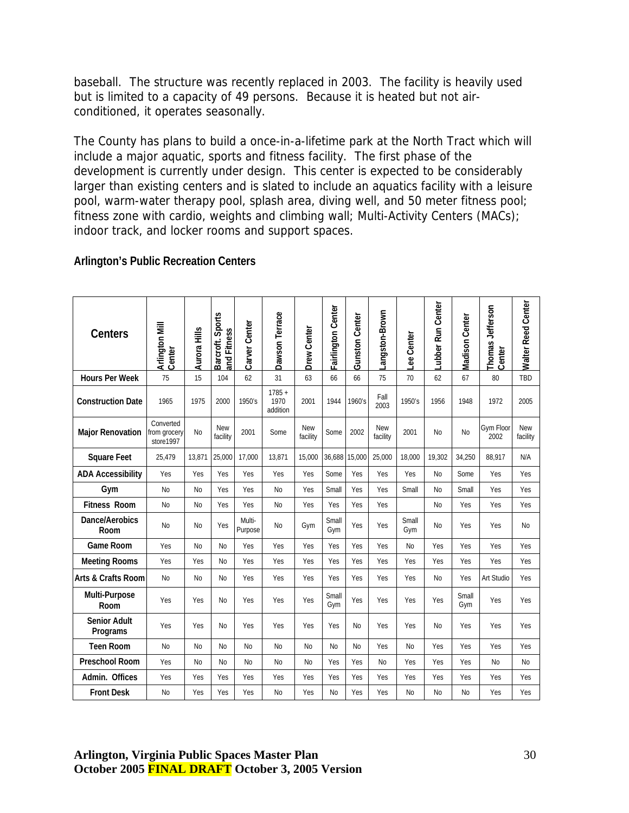baseball. The structure was recently replaced in 2003. The facility is heavily used but is limited to a capacity of 49 persons. Because it is heated but not airconditioned, it operates seasonally.

The County has plans to build a once-in-a-lifetime park at the North Tract which will include a major aquatic, sports and fitness facility. The first phase of the development is currently under design. This center is expected to be considerably larger than existing centers and is slated to include an aquatics facility with a leisure pool, warm-water therapy pool, splash area, diving well, and 50 meter fitness pool; fitness zone with cardio, weights and climbing wall; Multi-Activity Centers (MACs); indoor track, and locker rooms and support spaces.

#### **Arlington's Public Recreation Centers**

| <b>Centers</b>                  | Arlington Mill<br>Center               | Aurora Hills | Barcroft. Sports<br>and Fitness | Carver Center     | Dawson Terrace               | <b>Drew Center</b>     | Fairlington Center | <b>Gunston Center</b> | Langston-Brown         | Lee Center     | Lubber Run Center | Madison Center | Thomas Jefferson<br>Center | <b>Walter Reed Center</b> |
|---------------------------------|----------------------------------------|--------------|---------------------------------|-------------------|------------------------------|------------------------|--------------------|-----------------------|------------------------|----------------|-------------------|----------------|----------------------------|---------------------------|
| <b>Hours Per Week</b>           | 75                                     | 15           | 104                             | 62                | 31                           | 63                     | 66                 | 66                    | 75                     | 70             | 62                | 67             | 80                         | TBD                       |
| <b>Construction Date</b>        | 1965                                   | 1975         | 2000                            | 1950's            | $1785 +$<br>1970<br>addition | 2001                   | 1944               | 1960's                | Fall<br>2003           | 1950's         | 1956              | 1948           | 1972                       | 2005                      |
| <b>Major Renovation</b>         | Converted<br>from grocery<br>store1997 | <b>No</b>    | <b>New</b><br>facility          | 2001              | Some                         | <b>New</b><br>facility | Some               | 2002                  | <b>New</b><br>facility | 2001           | N <sub>0</sub>    | <b>No</b>      | Gym Floor<br>2002          | <b>New</b><br>facility    |
| <b>Square Feet</b>              | 25,479                                 | 13.871       | 25,000                          | 17.000            | 13.871                       | 15.000                 | 36,688 15,000      |                       | 25,000                 | 18.000         | 19,302            | 34.250         | 88.917                     | N/A                       |
| <b>ADA Accessibility</b>        | Yes                                    | Yes          | Yes                             | Yes               | Yes                          | Yes                    | Some               | Yes                   | Yes                    | Yes            | <b>No</b>         | Some           | Yes                        | Yes                       |
| Gym                             | N <sub>0</sub>                         | No           | Yes                             | Yes               | <b>No</b>                    | Yes                    | Small              | Yes                   | Yes                    | Small          | N <sub>0</sub>    | Small          | Yes                        | Yes                       |
| <b>Fitness Room</b>             | <b>No</b>                              | No           | Yes                             | Yes               | <b>No</b>                    | Yes                    | Yes                | Yes                   | Yes                    |                | <b>No</b>         | Yes            | Yes                        | Yes                       |
| Dance/Aerobics<br>Room          | <b>No</b>                              | <b>No</b>    | Yes                             | Multi-<br>Purpose | <b>No</b>                    | Gym                    | Small<br>Gym       | Yes                   | Yes                    | Small<br>Gym   | N <sub>o</sub>    | Yes            | Yes                        | No                        |
| Game Room                       | Yes                                    | <b>No</b>    | <b>No</b>                       | Yes               | Yes                          | Yes                    | Yes                | Yes                   | Yes                    | No             | Yes               | Yes            | Yes                        | Yes                       |
| <b>Meeting Rooms</b>            | Yes                                    | Yes          | <b>No</b>                       | Yes               | Yes                          | Yes                    | Yes                | Yes                   | Yes                    | Yes            | Yes               | Yes            | Yes                        | Yes                       |
| <b>Arts &amp; Crafts Room</b>   | N <sub>0</sub>                         | No           | <b>No</b>                       | Yes               | Yes                          | Yes                    | Yes                | Yes                   | Yes                    | Yes            | No                | Yes            | Art Studio                 | Yes                       |
| Multi-Purpose<br>Room           | Yes                                    | Yes          | <b>No</b>                       | Yes               | Yes                          | Yes                    | Small<br>Gym       | Yes                   | Yes                    | Yes            | Yes               | Small<br>Gym   | Yes                        | Yes                       |
| <b>Senior Adult</b><br>Programs | Yes                                    | Yes          | <b>No</b>                       | Yes               | Yes                          | Yes                    | Yes                | N <sub>0</sub>        | Yes                    | Yes            | <b>No</b>         | Yes            | Yes                        | Yes                       |
| <b>Teen Room</b>                | N <sub>0</sub>                         | <b>No</b>    | <b>No</b>                       | No                | <b>No</b>                    | N <sub>0</sub>         | N <sub>0</sub>     | N <sub>0</sub>        | Yes                    | N <sub>0</sub> | Yes               | Yes            | Yes                        | Yes                       |
| <b>Preschool Room</b>           | Yes                                    | <b>No</b>    | <b>No</b>                       | <b>No</b>         | <b>No</b>                    | <b>No</b>              | Yes                | Yes                   | <b>No</b>              | Yes            | Yes               | Yes            | <b>No</b>                  | <b>No</b>                 |
| Admin. Offices                  | Yes                                    | Yes          | Yes                             | Yes               | Yes                          | Yes                    | Yes                | Yes                   | Yes                    | Yes            | Yes               | Yes            | Yes                        | Yes                       |
| <b>Front Desk</b>               | No                                     | Yes          | Yes                             | Yes               | <b>No</b>                    | Yes                    | <b>No</b>          | Yes                   | Yes                    | N <sub>o</sub> | No                | <b>No</b>      | Yes                        | Yes                       |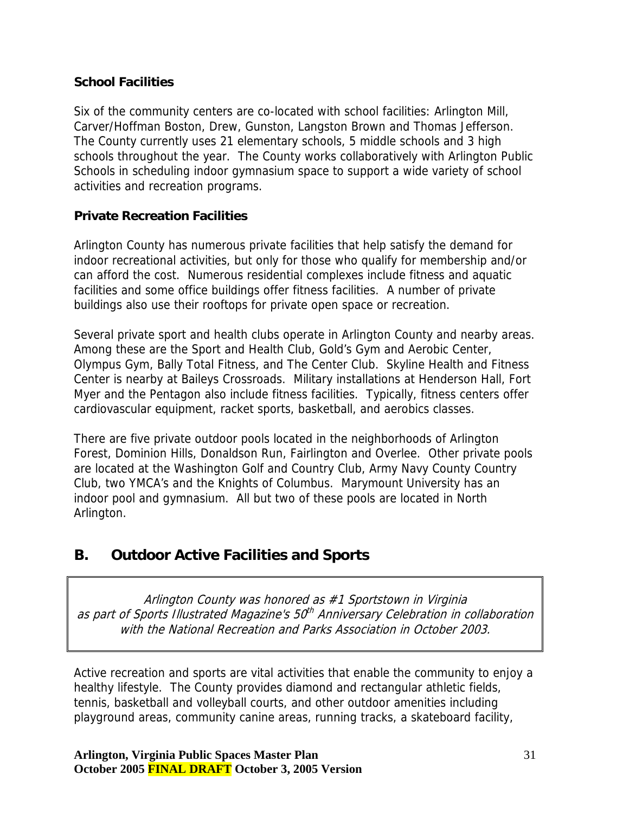#### <span id="page-30-0"></span>**School Facilities**

Six of the community centers are co-located with school facilities: Arlington Mill, Carver/Hoffman Boston, Drew, Gunston, Langston Brown and Thomas Jefferson. The County currently uses 21 elementary schools, 5 middle schools and 3 high schools throughout the year. The County works collaboratively with Arlington Public Schools in scheduling indoor gymnasium space to support a wide variety of school activities and recreation programs.

### **Private Recreation Facilities**

Arlington County has numerous private facilities that help satisfy the demand for indoor recreational activities, but only for those who qualify for membership and/or can afford the cost. Numerous residential complexes include fitness and aquatic facilities and some office buildings offer fitness facilities. A number of private buildings also use their rooftops for private open space or recreation.

Several private sport and health clubs operate in Arlington County and nearby areas. Among these are the Sport and Health Club, Gold's Gym and Aerobic Center, Olympus Gym, Bally Total Fitness, and The Center Club. Skyline Health and Fitness Center is nearby at Baileys Crossroads. Military installations at Henderson Hall, Fort Myer and the Pentagon also include fitness facilities. Typically, fitness centers offer cardiovascular equipment, racket sports, basketball, and aerobics classes.

There are five private outdoor pools located in the neighborhoods of Arlington Forest, Dominion Hills, Donaldson Run, Fairlington and Overlee. Other private pools are located at the Washington Golf and Country Club, Army Navy County Country Club, two YMCA's and the Knights of Columbus. Marymount University has an indoor pool and gymnasium. All but two of these pools are located in North Arlington.

# **B. Outdoor Active Facilities and Sports**

Arlington County was honored as #1 Sportstown in Virginia as part of Sports Illustrated Magazine's 50<sup>th</sup> Anniversary Celebration in collaboration with the National Recreation and Parks Association in October 2003.

Active recreation and sports are vital activities that enable the community to enjoy a healthy lifestyle. The County provides diamond and rectangular athletic fields, tennis, basketball and volleyball courts, and other outdoor amenities including playground areas, community canine areas, running tracks, a skateboard facility,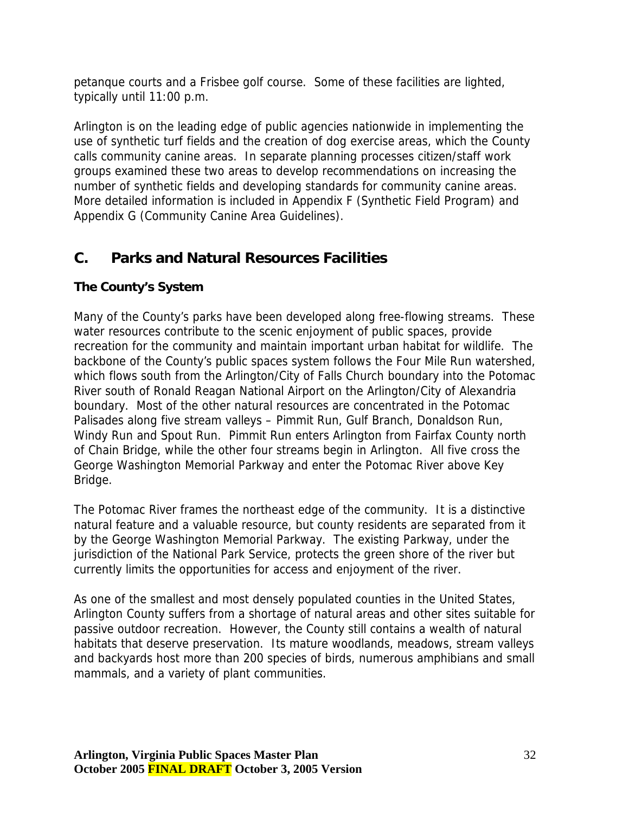<span id="page-31-0"></span>petanque courts and a Frisbee golf course. Some of these facilities are lighted, typically until 11:00 p.m.

Arlington is on the leading edge of public agencies nationwide in implementing the use of synthetic turf fields and the creation of dog exercise areas, which the County calls community canine areas. In separate planning processes citizen/staff work groups examined these two areas to develop recommendations on increasing the number of synthetic fields and developing standards for community canine areas. More detailed information is included in Appendix F (Synthetic Field Program) and Appendix G (Community Canine Area Guidelines).

# **C. Parks and Natural Resources Facilities**

## **The County's System**

Many of the County's parks have been developed along free-flowing streams. These water resources contribute to the scenic enjoyment of public spaces, provide recreation for the community and maintain important urban habitat for wildlife. The backbone of the County's public spaces system follows the Four Mile Run watershed, which flows south from the Arlington/City of Falls Church boundary into the Potomac River south of Ronald Reagan National Airport on the Arlington/City of Alexandria boundary. Most of the other natural resources are concentrated in the Potomac Palisades along five stream valleys – Pimmit Run, Gulf Branch, Donaldson Run, Windy Run and Spout Run. Pimmit Run enters Arlington from Fairfax County north of Chain Bridge, while the other four streams begin in Arlington. All five cross the George Washington Memorial Parkway and enter the Potomac River above Key Bridge.

The Potomac River frames the northeast edge of the community. It is a distinctive natural feature and a valuable resource, but county residents are separated from it by the George Washington Memorial Parkway. The existing Parkway, under the jurisdiction of the National Park Service, protects the green shore of the river but currently limits the opportunities for access and enjoyment of the river.

As one of the smallest and most densely populated counties in the United States, Arlington County suffers from a shortage of natural areas and other sites suitable for passive outdoor recreation. However, the County still contains a wealth of natural habitats that deserve preservation. Its mature woodlands, meadows, stream valleys and backyards host more than 200 species of birds, numerous amphibians and small mammals, and a variety of plant communities.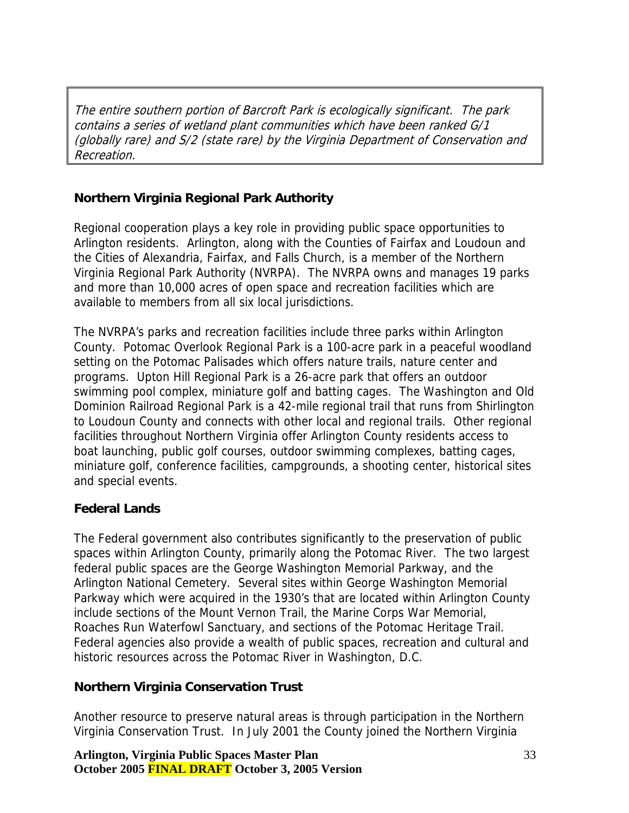The entire southern portion of Barcroft Park is ecologically significant. The park contains a series of wetland plant communities which have been ranked G/1 (globally rare) and S/2 (state rare) by the Virginia Department of Conservation and Recreation.

## **Northern Virginia Regional Park Authority**

Regional cooperation plays a key role in providing public space opportunities to Arlington residents. Arlington, along with the Counties of Fairfax and Loudoun and the Cities of Alexandria, Fairfax, and Falls Church, is a member of the Northern Virginia Regional Park Authority (NVRPA). The NVRPA owns and manages 19 parks and more than 10,000 acres of open space and recreation facilities which are available to members from all six local jurisdictions.

The NVRPA's parks and recreation facilities include three parks within Arlington County. Potomac Overlook Regional Park is a 100-acre park in a peaceful woodland setting on the Potomac Palisades which offers nature trails, nature center and programs. Upton Hill Regional Park is a 26-acre park that offers an outdoor swimming pool complex, miniature golf and batting cages. The Washington and Old Dominion Railroad Regional Park is a 42-mile regional trail that runs from Shirlington to Loudoun County and connects with other local and regional trails. Other regional facilities throughout Northern Virginia offer Arlington County residents access to boat launching, public golf courses, outdoor swimming complexes, batting cages, miniature golf, conference facilities, campgrounds, a shooting center, historical sites and special events.

#### **Federal Lands**

The Federal government also contributes significantly to the preservation of public spaces within Arlington County, primarily along the Potomac River. The two largest federal public spaces are the George Washington Memorial Parkway, and the Arlington National Cemetery. Several sites within George Washington Memorial Parkway which were acquired in the 1930's that are located within Arlington County include sections of the Mount Vernon Trail, the Marine Corps War Memorial, Roaches Run Waterfowl Sanctuary, and sections of the Potomac Heritage Trail. Federal agencies also provide a wealth of public spaces, recreation and cultural and historic resources across the Potomac River in Washington, D.C.

#### **Northern Virginia Conservation Trust**

Another resource to preserve natural areas is through participation in the Northern Virginia Conservation Trust. In July 2001 the County joined the Northern Virginia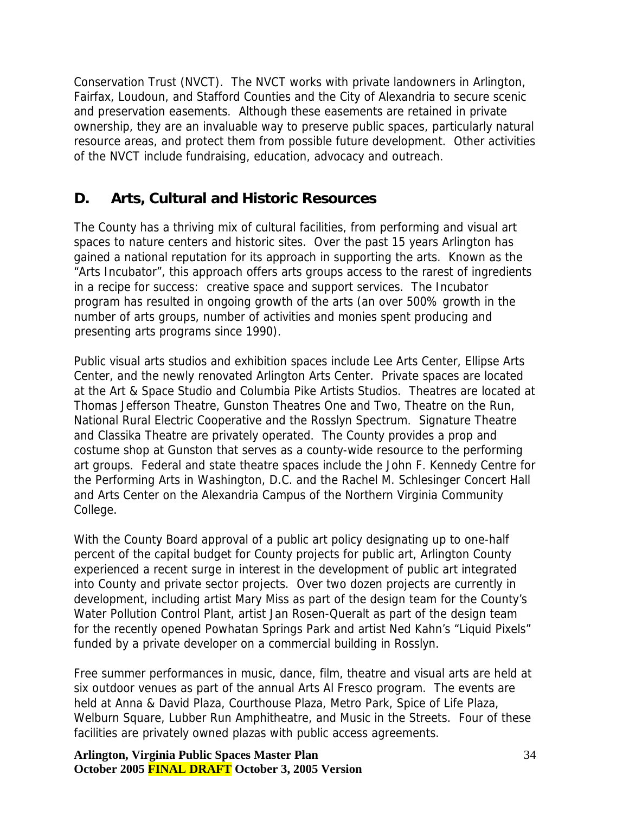<span id="page-33-0"></span>Conservation Trust (NVCT). The NVCT works with private landowners in Arlington, Fairfax, Loudoun, and Stafford Counties and the City of Alexandria to secure scenic and preservation easements. Although these easements are retained in private ownership, they are an invaluable way to preserve public spaces, particularly natural resource areas, and protect them from possible future development. Other activities of the NVCT include fundraising, education, advocacy and outreach.

## **D. Arts, Cultural and Historic Resources**

The County has a thriving mix of cultural facilities, from performing and visual art spaces to nature centers and historic sites. Over the past 15 years Arlington has gained a national reputation for its approach in supporting the arts. Known as the "Arts Incubator", this approach offers arts groups access to the rarest of ingredients in a recipe for success: creative space and support services. The Incubator program has resulted in ongoing growth of the arts (an over 500% growth in the number of arts groups, number of activities and monies spent producing and presenting arts programs since 1990).

Public visual arts studios and exhibition spaces include Lee Arts Center, Ellipse Arts Center, and the newly renovated Arlington Arts Center. Private spaces are located at the Art & Space Studio and Columbia Pike Artists Studios. Theatres are located at Thomas Jefferson Theatre, Gunston Theatres One and Two, Theatre on the Run, National Rural Electric Cooperative and the Rosslyn Spectrum. Signature Theatre and Classika Theatre are privately operated. The County provides a prop and costume shop at Gunston that serves as a county-wide resource to the performing art groups. Federal and state theatre spaces include the John F. Kennedy Centre for the Performing Arts in Washington, D.C. and the Rachel M. Schlesinger Concert Hall and Arts Center on the Alexandria Campus of the Northern Virginia Community College.

With the County Board approval of a public art policy designating up to one-half percent of the capital budget for County projects for public art, Arlington County experienced a recent surge in interest in the development of public art integrated into County and private sector projects. Over two dozen projects are currently in development, including artist Mary Miss as part of the design team for the County's Water Pollution Control Plant, artist Jan Rosen-Queralt as part of the design team for the recently opened Powhatan Springs Park and artist Ned Kahn's "Liquid Pixels" funded by a private developer on a commercial building in Rosslyn.

Free summer performances in music, dance, film, theatre and visual arts are held at six outdoor venues as part of the annual Arts Al Fresco program. The events are held at Anna & David Plaza, Courthouse Plaza, Metro Park, Spice of Life Plaza, Welburn Square, Lubber Run Amphitheatre, and Music in the Streets. Four of these facilities are privately owned plazas with public access agreements.

**Arlington, Virginia Public Spaces Master Plan October 2005 FINAL DRAFT October 3, 2005 Version**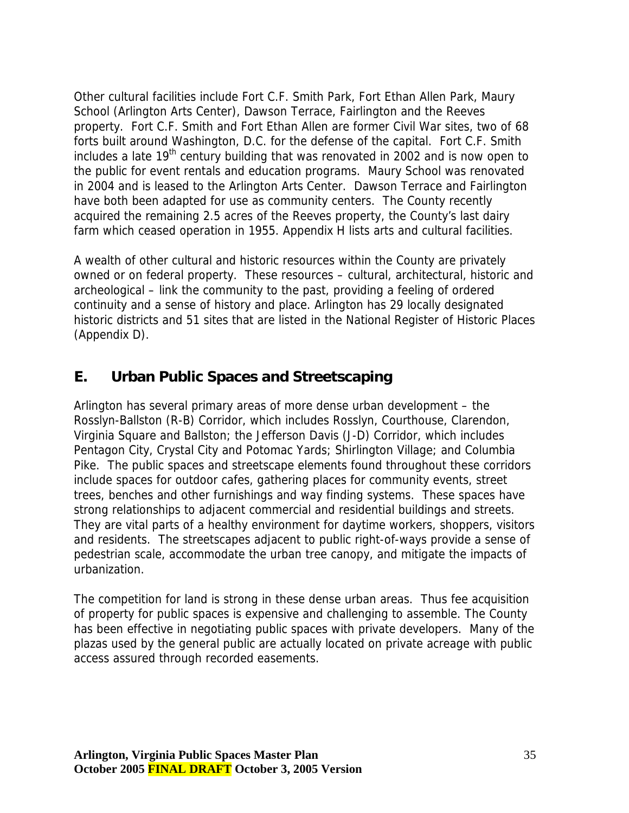<span id="page-34-0"></span>Other cultural facilities include Fort C.F. Smith Park, Fort Ethan Allen Park, Maury School (Arlington Arts Center), Dawson Terrace, Fairlington and the Reeves property. Fort C.F. Smith and Fort Ethan Allen are former Civil War sites, two of 68 forts built around Washington, D.C. for the defense of the capital. Fort C.F. Smith includes a late 19<sup>th</sup> century building that was renovated in 2002 and is now open to the public for event rentals and education programs. Maury School was renovated in 2004 and is leased to the Arlington Arts Center. Dawson Terrace and Fairlington have both been adapted for use as community centers. The County recently acquired the remaining 2.5 acres of the Reeves property, the County's last dairy farm which ceased operation in 1955. Appendix H lists arts and cultural facilities.

A wealth of other cultural and historic resources within the County are privately owned or on federal property. These resources – cultural, architectural, historic and archeological – link the community to the past, providing a feeling of ordered continuity and a sense of history and place. Arlington has 29 locally designated historic districts and 51 sites that are listed in the National Register of Historic Places (Appendix D).

# **E. Urban Public Spaces and Streetscaping**

Arlington has several primary areas of more dense urban development – the Rosslyn-Ballston (R-B) Corridor, which includes Rosslyn, Courthouse, Clarendon, Virginia Square and Ballston; the Jefferson Davis (J-D) Corridor, which includes Pentagon City, Crystal City and Potomac Yards; Shirlington Village; and Columbia Pike. The public spaces and streetscape elements found throughout these corridors include spaces for outdoor cafes, gathering places for community events, street trees, benches and other furnishings and way finding systems. These spaces have strong relationships to adjacent commercial and residential buildings and streets. They are vital parts of a healthy environment for daytime workers, shoppers, visitors and residents. The streetscapes adjacent to public right-of-ways provide a sense of pedestrian scale, accommodate the urban tree canopy, and mitigate the impacts of urbanization.

The competition for land is strong in these dense urban areas. Thus fee acquisition of property for public spaces is expensive and challenging to assemble. The County has been effective in negotiating public spaces with private developers. Many of the plazas used by the general public are actually located on private acreage with public access assured through recorded easements.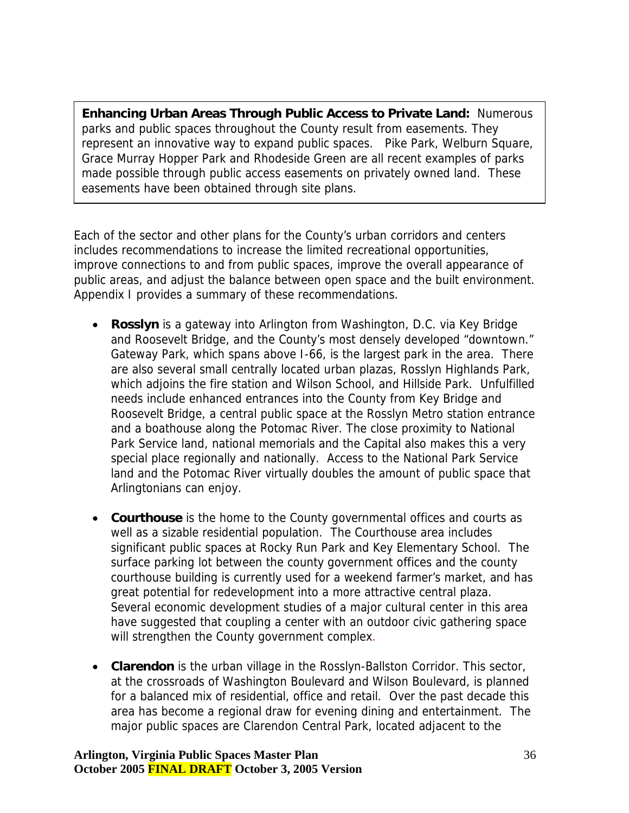**Enhancing Urban Areas Through Public Access to Private Land:** Numerous parks and public spaces throughout the County result from easements. They represent an innovative way to expand public spaces. Pike Park, Welburn Square, Grace Murray Hopper Park and Rhodeside Green are all recent examples of parks made possible through public access easements on privately owned land. These easements have been obtained through site plans.

Each of the sector and other plans for the County's urban corridors and centers includes recommendations to increase the limited recreational opportunities, improve connections to and from public spaces, improve the overall appearance of public areas, and adjust the balance between open space and the built environment. Appendix I provides a summary of these recommendations.

- **Rosslyn** is a gateway into Arlington from Washington, D.C. via Key Bridge and Roosevelt Bridge, and the County's most densely developed "downtown." Gateway Park, which spans above I-66, is the largest park in the area. There are also several small centrally located urban plazas, Rosslyn Highlands Park, which adjoins the fire station and Wilson School, and Hillside Park. Unfulfilled needs include enhanced entrances into the County from Key Bridge and Roosevelt Bridge, a central public space at the Rosslyn Metro station entrance and a boathouse along the Potomac River. The close proximity to National Park Service land, national memorials and the Capital also makes this a very special place regionally and nationally. Access to the National Park Service land and the Potomac River virtually doubles the amount of public space that Arlingtonians can enjoy.
- **Courthouse** is the home to the County governmental offices and courts as well as a sizable residential population. The Courthouse area includes significant public spaces at Rocky Run Park and Key Elementary School. The surface parking lot between the county government offices and the county courthouse building is currently used for a weekend farmer's market, and has great potential for redevelopment into a more attractive central plaza. Several economic development studies of a major cultural center in this area have suggested that coupling a center with an outdoor civic gathering space will strengthen the County government complex.
- **Clarendon** is the urban village in the Rosslyn-Ballston Corridor. This sector, at the crossroads of Washington Boulevard and Wilson Boulevard, is planned for a balanced mix of residential, office and retail. Over the past decade this area has become a regional draw for evening dining and entertainment. The major public spaces are Clarendon Central Park, located adjacent to the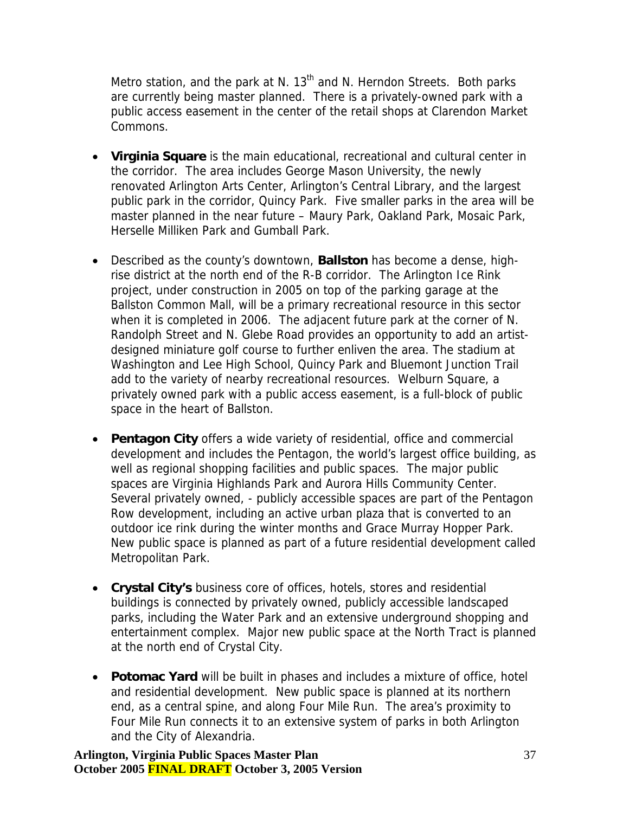Metro station, and the park at N.  $13<sup>th</sup>$  and N. Herndon Streets. Both parks are currently being master planned. There is a privately-owned park with a public access easement in the center of the retail shops at Clarendon Market Commons.

- **Virginia Square** is the main educational, recreational and cultural center in the corridor. The area includes George Mason University, the newly renovated Arlington Arts Center, Arlington's Central Library, and the largest public park in the corridor, Quincy Park. Five smaller parks in the area will be master planned in the near future – Maury Park, Oakland Park, Mosaic Park, Herselle Milliken Park and Gumball Park.
- Described as the county's downtown, **Ballston** has become a dense, highrise district at the north end of the R-B corridor. The Arlington Ice Rink project, under construction in 2005 on top of the parking garage at the Ballston Common Mall, will be a primary recreational resource in this sector when it is completed in 2006. The adjacent future park at the corner of N. Randolph Street and N. Glebe Road provides an opportunity to add an artistdesigned miniature golf course to further enliven the area. The stadium at Washington and Lee High School, Quincy Park and Bluemont Junction Trail add to the variety of nearby recreational resources. Welburn Square, a privately owned park with a public access easement, is a full-block of public space in the heart of Ballston.
- **Pentagon City** offers a wide variety of residential, office and commercial development and includes the Pentagon, the world's largest office building, as well as regional shopping facilities and public spaces. The major public spaces are Virginia Highlands Park and Aurora Hills Community Center. Several privately owned, - publicly accessible spaces are part of the Pentagon Row development, including an active urban plaza that is converted to an outdoor ice rink during the winter months and Grace Murray Hopper Park. New public space is planned as part of a future residential development called Metropolitan Park.
- **Crystal City's** business core of offices, hotels, stores and residential buildings is connected by privately owned, publicly accessible landscaped parks, including the Water Park and an extensive underground shopping and entertainment complex. Major new public space at the North Tract is planned at the north end of Crystal City.
- **Potomac Yard** will be built in phases and includes a mixture of office, hotel and residential development. New public space is planned at its northern end, as a central spine, and along Four Mile Run. The area's proximity to Four Mile Run connects it to an extensive system of parks in both Arlington and the City of Alexandria.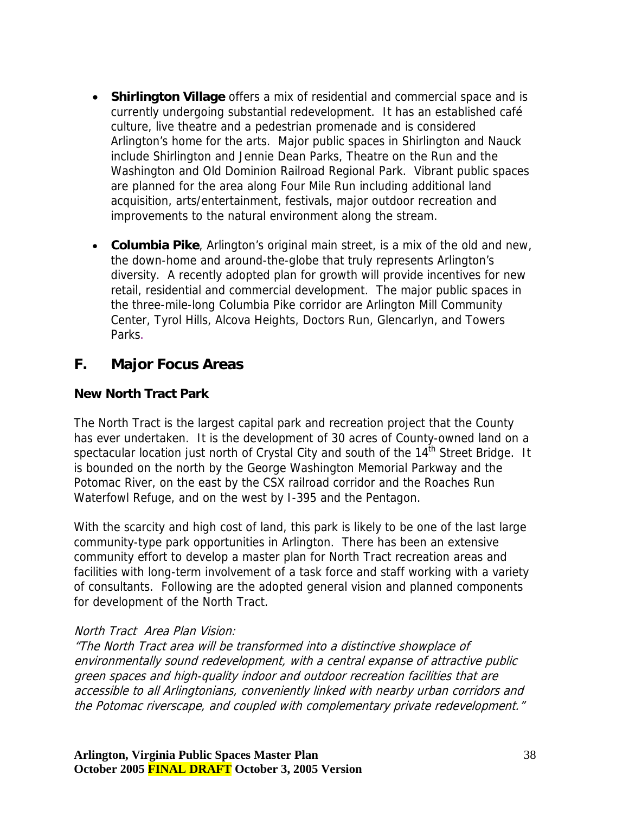- <span id="page-37-0"></span>• **Shirlington Village** offers a mix of residential and commercial space and is currently undergoing substantial redevelopment. It has an established café culture, live theatre and a pedestrian promenade and is considered Arlington's home for the arts. Major public spaces in Shirlington and Nauck include Shirlington and Jennie Dean Parks, Theatre on the Run and the Washington and Old Dominion Railroad Regional Park. Vibrant public spaces are planned for the area along Four Mile Run including additional land acquisition, arts/entertainment, festivals, major outdoor recreation and improvements to the natural environment along the stream.
- **Columbia Pike**, Arlington's original main street, is a mix of the old and new, the down-home and around-the-globe that truly represents Arlington's diversity. A recently adopted plan for growth will provide incentives for new retail, residential and commercial development. The major public spaces in the three-mile-long Columbia Pike corridor are Arlington Mill Community Center, Tyrol Hills, Alcova Heights, Doctors Run, Glencarlyn, and Towers Parks.

## **F. Major Focus Areas**

#### **New North Tract Park**

The North Tract is the largest capital park and recreation project that the County has ever undertaken. It is the development of 30 acres of County-owned land on a spectacular location just north of Crystal City and south of the  $14<sup>th</sup>$  Street Bridge. It is bounded on the north by the George Washington Memorial Parkway and the Potomac River, on the east by the CSX railroad corridor and the Roaches Run Waterfowl Refuge, and on the west by I-395 and the Pentagon.

With the scarcity and high cost of land, this park is likely to be one of the last large community-type park opportunities in Arlington. There has been an extensive community effort to develop a master plan for North Tract recreation areas and facilities with long-term involvement of a task force and staff working with a variety of consultants. Following are the adopted general vision and planned components for development of the North Tract.

#### North Tract Area Plan Vision:

"The North Tract area will be transformed into a distinctive showplace of environmentally sound redevelopment, with a central expanse of attractive public green spaces and high-quality indoor and outdoor recreation facilities that are accessible to all Arlingtonians, conveniently linked with nearby urban corridors and the Potomac riverscape, and coupled with complementary private redevelopment."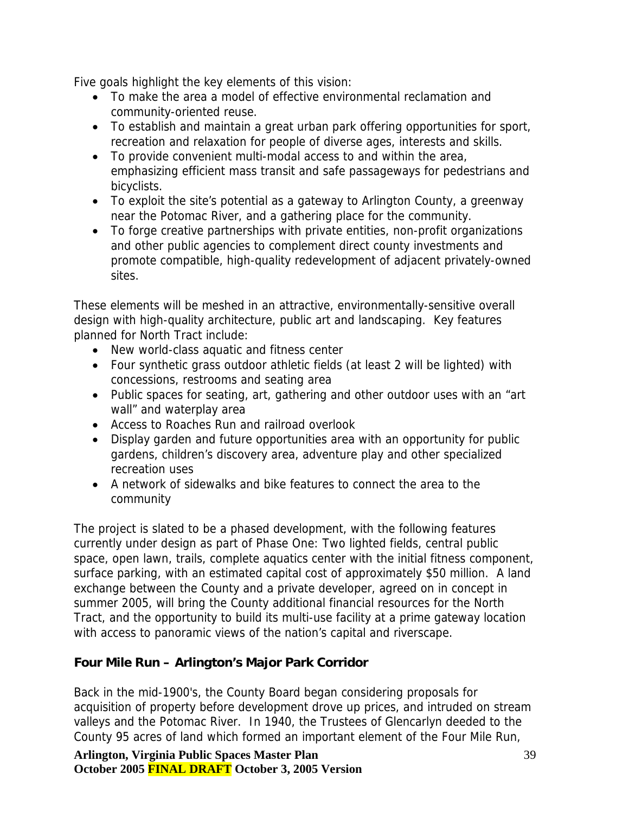Five goals highlight the key elements of this vision:

- To make the area a model of effective environmental reclamation and community-oriented reuse.
- To establish and maintain a great urban park offering opportunities for sport, recreation and relaxation for people of diverse ages, interests and skills.
- To provide convenient multi-modal access to and within the area, emphasizing efficient mass transit and safe passageways for pedestrians and bicyclists.
- To exploit the site's potential as a gateway to Arlington County, a greenway near the Potomac River, and a gathering place for the community.
- To forge creative partnerships with private entities, non-profit organizations and other public agencies to complement direct county investments and promote compatible, high-quality redevelopment of adjacent privately-owned sites.

These elements will be meshed in an attractive, environmentally-sensitive overall design with high-quality architecture, public art and landscaping. Key features planned for North Tract include:

- New world-class aquatic and fitness center
- Four synthetic grass outdoor athletic fields (at least 2 will be lighted) with concessions, restrooms and seating area
- Public spaces for seating, art, gathering and other outdoor uses with an "art wall" and waterplay area
- Access to Roaches Run and railroad overlook
- Display garden and future opportunities area with an opportunity for public gardens, children's discovery area, adventure play and other specialized recreation uses
- A network of sidewalks and bike features to connect the area to the community

The project is slated to be a phased development, with the following features currently under design as part of Phase One: Two lighted fields, central public space, open lawn, trails, complete aquatics center with the initial fitness component, surface parking, with an estimated capital cost of approximately \$50 million. A land exchange between the County and a private developer, agreed on in concept in summer 2005, will bring the County additional financial resources for the North Tract, and the opportunity to build its multi-use facility at a prime gateway location with access to panoramic views of the nation's capital and riverscape.

## **Four Mile Run – Arlington's Major Park Corridor**

Back in the mid-1900's, the County Board began considering proposals for acquisition of property before development drove up prices, and intruded on stream valleys and the Potomac River. In 1940, the Trustees of Glencarlyn deeded to the County 95 acres of land which formed an important element of the Four Mile Run,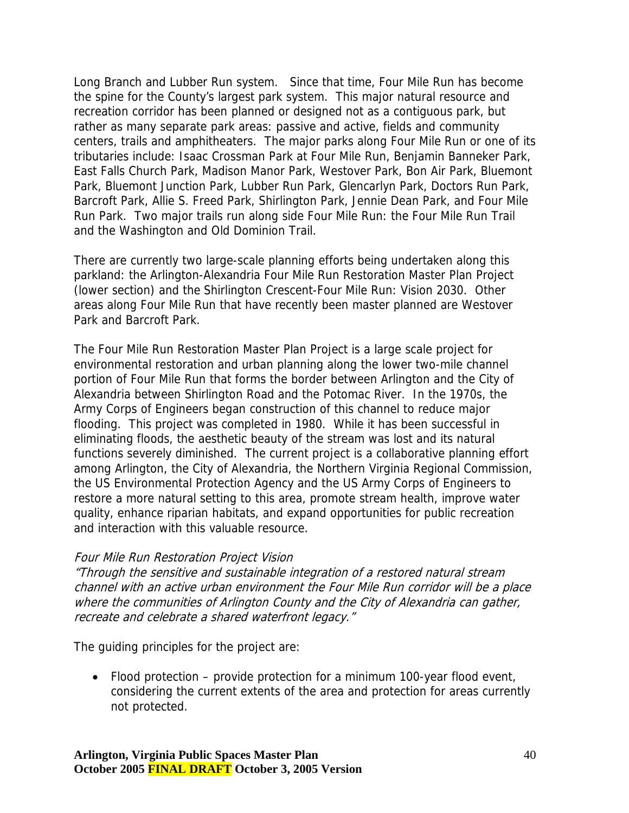Long Branch and Lubber Run system. Since that time, Four Mile Run has become the spine for the County's largest park system. This major natural resource and recreation corridor has been planned or designed not as a contiguous park, but rather as many separate park areas: passive and active, fields and community centers, trails and amphitheaters. The major parks along Four Mile Run or one of its tributaries include: Isaac Crossman Park at Four Mile Run, Benjamin Banneker Park, East Falls Church Park, Madison Manor Park, Westover Park, Bon Air Park, Bluemont Park, Bluemont Junction Park, Lubber Run Park, Glencarlyn Park, Doctors Run Park, Barcroft Park, Allie S. Freed Park, Shirlington Park, Jennie Dean Park, and Four Mile Run Park. Two major trails run along side Four Mile Run: the Four Mile Run Trail and the Washington and Old Dominion Trail.

There are currently two large-scale planning efforts being undertaken along this parkland: the Arlington-Alexandria Four Mile Run Restoration Master Plan Project (lower section) and the Shirlington Crescent-Four Mile Run: Vision 2030. Other areas along Four Mile Run that have recently been master planned are Westover Park and Barcroft Park.

The Four Mile Run Restoration Master Plan Project is a large scale project for environmental restoration and urban planning along the lower two-mile channel portion of Four Mile Run that forms the border between Arlington and the City of Alexandria between Shirlington Road and the Potomac River. In the 1970s, the Army Corps of Engineers began construction of this channel to reduce major flooding. This project was completed in 1980. While it has been successful in eliminating floods, the aesthetic beauty of the stream was lost and its natural functions severely diminished. The current project is a collaborative planning effort among Arlington, the City of Alexandria, the Northern Virginia Regional Commission, the US Environmental Protection Agency and the US Army Corps of Engineers to restore a more natural setting to this area, promote stream health, improve water quality, enhance riparian habitats, and expand opportunities for public recreation and interaction with this valuable resource.

#### Four Mile Run Restoration Project Vision

where the communities of Arlington County and the City of Alexandria can gather, "Through the sensitive and sustainable integration of a restored natural stream channel with an active urban environment the Four Mile Run corridor will be a place recreate and celebrate a shared waterfront legacy."

The guiding principles for the project are:

• Flood protection – provide protection for a minimum 100-year flood event, considering the current extents of the area and protection for areas currently not protected.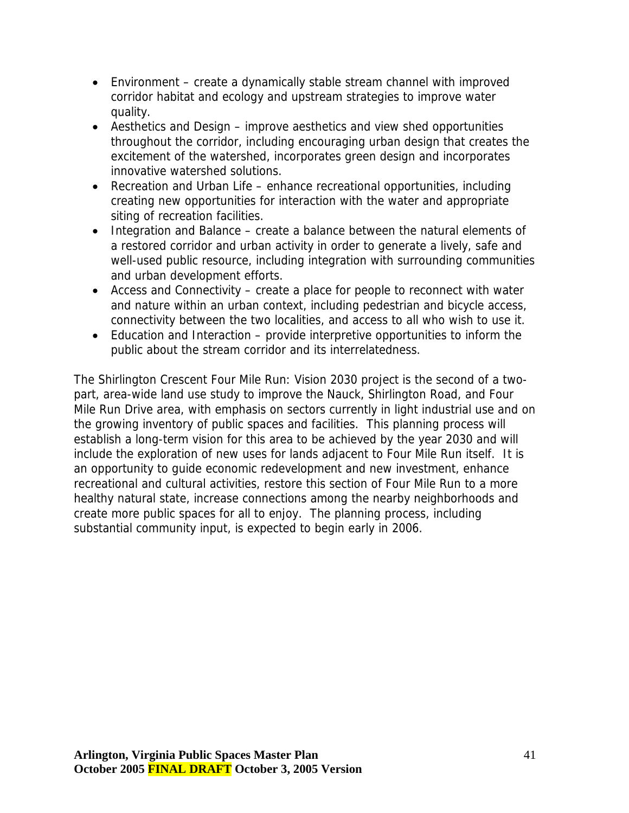- Environment create a dynamically stable stream channel with improved corridor habitat and ecology and upstream strategies to improve water quality.
- Aesthetics and Design improve aesthetics and view shed opportunities throughout the corridor, including encouraging urban design that creates the excitement of the watershed, incorporates green design and incorporates innovative watershed solutions.
- Recreation and Urban Life enhance recreational opportunities, including creating new opportunities for interaction with the water and appropriate siting of recreation facilities.
- Integration and Balance create a balance between the natural elements of a restored corridor and urban activity in order to generate a lively, safe and well-used public resource, including integration with surrounding communities and urban development efforts.
- Access and Connectivity create a place for people to reconnect with water and nature within an urban context, including pedestrian and bicycle access, connectivity between the two localities, and access to all who wish to use it.
- Education and Interaction provide interpretive opportunities to inform the public about the stream corridor and its interrelatedness.

The Shirlington Crescent Four Mile Run: Vision 2030 project is the second of a twopart, area-wide land use study to improve the Nauck, Shirlington Road, and Four Mile Run Drive area, with emphasis on sectors currently in light industrial use and on the growing inventory of public spaces and facilities. This planning process will establish a long-term vision for this area to be achieved by the year 2030 and will include the exploration of new uses for lands adjacent to Four Mile Run itself. It is an opportunity to guide economic redevelopment and new investment, enhance recreational and cultural activities, restore this section of Four Mile Run to a more healthy natural state, increase connections among the nearby neighborhoods and create more public spaces for all to enjoy. The planning process, including substantial community input, is expected to begin early in 2006.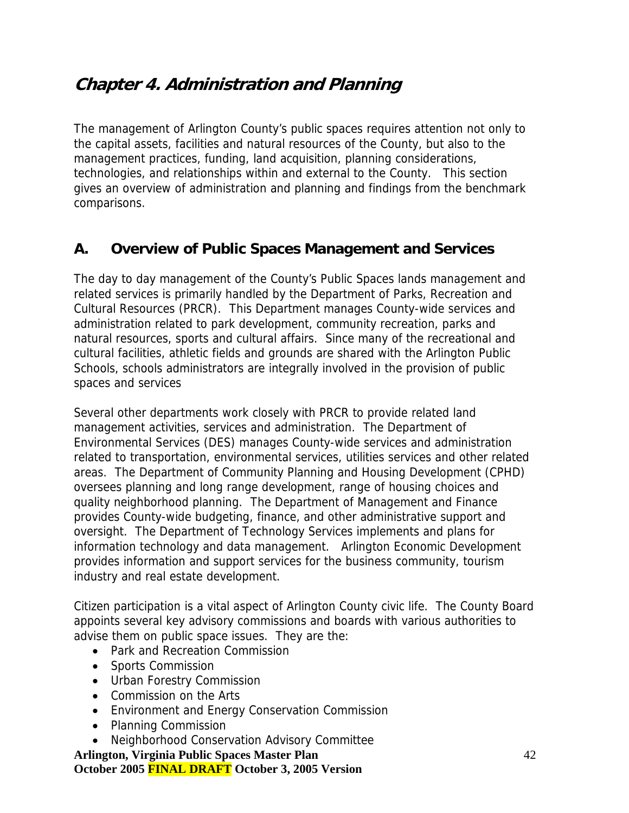# <span id="page-41-0"></span>**Chapter 4. Administration and Planning**

The management of Arlington County's public spaces requires attention not only to the capital assets, facilities and natural resources of the County, but also to the management practices, funding, land acquisition, planning considerations, technologies, and relationships within and external to the County. This section gives an overview of administration and planning and findings from the benchmark comparisons.

## **A. Overview of Public Spaces Management and Services**

The day to day management of the County's Public Spaces lands management and related services is primarily handled by the Department of Parks, Recreation and Cultural Resources (PRCR). This Department manages County-wide services and administration related to park development, community recreation, parks and natural resources, sports and cultural affairs. Since many of the recreational and cultural facilities, athletic fields and grounds are shared with the Arlington Public Schools, schools administrators are integrally involved in the provision of public spaces and services

Several other departments work closely with PRCR to provide related land management activities, services and administration. The Department of Environmental Services (DES) manages County-wide services and administration related to transportation, environmental services, utilities services and other related areas. The Department of Community Planning and Housing Development (CPHD) oversees planning and long range development, range of housing choices and quality neighborhood planning. The Department of Management and Finance provides County-wide budgeting, finance, and other administrative support and oversight. The Department of Technology Services implements and plans for information technology and data management. Arlington Economic Development provides information and support services for the business community, tourism industry and real estate development.

Citizen participation is a vital aspect of Arlington County civic life. The County Board appoints several key advisory commissions and boards with various authorities to advise them on public space issues. They are the:

- Park and Recreation Commission
- Sports Commission
- Urban Forestry Commission
- Commission on the Arts
- Environment and Energy Conservation Commission
- Planning Commission
- Neighborhood Conservation Advisory Committee

**Arlington, Virginia Public Spaces Master Plan October 2005 FINAL DRAFT October 3, 2005 Version**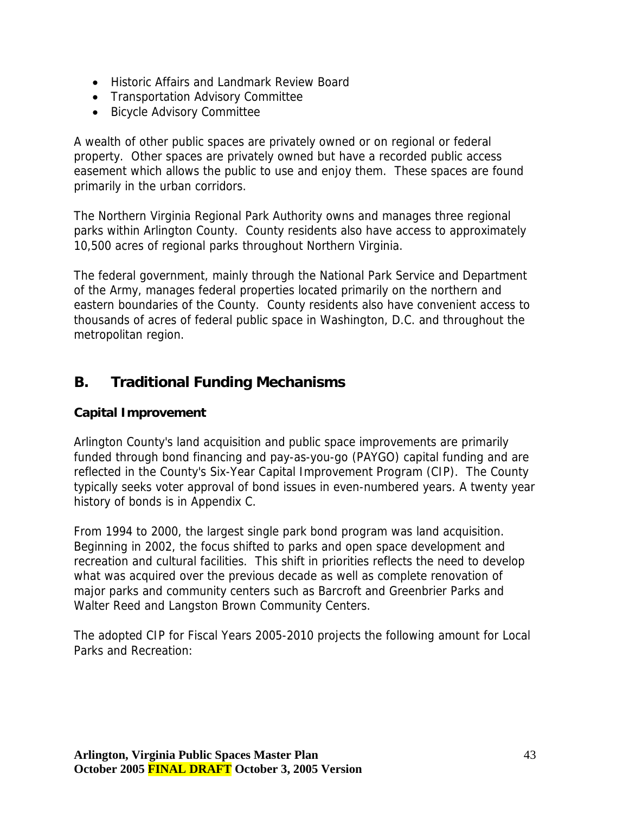- <span id="page-42-0"></span>• Historic Affairs and Landmark Review Board
- Transportation Advisory Committee
- Bicycle Advisory Committee

A wealth of other public spaces are privately owned or on regional or federal property. Other spaces are privately owned but have a recorded public access easement which allows the public to use and enjoy them. These spaces are found primarily in the urban corridors.

The Northern Virginia Regional Park Authority owns and manages three regional parks within Arlington County. County residents also have access to approximately 10,500 acres of regional parks throughout Northern Virginia.

The federal government, mainly through the National Park Service and Department of the Army, manages federal properties located primarily on the northern and eastern boundaries of the County. County residents also have convenient access to thousands of acres of federal public space in Washington, D.C. and throughout the metropolitan region.

# **B. Traditional Funding Mechanisms**

## **Capital Improvement**

Arlington County's land acquisition and public space improvements are primarily funded through bond financing and pay-as-you-go (PAYGO) capital funding and are reflected in the County's Six-Year Capital Improvement Program (CIP). The County typically seeks voter approval of bond issues in even-numbered years. A twenty year history of bonds is in Appendix C.

From 1994 to 2000, the largest single park bond program was land acquisition. Beginning in 2002, the focus shifted to parks and open space development and recreation and cultural facilities. This shift in priorities reflects the need to develop what was acquired over the previous decade as well as complete renovation of major parks and community centers such as Barcroft and Greenbrier Parks and Walter Reed and Langston Brown Community Centers.

The adopted CIP for Fiscal Years 2005-2010 projects the following amount for Local Parks and Recreation: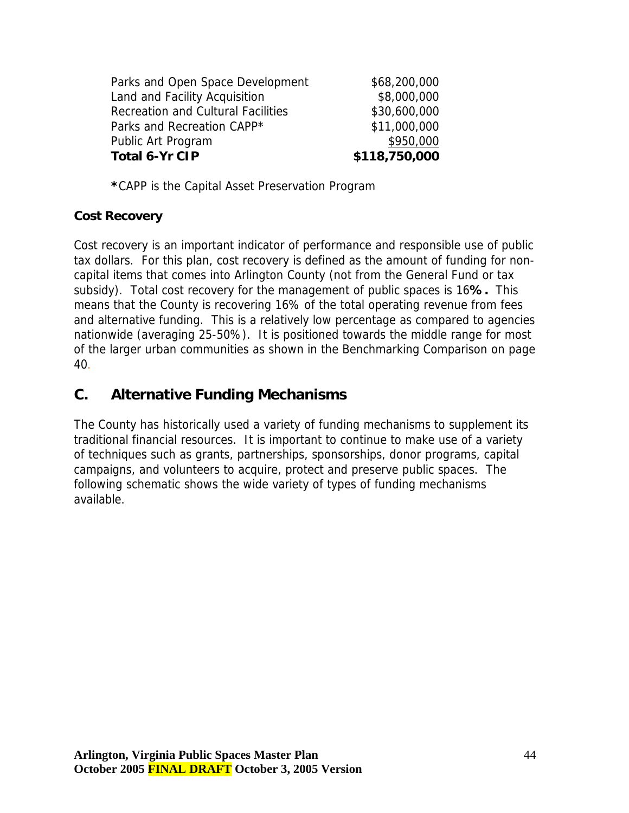<span id="page-43-0"></span>

| <b>Total 6-Yr CIP</b>                     | \$118,750,000 |
|-------------------------------------------|---------------|
| Public Art Program                        | \$950,000     |
| Parks and Recreation CAPP*                | \$11,000,000  |
| <b>Recreation and Cultural Facilities</b> | \$30,600,000  |
| Land and Facility Acquisition             | \$8,000,000   |
| Parks and Open Space Development          | \$68,200,000  |
|                                           |               |

**\***CAPP is the Capital Asset Preservation Program

#### **Cost Recovery**

Cost recovery is an important indicator of performance and responsible use of public tax dollars. For this plan, cost recovery is defined as the amount of funding for noncapital items that comes into Arlington County (not from the General Fund or tax subsidy). Total cost recovery for the management of public spaces is 16**%.** This means that the County is recovering 16% of the total operating revenue from fees and alternative funding. This is a relatively low percentage as compared to agencies nationwide (averaging 25-50%). It is positioned towards the middle range for most of the larger urban communities as shown in the Benchmarking Comparison on page 40.

## **C. Alternative Funding Mechanisms**

The County has historically used a variety of funding mechanisms to supplement its traditional financial resources. It is important to continue to make use of a variety of techniques such as grants, partnerships, sponsorships, donor programs, capital campaigns, and volunteers to acquire, protect and preserve public spaces. The following schematic shows the wide variety of types of funding mechanisms available.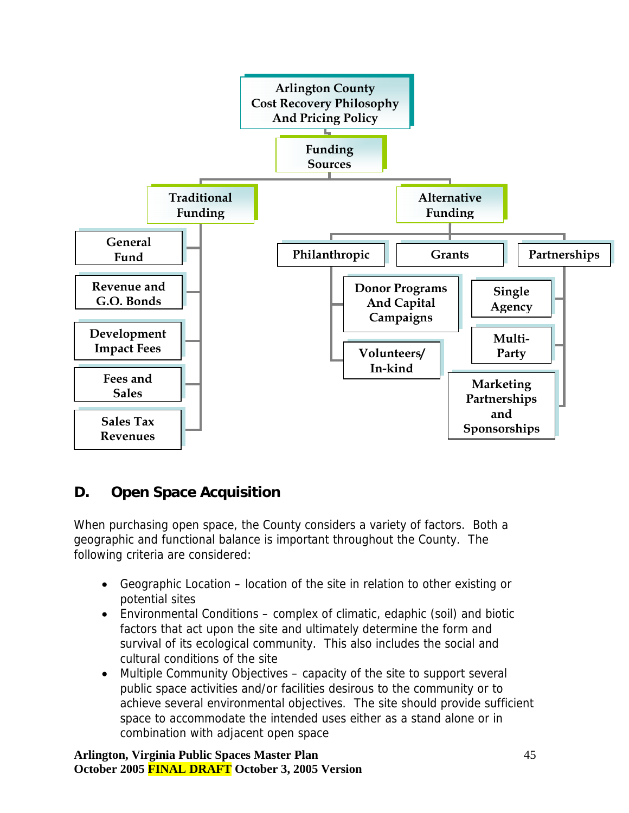<span id="page-44-0"></span>

# **D. Open Space Acquisition**

When purchasing open space, the County considers a variety of factors. Both a geographic and functional balance is important throughout the County. The following criteria are considered:

- Geographic Location location of the site in relation to other existing or potential sites
- Environmental Conditions complex of climatic, edaphic (soil) and biotic factors that act upon the site and ultimately determine the form and survival of its ecological community. This also includes the social and cultural conditions of the site
- Multiple Community Objectives capacity of the site to support several public space activities and/or facilities desirous to the community or to achieve several environmental objectives. The site should provide sufficient space to accommodate the intended uses either as a stand alone or in combination with adjacent open space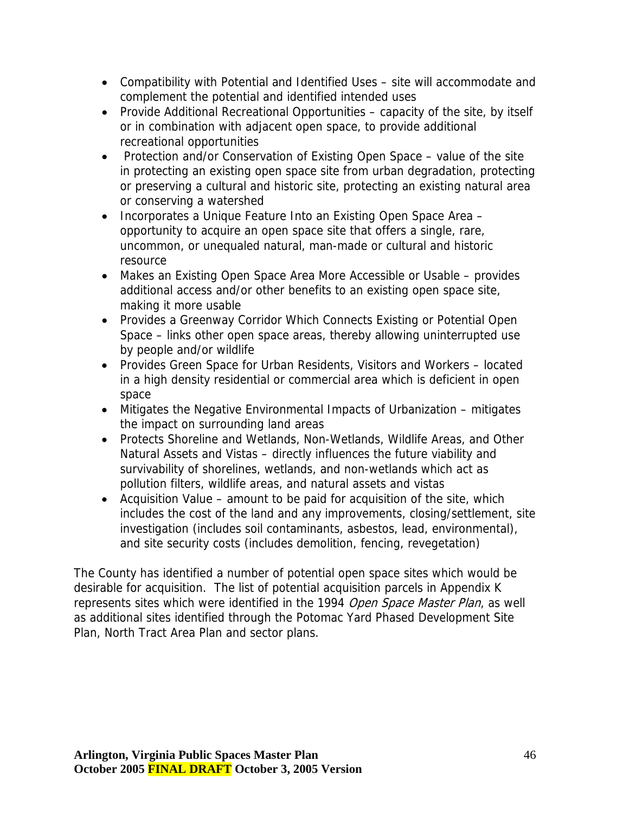- Compatibility with Potential and Identified Uses site will accommodate and complement the potential and identified intended uses
- Provide Additional Recreational Opportunities capacity of the site, by itself or in combination with adjacent open space, to provide additional recreational opportunities
- Protection and/or Conservation of Existing Open Space value of the site in protecting an existing open space site from urban degradation, protecting or preserving a cultural and historic site, protecting an existing natural area or conserving a watershed
- Incorporates a Unique Feature Into an Existing Open Space Area opportunity to acquire an open space site that offers a single, rare, uncommon, or unequaled natural, man-made or cultural and historic resource
- Makes an Existing Open Space Area More Accessible or Usable provides additional access and/or other benefits to an existing open space site, making it more usable
- Provides a Greenway Corridor Which Connects Existing or Potential Open Space – links other open space areas, thereby allowing uninterrupted use by people and/or wildlife
- Provides Green Space for Urban Residents, Visitors and Workers located in a high density residential or commercial area which is deficient in open space
- Mitigates the Negative Environmental Impacts of Urbanization mitigates the impact on surrounding land areas
- Protects Shoreline and Wetlands, Non-Wetlands, Wildlife Areas, and Other Natural Assets and Vistas – directly influences the future viability and survivability of shorelines, wetlands, and non-wetlands which act as pollution filters, wildlife areas, and natural assets and vistas
- Acquisition Value amount to be paid for acquisition of the site, which includes the cost of the land and any improvements, closing/settlement, site investigation (includes soil contaminants, asbestos, lead, environmental), and site security costs (includes demolition, fencing, revegetation)

The County has identified a number of potential open space sites which would be desirable for acquisition. The list of potential acquisition parcels in Appendix K represents sites which were identified in the 1994 Open Space Master Plan, as well as additional sites identified through the Potomac Yard Phased Development Site Plan, North Tract Area Plan and sector plans.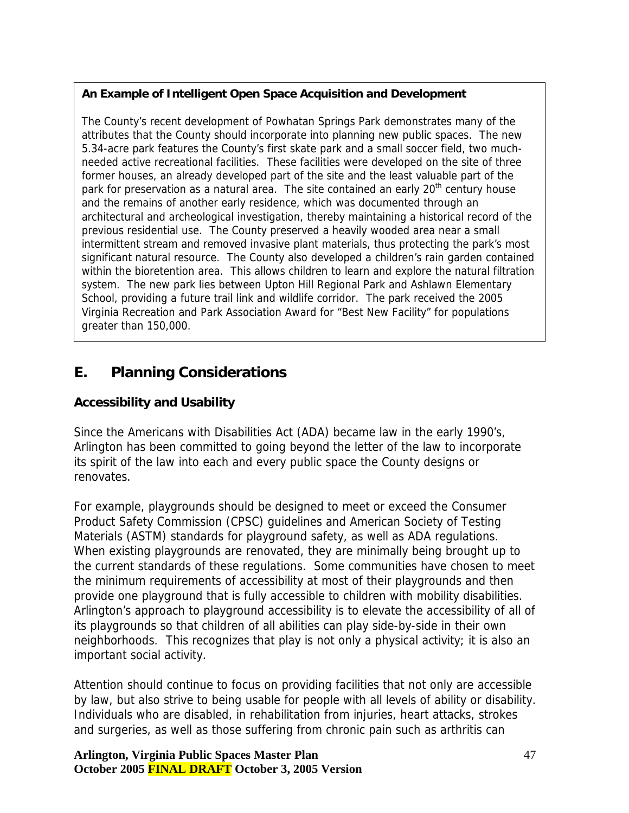#### <span id="page-46-0"></span>**An Example of Intelligent Open Space Acquisition and Development**

The County's recent development of Powhatan Springs Park demonstrates many of the attributes that the County should incorporate into planning new public spaces. The new 5.34-acre park features the County's first skate park and a small soccer field, two muchneeded active recreational facilities. These facilities were developed on the site of three former houses, an already developed part of the site and the least valuable part of the park for preservation as a natural area. The site contained an early 20<sup>th</sup> century house and the remains of another early residence, which was documented through an architectural and archeological investigation, thereby maintaining a historical record of the previous residential use. The County preserved a heavily wooded area near a small intermittent stream and removed invasive plant materials, thus protecting the park's most significant natural resource. The County also developed a children's rain garden contained within the bioretention area. This allows children to learn and explore the natural filtration system. The new park lies between Upton Hill Regional Park and Ashlawn Elementary School, providing a future trail link and wildlife corridor. The park received the 2005 Virginia Recreation and Park Association Award for "Best New Facility" for populations greater than 150,000.

# **E. Planning Considerations**

## **Accessibility and Usability**

Since the Americans with Disabilities Act (ADA) became law in the early 1990's, Arlington has been committed to going beyond the letter of the law to incorporate its spirit of the law into each and every public space the County designs or renovates.

For example, playgrounds should be designed to meet or exceed the Consumer Product Safety Commission (CPSC) guidelines and American Society of Testing Materials (ASTM) standards for playground safety, as well as ADA regulations. When existing playgrounds are renovated, they are minimally being brought up to the current standards of these regulations. Some communities have chosen to meet the minimum requirements of accessibility at most of their playgrounds and then provide one playground that is fully accessible to children with mobility disabilities. Arlington's approach to playground accessibility is to elevate the accessibility of all of its playgrounds so that children of all abilities can play side-by-side in their own neighborhoods. This recognizes that play is not only a physical activity; it is also an important social activity.

Attention should continue to focus on providing facilities that not only are accessible by law, but also strive to being usable for people with all levels of ability or disability. Individuals who are disabled, in rehabilitation from injuries, heart attacks, strokes and surgeries, as well as those suffering from chronic pain such as arthritis can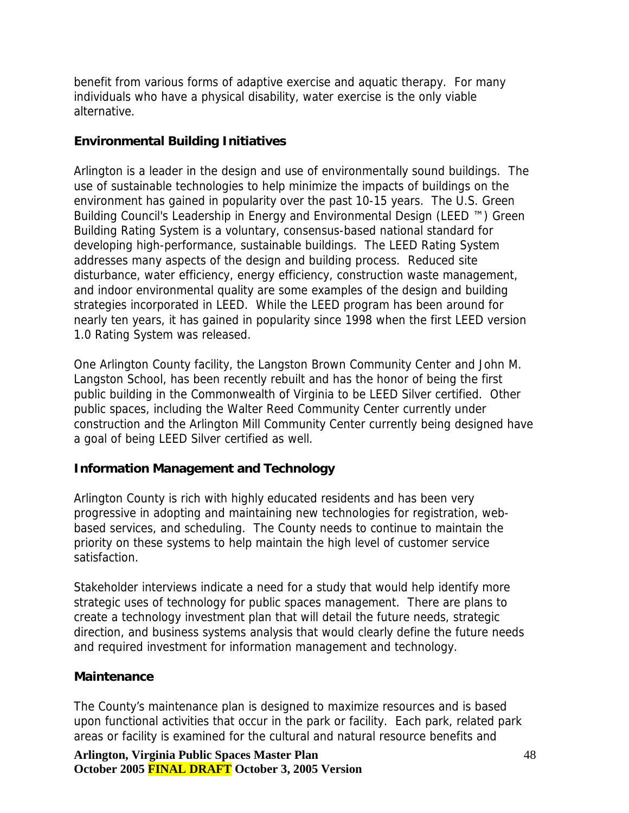benefit from various forms of adaptive exercise and aquatic therapy. For many individuals who have a physical disability, water exercise is the only viable alternative.

#### **Environmental Building Initiatives**

Arlington is a leader in the design and use of environmentally sound buildings. The use of sustainable technologies to help minimize the impacts of buildings on the environment has gained in popularity over the past 10-15 years. The U.S. Green Building Council's Leadership in Energy and Environmental Design (LEED ™) Green Building Rating System is a voluntary, consensus-based national standard for developing high-performance, sustainable buildings. The LEED Rating System addresses many aspects of the design and building process. Reduced site disturbance, water efficiency, energy efficiency, construction waste management, and indoor environmental quality are some examples of the design and building strategies incorporated in LEED. While the LEED program has been around for nearly ten years, it has gained in popularity since 1998 when the first LEED version 1.0 Rating System was released.

One Arlington County facility, the Langston Brown Community Center and John M. Langston School, has been recently rebuilt and has the honor of being the first public building in the Commonwealth of Virginia to be LEED Silver certified. Other public spaces, including the Walter Reed Community Center currently under construction and the Arlington Mill Community Center currently being designed have a goal of being LEED Silver certified as well.

## **Information Management and Technology**

Arlington County is rich with highly educated residents and has been very progressive in adopting and maintaining new technologies for registration, webbased services, and scheduling. The County needs to continue to maintain the priority on these systems to help maintain the high level of customer service satisfaction.

Stakeholder interviews indicate a need for a study that would help identify more strategic uses of technology for public spaces management. There are plans to create a technology investment plan that will detail the future needs, strategic direction, and business systems analysis that would clearly define the future needs and required investment for information management and technology.

#### **Maintenance**

The County's maintenance plan is designed to maximize resources and is based upon functional activities that occur in the park or facility. Each park, related park areas or facility is examined for the cultural and natural resource benefits and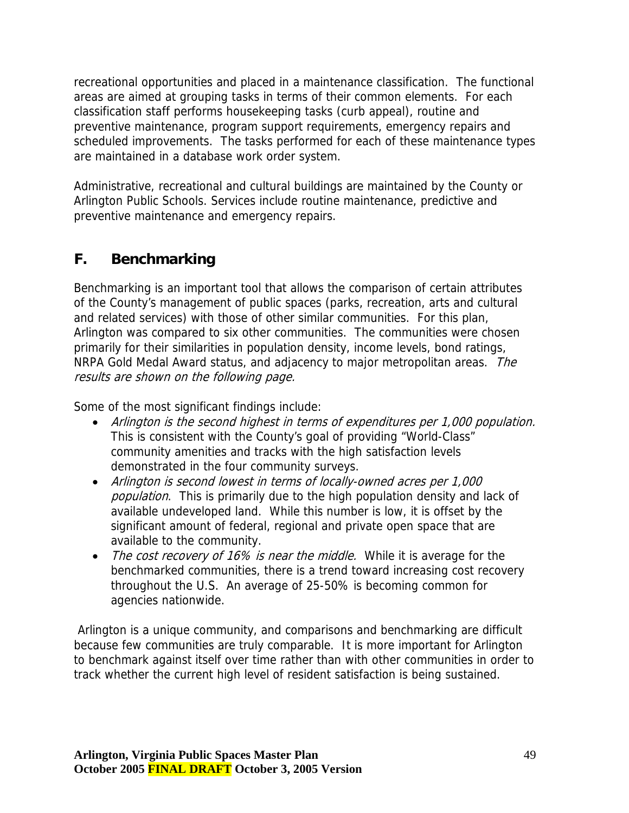<span id="page-48-0"></span>recreational opportunities and placed in a maintenance classification. The functional areas are aimed at grouping tasks in terms of their common elements. For each classification staff performs housekeeping tasks (curb appeal), routine and preventive maintenance, program support requirements, emergency repairs and scheduled improvements. The tasks performed for each of these maintenance types are maintained in a database work order system.

Administrative, recreational and cultural buildings are maintained by the County or Arlington Public Schools. Services include routine maintenance, predictive and preventive maintenance and emergency repairs.

# **F. Benchmarking**

results are shown on the following page. Benchmarking is an important tool that allows the comparison of certain attributes of the County's management of public spaces (parks, recreation, arts and cultural and related services) with those of other similar communities. For this plan, Arlington was compared to six other communities. The communities were chosen primarily for their similarities in population density, income levels, bond ratings, NRPA Gold Medal Award status, and adjacency to major metropolitan areas. The

Some of the most significant findings include:

- Arlington is the second highest in terms of expenditures per 1,000 population. This is consistent with the County's goal of providing "World-Class" community amenities and tracks with the high satisfaction levels demonstrated in the four community surveys.
- Arlington is second lowest in terms of locally-owned acres per 1,000 population. This is primarily due to the high population density and lack of available undeveloped land. While this number is low, it is offset by the significant amount of federal, regional and private open space that are available to the community.
- The cost recovery of 16% is near the middle. While it is average for the benchmarked communities, there is a trend toward increasing cost recovery throughout the U.S. An average of 25-50% is becoming common for agencies nationwide.

 Arlington is a unique community, and comparisons and benchmarking are difficult because few communities are truly comparable. It is more important for Arlington to benchmark against itself over time rather than with other communities in order to track whether the current high level of resident satisfaction is being sustained.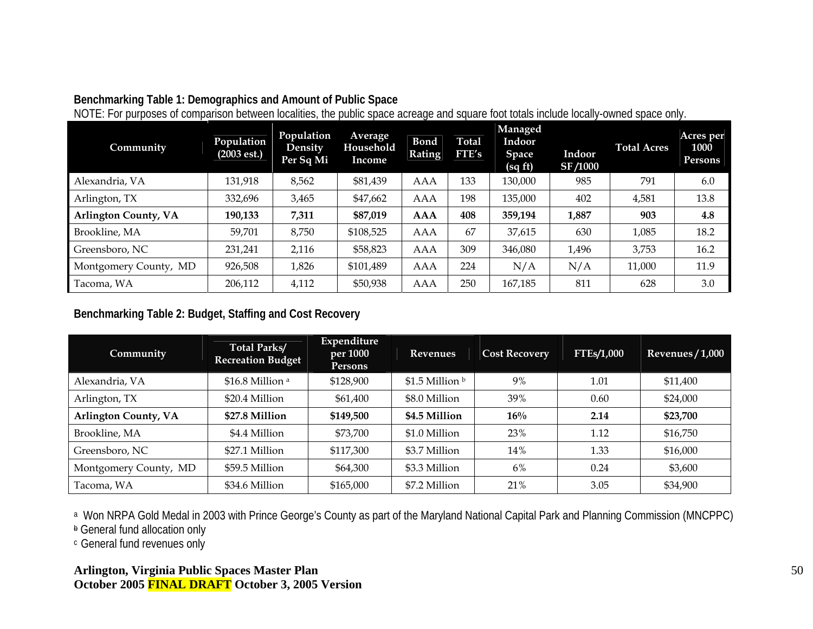#### **Benchmarking Table 1: Demographics and Amount of Public Space**

| Community                   | Population<br>(2003est.) | Population<br>Density<br>Per Sq Mi | Average<br>Household<br>Income | . .<br><b>Bond</b><br><b>Rating</b> | <b>Total</b><br>FTE's | Managed<br>Indoor<br><b>Space</b><br>(sqft) | Indoor<br><b>SF/1000</b> | <b>Total Acres</b> | Acres per<br>1000<br><b>Persons</b> |
|-----------------------------|--------------------------|------------------------------------|--------------------------------|-------------------------------------|-----------------------|---------------------------------------------|--------------------------|--------------------|-------------------------------------|
| Alexandria, VA              | 131,918                  | 8,562                              | \$81,439                       | AAA                                 | 133                   | 130,000                                     | 985                      | 791                | 6.0                                 |
| Arlington, TX               | 332,696                  | 3,465                              | \$47,662                       | AAA                                 | 198                   | 135,000                                     | 402                      | 4,581              | 13.8                                |
| <b>Arlington County, VA</b> | 190,133                  | 7,311                              | \$87,019                       | <b>AAA</b>                          | 408                   | 359,194                                     | 1,887                    | 903                | 4.8                                 |
| Brookline, MA               | 59,701                   | 8,750                              | \$108,525                      | AAA                                 | 67                    | 37,615                                      | 630                      | 1,085              | 18.2                                |
| Greensboro, NC              | 231,241                  | 2,116                              | \$58,823                       | AAA                                 | 309                   | 346,080                                     | 1,496                    | 3,753              | 16.2                                |
| Montgomery County, MD       | 926,508                  | 1,826                              | \$101,489                      | AAA                                 | 224                   | N/A                                         | N/A                      | 11,000             | 11.9                                |
| Tacoma, WA                  | 206,112                  | 4,112                              | \$50,938                       | <b>AAA</b>                          | 250                   | 167,185                                     | 811                      | 628                | 3.0                                 |

NOTE: For purposes of comparison between localities, the public space acreage and square foot totals include locally-owned space only.

#### **Benchmarking Table 2: Budget, Staffing and Cost Recovery**

| Community                   | <b>Total Parks/</b><br><b>Recreation Budget</b> | Expenditure<br>per 1000<br><b>Persons</b> | <b>Revenues</b> | <b>Cost Recovery</b> | <b>FTEs/1,000</b> | Revenues $/1,000$ |
|-----------------------------|-------------------------------------------------|-------------------------------------------|-----------------|----------------------|-------------------|-------------------|
| Alexandria, VA              | \$16.8 Million <sup>a</sup>                     | \$128,900                                 | \$1.5 Million b | 9%                   | 1.01              | \$11,400          |
| Arlington, TX               | \$20.4 Million                                  | \$61,400                                  | \$8.0 Million   | 39%                  | 0.60              | \$24,000          |
| <b>Arlington County, VA</b> | \$27.8 Million                                  | \$149,500                                 | \$4.5 Million   | $16\%$               | 2.14              | \$23,700          |
| Brookline, MA               | \$4.4 Million                                   | \$73,700                                  | \$1.0 Million   | 23%                  | 1.12              | \$16,750          |
| Greensboro, NC              | \$27.1 Million                                  | \$117,300                                 | \$3.7 Million   | 14%                  | 1.33              | \$16,000          |
| Montgomery County, MD       | \$59.5 Million                                  | \$64,300                                  | \$3.3 Million   | 6%                   | 0.24              | \$3,600           |
| Tacoma, WA                  | \$34.6 Million                                  | \$165,000                                 | \$7.2 Million   | 21%                  | 3.05              | \$34,900          |

a Won NRPA Gold Medal in 2003 with Prince George's County as part of the Maryland National Capital Park and Planning Commission (MNCPPC)

**b** General fund allocation only

c General fund revenues only

#### **Arlington, Virginia Public Spaces Master Plan October 2005 FINAL DRAFT October 3, 2005 Version**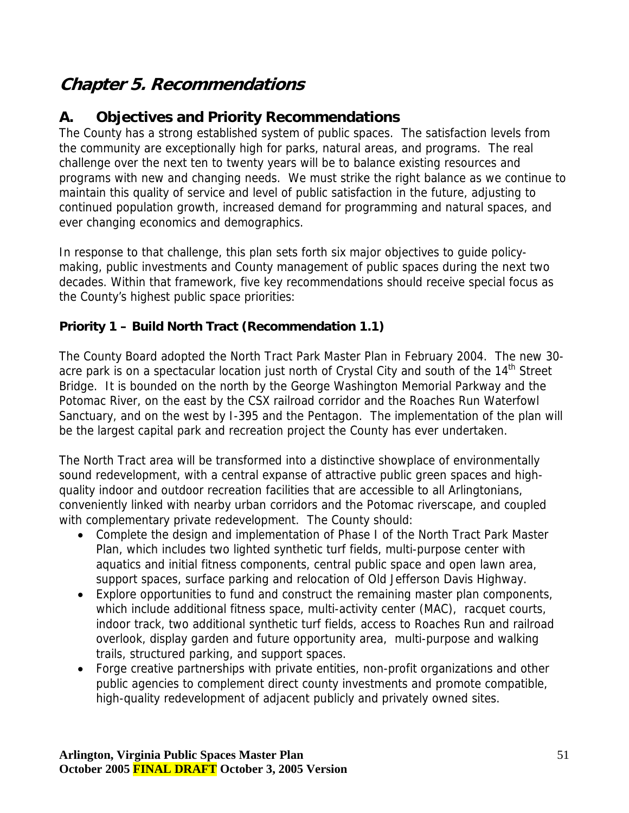# <span id="page-50-0"></span>**Chapter 5. Recommendations**

# **A. Objectives and Priority Recommendations**

The County has a strong established system of public spaces. The satisfaction levels from the community are exceptionally high for parks, natural areas, and programs. The real challenge over the next ten to twenty years will be to balance existing resources and programs with new and changing needs. We must strike the right balance as we continue to maintain this quality of service and level of public satisfaction in the future, adjusting to continued population growth, increased demand for programming and natural spaces, and ever changing economics and demographics.

In response to that challenge, this plan sets forth six major objectives to guide policymaking, public investments and County management of public spaces during the next two decades. Within that framework, five key recommendations should receive special focus as the County's highest public space priorities:

## **Priority 1 – Build North Tract (Recommendation 1.1)**

The County Board adopted the North Tract Park Master Plan in February 2004. The new 30 acre park is on a spectacular location just north of Crystal City and south of the 14<sup>th</sup> Street Bridge. It is bounded on the north by the George Washington Memorial Parkway and the Potomac River, on the east by the CSX railroad corridor and the Roaches Run Waterfowl Sanctuary, and on the west by I-395 and the Pentagon. The implementation of the plan will be the largest capital park and recreation project the County has ever undertaken.

The North Tract area will be transformed into a distinctive showplace of environmentally sound redevelopment, with a central expanse of attractive public green spaces and highquality indoor and outdoor recreation facilities that are accessible to all Arlingtonians, conveniently linked with nearby urban corridors and the Potomac riverscape, and coupled with complementary private redevelopment. The County should:

- Complete the design and implementation of Phase I of the North Tract Park Master Plan, which includes two lighted synthetic turf fields, multi-purpose center with aquatics and initial fitness components, central public space and open lawn area, support spaces, surface parking and relocation of Old Jefferson Davis Highway.
- Explore opportunities to fund and construct the remaining master plan components, which include additional fitness space, multi-activity center (MAC), racquet courts, indoor track, two additional synthetic turf fields, access to Roaches Run and railroad overlook, display garden and future opportunity area, multi-purpose and walking trails, structured parking, and support spaces.
- Forge creative partnerships with private entities, non-profit organizations and other public agencies to complement direct county investments and promote compatible, high-quality redevelopment of adjacent publicly and privately owned sites.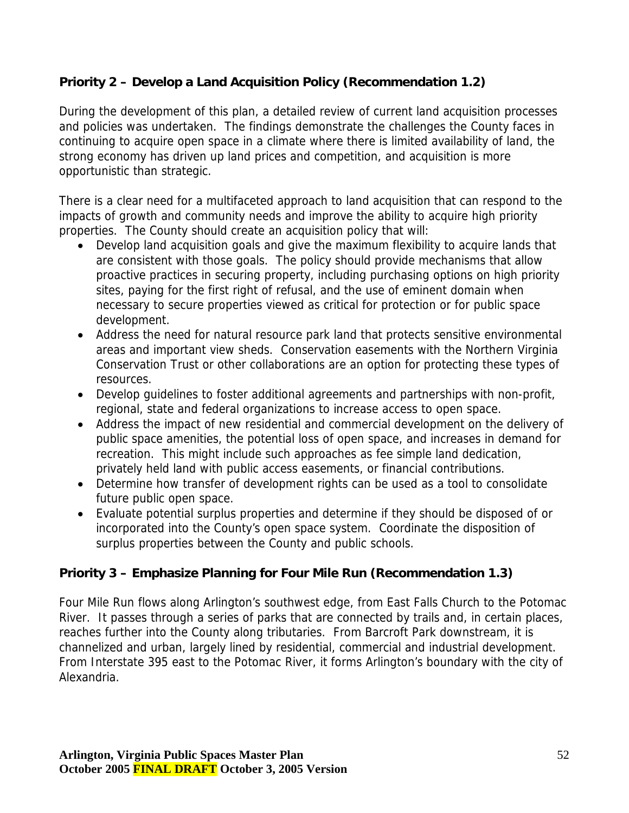## **Priority 2 – Develop a Land Acquisition Policy (Recommendation 1.2)**

During the development of this plan, a detailed review of current land acquisition processes and policies was undertaken. The findings demonstrate the challenges the County faces in continuing to acquire open space in a climate where there is limited availability of land, the strong economy has driven up land prices and competition, and acquisition is more opportunistic than strategic.

There is a clear need for a multifaceted approach to land acquisition that can respond to the impacts of growth and community needs and improve the ability to acquire high priority properties. The County should create an acquisition policy that will:

- Develop land acquisition goals and give the maximum flexibility to acquire lands that are consistent with those goals. The policy should provide mechanisms that allow proactive practices in securing property, including purchasing options on high priority sites, paying for the first right of refusal, and the use of eminent domain when necessary to secure properties viewed as critical for protection or for public space development.
- Address the need for natural resource park land that protects sensitive environmental areas and important view sheds. Conservation easements with the Northern Virginia Conservation Trust or other collaborations are an option for protecting these types of resources.
- Develop guidelines to foster additional agreements and partnerships with non-profit, regional, state and federal organizations to increase access to open space.
- Address the impact of new residential and commercial development on the delivery of public space amenities, the potential loss of open space, and increases in demand for recreation. This might include such approaches as fee simple land dedication, privately held land with public access easements, or financial contributions.
- Determine how transfer of development rights can be used as a tool to consolidate future public open space.
- Evaluate potential surplus properties and determine if they should be disposed of or incorporated into the County's open space system. Coordinate the disposition of surplus properties between the County and public schools.

## **Priority 3 – Emphasize Planning for Four Mile Run (Recommendation 1.3)**

Four Mile Run flows along Arlington's southwest edge, from East Falls Church to the Potomac River. It passes through a series of parks that are connected by trails and, in certain places, reaches further into the County along tributaries. From Barcroft Park downstream, it is channelized and urban, largely lined by residential, commercial and industrial development. From Interstate 395 east to the Potomac River, it forms Arlington's boundary with the city of Alexandria.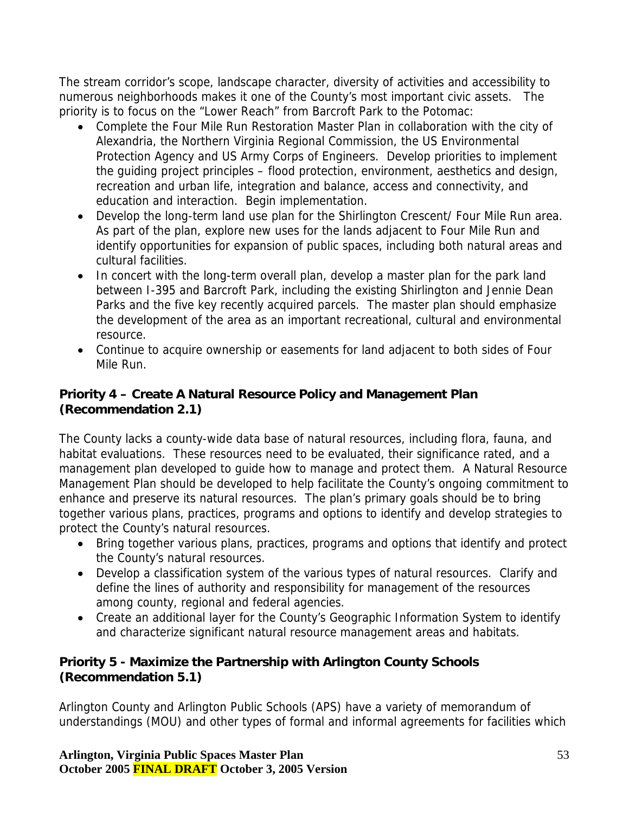The stream corridor's scope, landscape character, diversity of activities and accessibility to numerous neighborhoods makes it one of the County's most important civic assets. The priority is to focus on the "Lower Reach" from Barcroft Park to the Potomac:

- Complete the Four Mile Run Restoration Master Plan in collaboration with the city of Alexandria, the Northern Virginia Regional Commission, the US Environmental Protection Agency and US Army Corps of Engineers. Develop priorities to implement the guiding project principles – flood protection, environment, aesthetics and design, recreation and urban life, integration and balance, access and connectivity, and education and interaction. Begin implementation.
- Develop the long-term land use plan for the Shirlington Crescent/ Four Mile Run area. As part of the plan, explore new uses for the lands adjacent to Four Mile Run and identify opportunities for expansion of public spaces, including both natural areas and cultural facilities.
- In concert with the long-term overall plan, develop a master plan for the park land between I-395 and Barcroft Park, including the existing Shirlington and Jennie Dean Parks and the five key recently acquired parcels. The master plan should emphasize the development of the area as an important recreational, cultural and environmental resource.
- Continue to acquire ownership or easements for land adjacent to both sides of Four Mile Run.

## **Priority 4 – Create A Natural Resource Policy and Management Plan (Recommendation 2.1)**

The County lacks a county-wide data base of natural resources, including flora, fauna, and habitat evaluations. These resources need to be evaluated, their significance rated, and a management plan developed to guide how to manage and protect them. A Natural Resource Management Plan should be developed to help facilitate the County's ongoing commitment to enhance and preserve its natural resources. The plan's primary goals should be to bring together various plans, practices, programs and options to identify and develop strategies to protect the County's natural resources.

- Bring together various plans, practices, programs and options that identify and protect the County's natural resources.
- Develop a classification system of the various types of natural resources. Clarify and define the lines of authority and responsibility for management of the resources among county, regional and federal agencies.
- Create an additional layer for the County's Geographic Information System to identify and characterize significant natural resource management areas and habitats.

### **Priority 5 - Maximize the Partnership with Arlington County Schools (Recommendation 5.1)**

Arlington County and Arlington Public Schools (APS) have a variety of memorandum of understandings (MOU) and other types of formal and informal agreements for facilities which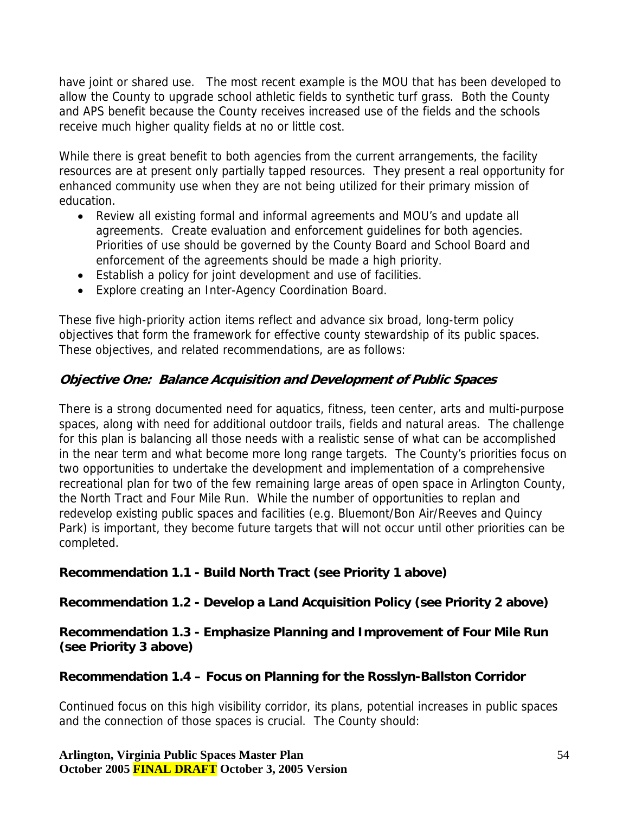have joint or shared use. The most recent example is the MOU that has been developed to allow the County to upgrade school athletic fields to synthetic turf grass. Both the County and APS benefit because the County receives increased use of the fields and the schools receive much higher quality fields at no or little cost.

While there is great benefit to both agencies from the current arrangements, the facility resources are at present only partially tapped resources. They present a real opportunity for enhanced community use when they are not being utilized for their primary mission of education.

- Review all existing formal and informal agreements and MOU's and update all agreements. Create evaluation and enforcement guidelines for both agencies. Priorities of use should be governed by the County Board and School Board and enforcement of the agreements should be made a high priority.
- Establish a policy for joint development and use of facilities.
- Explore creating an Inter-Agency Coordination Board.

These five high-priority action items reflect and advance six broad, long-term policy objectives that form the framework for effective county stewardship of its public spaces. These objectives, and related recommendations, are as follows:

### **Objective One: Balance Acquisition and Development of Public Spaces**

There is a strong documented need for aquatics, fitness, teen center, arts and multi-purpose spaces, along with need for additional outdoor trails, fields and natural areas. The challenge for this plan is balancing all those needs with a realistic sense of what can be accomplished in the near term and what become more long range targets. The County's priorities focus on two opportunities to undertake the development and implementation of a comprehensive recreational plan for two of the few remaining large areas of open space in Arlington County, the North Tract and Four Mile Run. While the number of opportunities to replan and redevelop existing public spaces and facilities (e.g. Bluemont/Bon Air/Reeves and Quincy Park) is important, they become future targets that will not occur until other priorities can be completed.

#### **Recommendation 1.1 - Build North Tract (see Priority 1 above)**

#### **Recommendation 1.2 - Develop a Land Acquisition Policy (see Priority 2 above)**

#### **Recommendation 1.3 - Emphasize Planning and Improvement of Four Mile Run (see Priority 3 above)**

#### **Recommendation 1.4 – Focus on Planning for the Rosslyn-Ballston Corridor**

Continued focus on this high visibility corridor, its plans, potential increases in public spaces and the connection of those spaces is crucial. The County should: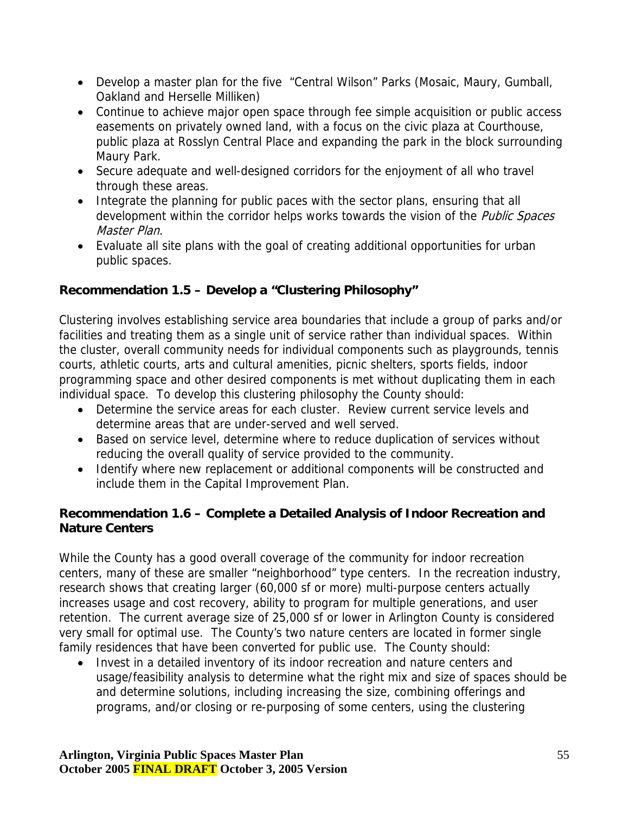- Develop a master plan for the five "Central Wilson" Parks (Mosaic, Maury, Gumball, Oakland and Herselle Milliken)
- Continue to achieve major open space through fee simple acquisition or public access easements on privately owned land, with a focus on the civic plaza at Courthouse, public plaza at Rosslyn Central Place and expanding the park in the block surrounding Maury Park.
- Secure adequate and well-designed corridors for the enjoyment of all who travel through these areas.
- Integrate the planning for public paces with the sector plans, ensuring that all development within the corridor helps works towards the vision of the *Public Spaces* Master Plan.
- Evaluate all site plans with the goal of creating additional opportunities for urban public spaces.

## **Recommendation 1.5 – Develop a "Clustering Philosophy"**

Clustering involves establishing service area boundaries that include a group of parks and/or facilities and treating them as a single unit of service rather than individual spaces. Within the cluster, overall community needs for individual components such as playgrounds, tennis courts, athletic courts, arts and cultural amenities, picnic shelters, sports fields, indoor programming space and other desired components is met without duplicating them in each individual space. To develop this clustering philosophy the County should:

- Determine the service areas for each cluster. Review current service levels and determine areas that are under-served and well served.
- Based on service level, determine where to reduce duplication of services without reducing the overall quality of service provided to the community.
- Identify where new replacement or additional components will be constructed and include them in the Capital Improvement Plan.

### **Recommendation 1.6 – Complete a Detailed Analysis of Indoor Recreation and Nature Centers**

While the County has a good overall coverage of the community for indoor recreation centers, many of these are smaller "neighborhood" type centers. In the recreation industry, research shows that creating larger (60,000 sf or more) multi-purpose centers actually increases usage and cost recovery, ability to program for multiple generations, and user retention. The current average size of 25,000 sf or lower in Arlington County is considered very small for optimal use. The County's two nature centers are located in former single family residences that have been converted for public use. The County should:

• Invest in a detailed inventory of its indoor recreation and nature centers and usage/feasibility analysis to determine what the right mix and size of spaces should be and determine solutions, including increasing the size, combining offerings and programs, and/or closing or re-purposing of some centers, using the clustering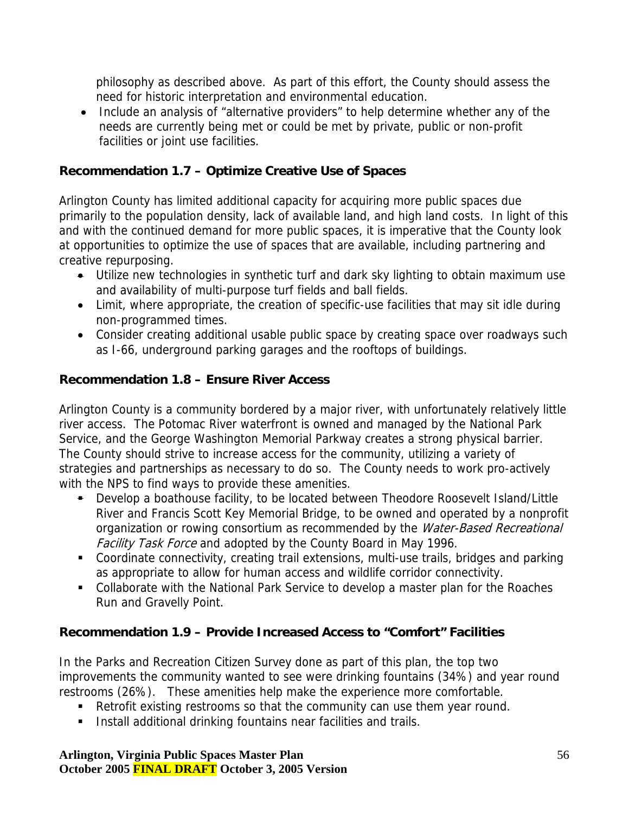philosophy as described above. As part of this effort, the County should assess the need for historic interpretation and environmental education.

• Include an analysis of "alternative providers" to help determine whether any of the needs are currently being met or could be met by private, public or non-profit facilities or joint use facilities.

#### **Recommendation 1.7 – Optimize Creative Use of Spaces**

Arlington County has limited additional capacity for acquiring more public spaces due primarily to the population density, lack of available land, and high land costs. In light of this and with the continued demand for more public spaces, it is imperative that the County look at opportunities to optimize the use of spaces that are available, including partnering and creative repurposing.

- Utilize new technologies in synthetic turf and dark sky lighting to obtain maximum use and availability of multi-purpose turf fields and ball fields.
- Limit, where appropriate, the creation of specific-use facilities that may sit idle during non-programmed times.
- Consider creating additional usable public space by creating space over roadways such as I-66, underground parking garages and the rooftops of buildings.

### **Recommendation 1.8 – Ensure River Access**

Arlington County is a community bordered by a major river, with unfortunately relatively little river access. The Potomac River waterfront is owned and managed by the National Park Service, and the George Washington Memorial Parkway creates a strong physical barrier. The County should strive to increase access for the community, utilizing a variety of strategies and partnerships as necessary to do so. The County needs to work pro-actively with the NPS to find ways to provide these amenities.

- Develop a boathouse facility, to be located between Theodore Roosevelt Island/Little River and Francis Scott Key Memorial Bridge, to be owned and operated by a nonprofit organization or rowing consortium as recommended by the Water-Based Recreational Facility Task Force and adopted by the County Board in May 1996.
- Coordinate connectivity, creating trail extensions, multi-use trails, bridges and parking as appropriate to allow for human access and wildlife corridor connectivity.
- Collaborate with the National Park Service to develop a master plan for the Roaches Run and Gravelly Point.

## **Recommendation 1.9 – Provide Increased Access to "Comfort" Facilities**

In the Parks and Recreation Citizen Survey done as part of this plan, the top two improvements the community wanted to see were drinking fountains (34%) and year round restrooms (26%). These amenities help make the experience more comfortable.

- **EXECTE:** Retrofit existing restrooms so that the community can use them year round.
- **Install additional drinking fountains near facilities and trails.**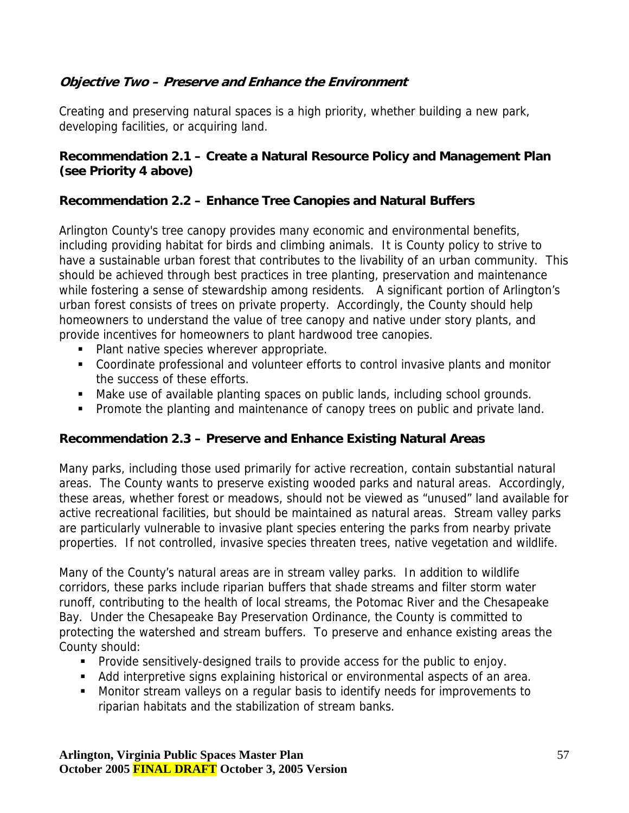## **Objective Two – Preserve and Enhance the Environment**

Creating and preserving natural spaces is a high priority, whether building a new park, developing facilities, or acquiring land.

#### **Recommendation 2.1 – Create a Natural Resource Policy and Management Plan (see Priority 4 above)**

#### **Recommendation 2.2 – Enhance Tree Canopies and Natural Buffers**

Arlington County's tree canopy provides many economic and environmental benefits, including providing habitat for birds and climbing animals. It is County policy to strive to have a sustainable urban forest that contributes to the livability of an urban community. This should be achieved through best practices in tree planting, preservation and maintenance while fostering a sense of stewardship among residents. A significant portion of Arlington's urban forest consists of trees on private property. Accordingly, the County should help homeowners to understand the value of tree canopy and native under story plants, and provide incentives for homeowners to plant hardwood tree canopies.

- **Plant native species wherever appropriate.**
- Coordinate professional and volunteer efforts to control invasive plants and monitor the success of these efforts.
- Make use of available planting spaces on public lands, including school grounds.
- **Promote the planting and maintenance of canopy trees on public and private land.**

#### **Recommendation 2.3 – Preserve and Enhance Existing Natural Areas**

Many parks, including those used primarily for active recreation, contain substantial natural areas. The County wants to preserve existing wooded parks and natural areas. Accordingly, these areas, whether forest or meadows, should not be viewed as "unused" land available for active recreational facilities, but should be maintained as natural areas. Stream valley parks are particularly vulnerable to invasive plant species entering the parks from nearby private properties. If not controlled, invasive species threaten trees, native vegetation and wildlife.

Many of the County's natural areas are in stream valley parks. In addition to wildlife corridors, these parks include riparian buffers that shade streams and filter storm water runoff, contributing to the health of local streams, the Potomac River and the Chesapeake Bay. Under the Chesapeake Bay Preservation Ordinance, the County is committed to protecting the watershed and stream buffers. To preserve and enhance existing areas the County should:

- Provide sensitively-designed trails to provide access for the public to enjoy.
- Add interpretive signs explaining historical or environmental aspects of an area.
- Monitor stream valleys on a regular basis to identify needs for improvements to riparian habitats and the stabilization of stream banks.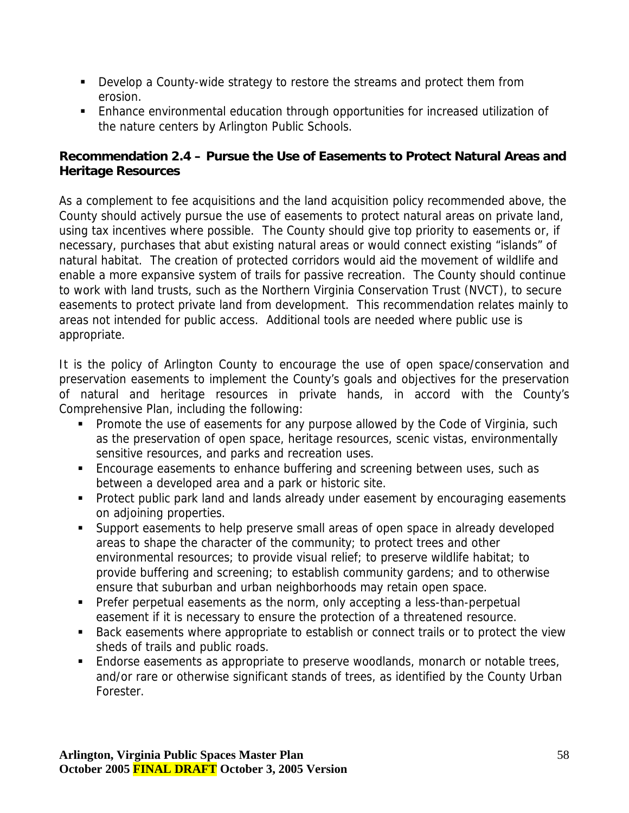- **Develop a County-wide strategy to restore the streams and protect them from** erosion.
- Enhance environmental education through opportunities for increased utilization of the nature centers by Arlington Public Schools.

### **Recommendation 2.4 – Pursue the Use of Easements to Protect Natural Areas and Heritage Resources**

As a complement to fee acquisitions and the land acquisition policy recommended above, the County should actively pursue the use of easements to protect natural areas on private land, using tax incentives where possible. The County should give top priority to easements or, if necessary, purchases that abut existing natural areas or would connect existing "islands" of natural habitat. The creation of protected corridors would aid the movement of wildlife and enable a more expansive system of trails for passive recreation. The County should continue to work with land trusts, such as the Northern Virginia Conservation Trust (NVCT), to secure easements to protect private land from development. This recommendation relates mainly to areas not intended for public access. Additional tools are needed where public use is appropriate.

It is the policy of Arlington County to encourage the use of open space/conservation and preservation easements to implement the County's goals and objectives for the preservation of natural and heritage resources in private hands, in accord with the County's Comprehensive Plan, including the following:

- **Promote the use of easements for any purpose allowed by the Code of Virginia, such** as the preservation of open space, heritage resources, scenic vistas, environmentally sensitive resources, and parks and recreation uses.
- **Encourage easements to enhance buffering and screening between uses, such as** between a developed area and a park or historic site.
- **Protect public park land and lands already under easement by encouraging easements** on adjoining properties.
- **Support easements to help preserve small areas of open space in already developed** areas to shape the character of the community; to protect trees and other environmental resources; to provide visual relief; to preserve wildlife habitat; to provide buffering and screening; to establish community gardens; and to otherwise ensure that suburban and urban neighborhoods may retain open space.
- Prefer perpetual easements as the norm, only accepting a less-than-perpetual easement if it is necessary to ensure the protection of a threatened resource.
- Back easements where appropriate to establish or connect trails or to protect the view sheds of trails and public roads.
- **Endorse easements as appropriate to preserve woodlands, monarch or notable trees,** and/or rare or otherwise significant stands of trees, as identified by the County Urban Forester.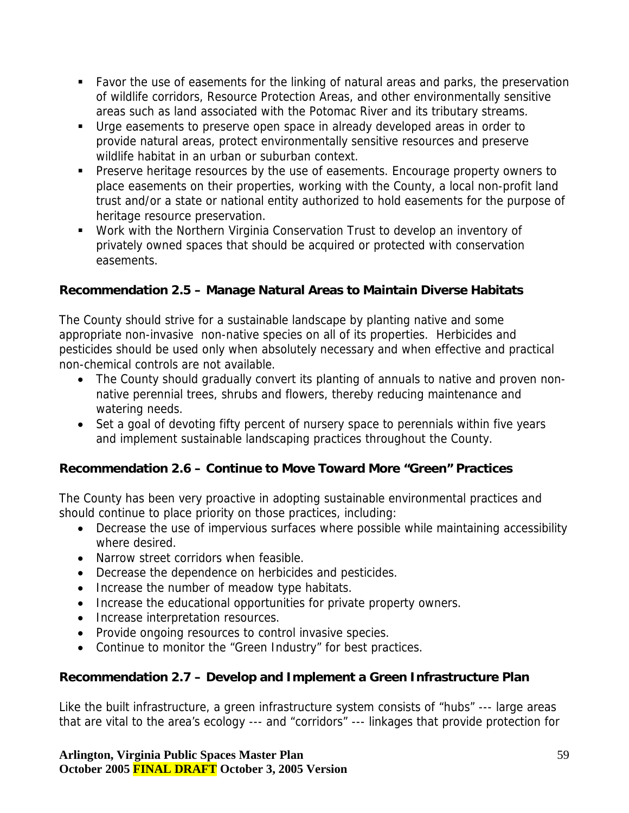- Favor the use of easements for the linking of natural areas and parks, the preservation of wildlife corridors, Resource Protection Areas, and other environmentally sensitive areas such as land associated with the Potomac River and its tributary streams.
- Urge easements to preserve open space in already developed areas in order to provide natural areas, protect environmentally sensitive resources and preserve wildlife habitat in an urban or suburban context.
- **Preserve heritage resources by the use of easements. Encourage property owners to** place easements on their properties, working with the County, a local non-profit land trust and/or a state or national entity authorized to hold easements for the purpose of heritage resource preservation.
- Work with the Northern Virginia Conservation Trust to develop an inventory of privately owned spaces that should be acquired or protected with conservation easements.

## **Recommendation 2.5 – Manage Natural Areas to Maintain Diverse Habitats**

The County should strive for a sustainable landscape by planting native and some appropriate non-invasive non-native species on all of its properties. Herbicides and pesticides should be used only when absolutely necessary and when effective and practical non-chemical controls are not available.

- The County should gradually convert its planting of annuals to native and proven nonnative perennial trees, shrubs and flowers, thereby reducing maintenance and watering needs.
- Set a goal of devoting fifty percent of nursery space to perennials within five years and implement sustainable landscaping practices throughout the County.

## **Recommendation 2.6 – Continue to Move Toward More "Green" Practices**

The County has been very proactive in adopting sustainable environmental practices and should continue to place priority on those practices, including:

- Decrease the use of impervious surfaces where possible while maintaining accessibility where desired.
- Narrow street corridors when feasible.
- Decrease the dependence on herbicides and pesticides.
- Increase the number of meadow type habitats.
- Increase the educational opportunities for private property owners.
- Increase interpretation resources.
- Provide ongoing resources to control invasive species.
- Continue to monitor the "Green Industry" for best practices.

## **Recommendation 2.7 – Develop and Implement a Green Infrastructure Plan**

Like the built infrastructure, a green infrastructure system consists of "hubs" --- large areas that are vital to the area's ecology --- and "corridors" --- linkages that provide protection for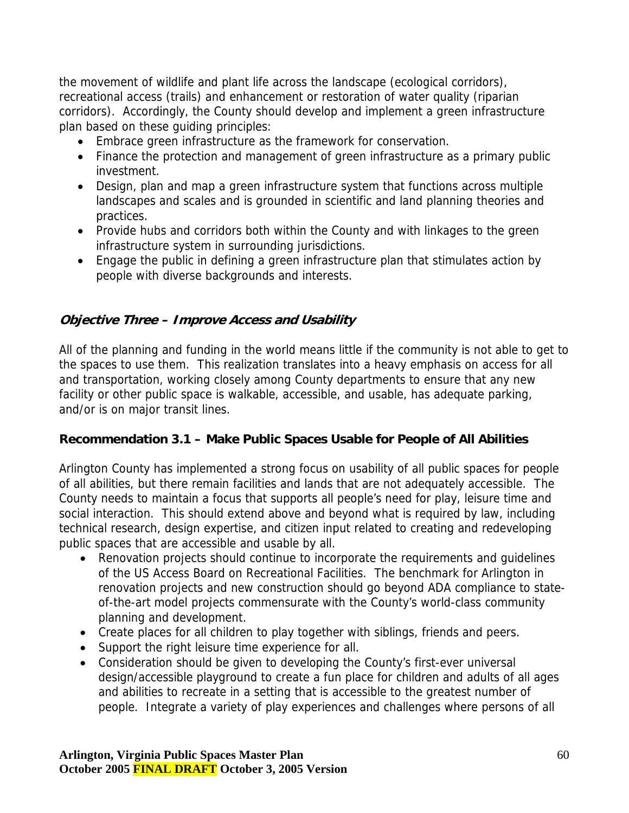the movement of wildlife and plant life across the landscape (ecological corridors), recreational access (trails) and enhancement or restoration of water quality (riparian corridors). Accordingly, the County should develop and implement a green infrastructure plan based on these guiding principles:

- Embrace green infrastructure as the framework for conservation.
- Finance the protection and management of green infrastructure as a primary public investment.
- Design, plan and map a green infrastructure system that functions across multiple landscapes and scales and is grounded in scientific and land planning theories and practices.
- Provide hubs and corridors both within the County and with linkages to the green infrastructure system in surrounding jurisdictions.
- Engage the public in defining a green infrastructure plan that stimulates action by people with diverse backgrounds and interests.

## **Objective Three – Improve Access and Usability**

All of the planning and funding in the world means little if the community is not able to get to the spaces to use them. This realization translates into a heavy emphasis on access for all and transportation, working closely among County departments to ensure that any new facility or other public space is walkable, accessible, and usable, has adequate parking, and/or is on major transit lines.

#### **Recommendation 3.1 – Make Public Spaces Usable for People of All Abilities**

Arlington County has implemented a strong focus on usability of all public spaces for people of all abilities, but there remain facilities and lands that are not adequately accessible. The County needs to maintain a focus that supports all people's need for play, leisure time and social interaction. This should extend above and beyond what is required by law, including technical research, design expertise, and citizen input related to creating and redeveloping public spaces that are accessible and usable by all.

- Renovation projects should continue to incorporate the requirements and guidelines of the US Access Board on Recreational Facilities. The benchmark for Arlington in renovation projects and new construction should go beyond ADA compliance to stateof-the-art model projects commensurate with the County's world-class community planning and development.
- Create places for all children to play together with siblings, friends and peers.
- Support the right leisure time experience for all.
- Consideration should be given to developing the County's first-ever universal design/accessible playground to create a fun place for children and adults of all ages and abilities to recreate in a setting that is accessible to the greatest number of people. Integrate a variety of play experiences and challenges where persons of all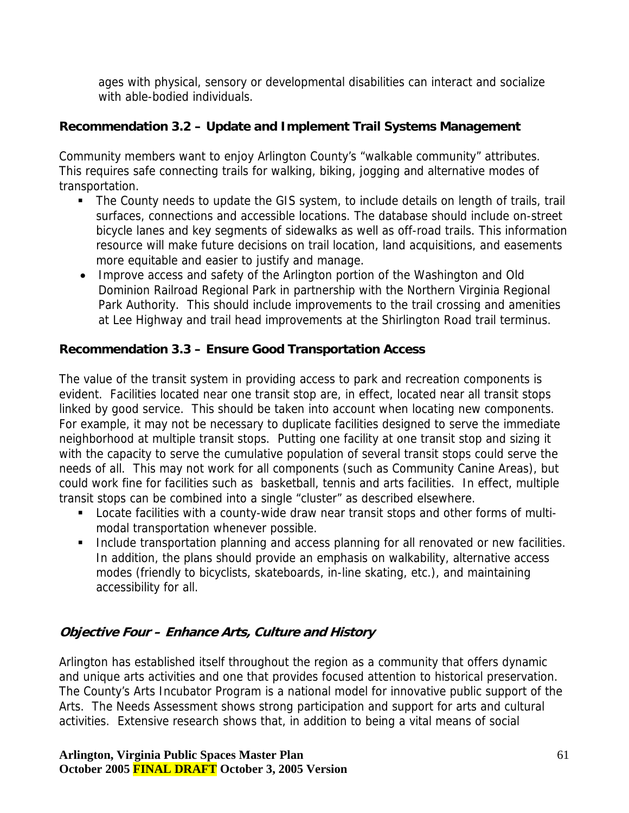ages with physical, sensory or developmental disabilities can interact and socialize with able-bodied individuals.

## **Recommendation 3.2 – Update and Implement Trail Systems Management**

Community members want to enjoy Arlington County's "walkable community" attributes. This requires safe connecting trails for walking, biking, jogging and alternative modes of transportation.

- The County needs to update the GIS system, to include details on length of trails, trail surfaces, connections and accessible locations. The database should include on-street bicycle lanes and key segments of sidewalks as well as off-road trails. This information resource will make future decisions on trail location, land acquisitions, and easements more equitable and easier to justify and manage.
- Improve access and safety of the Arlington portion of the Washington and Old Dominion Railroad Regional Park in partnership with the Northern Virginia Regional Park Authority. This should include improvements to the trail crossing and amenities at Lee Highway and trail head improvements at the Shirlington Road trail terminus.

## **Recommendation 3.3 – Ensure Good Transportation Access**

The value of the transit system in providing access to park and recreation components is evident. Facilities located near one transit stop are, in effect, located near all transit stops linked by good service. This should be taken into account when locating new components. For example, it may not be necessary to duplicate facilities designed to serve the immediate neighborhood at multiple transit stops. Putting one facility at one transit stop and sizing it with the capacity to serve the cumulative population of several transit stops could serve the needs of all. This may not work for all components (such as Community Canine Areas), but could work fine for facilities such as basketball, tennis and arts facilities. In effect, multiple transit stops can be combined into a single "cluster" as described elsewhere.

- **Locate facilities with a county-wide draw near transit stops and other forms of multi**modal transportation whenever possible.
- **Include transportation planning and access planning for all renovated or new facilities.** In addition, the plans should provide an emphasis on walkability, alternative access modes (friendly to bicyclists, skateboards, in-line skating, etc.), and maintaining accessibility for all.

## **Objective Four – Enhance Arts, Culture and History**

Arlington has established itself throughout the region as a community that offers dynamic and unique arts activities and one that provides focused attention to historical preservation. The County's Arts Incubator Program is a national model for innovative public support of the Arts. The Needs Assessment shows strong participation and support for arts and cultural activities. Extensive research shows that, in addition to being a vital means of social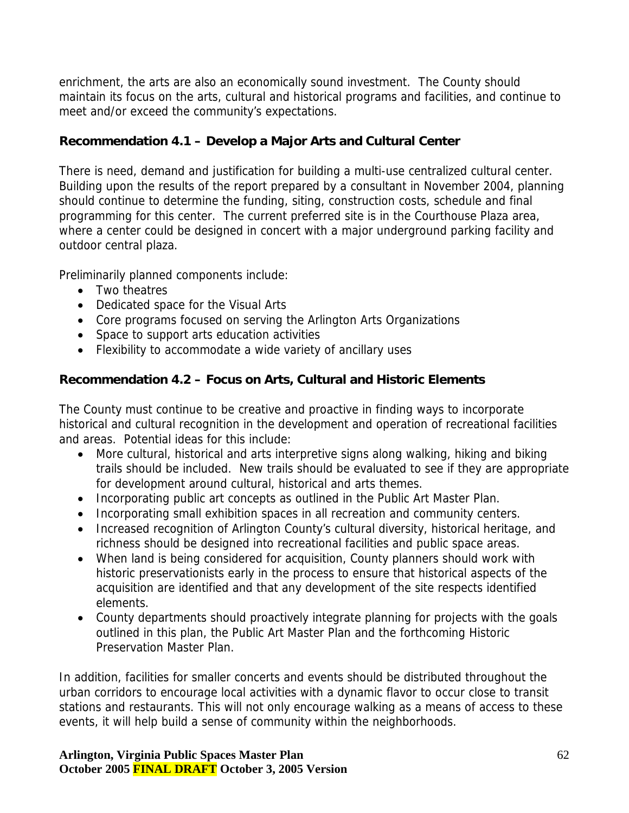enrichment, the arts are also an economically sound investment. The County should maintain its focus on the arts, cultural and historical programs and facilities, and continue to meet and/or exceed the community's expectations.

## **Recommendation 4.1 – Develop a Major Arts and Cultural Center**

There is need, demand and justification for building a multi-use centralized cultural center. Building upon the results of the report prepared by a consultant in November 2004, planning should continue to determine the funding, siting, construction costs, schedule and final programming for this center. The current preferred site is in the Courthouse Plaza area, where a center could be designed in concert with a major underground parking facility and outdoor central plaza.

Preliminarily planned components include:

- Two theatres
- Dedicated space for the Visual Arts
- Core programs focused on serving the Arlington Arts Organizations
- Space to support arts education activities
- Flexibility to accommodate a wide variety of ancillary uses

## **Recommendation 4.2 – Focus on Arts, Cultural and Historic Elements**

The County must continue to be creative and proactive in finding ways to incorporate historical and cultural recognition in the development and operation of recreational facilities and areas. Potential ideas for this include:

- More cultural, historical and arts interpretive signs along walking, hiking and biking trails should be included. New trails should be evaluated to see if they are appropriate for development around cultural, historical and arts themes.
- Incorporating public art concepts as outlined in the Public Art Master Plan.
- Incorporating small exhibition spaces in all recreation and community centers.
- Increased recognition of Arlington County's cultural diversity, historical heritage, and richness should be designed into recreational facilities and public space areas.
- When land is being considered for acquisition, County planners should work with historic preservationists early in the process to ensure that historical aspects of the acquisition are identified and that any development of the site respects identified elements.
- County departments should proactively integrate planning for projects with the goals outlined in this plan, the Public Art Master Plan and the forthcoming Historic Preservation Master Plan.

In addition, facilities for smaller concerts and events should be distributed throughout the urban corridors to encourage local activities with a dynamic flavor to occur close to transit stations and restaurants. This will not only encourage walking as a means of access to these events, it will help build a sense of community within the neighborhoods.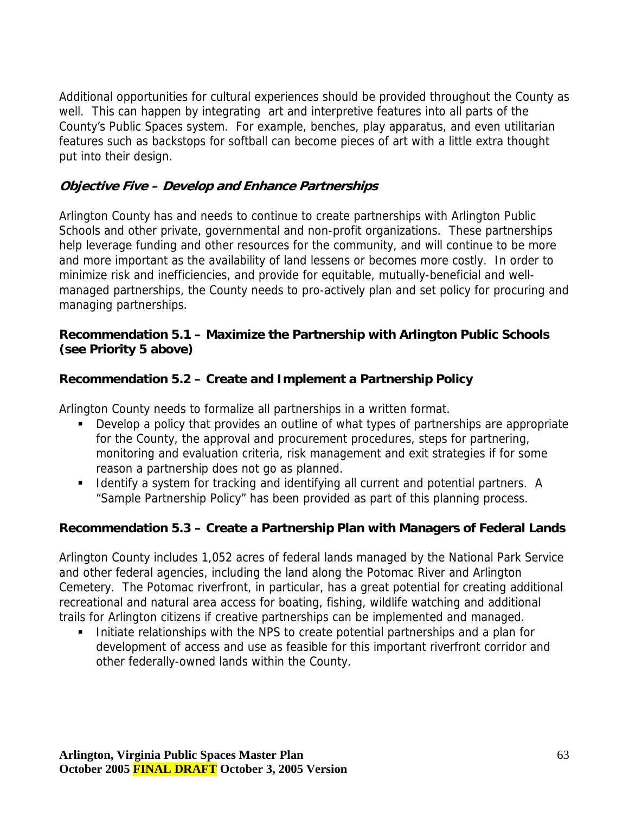Additional opportunities for cultural experiences should be provided throughout the County as well. This can happen by integrating art and interpretive features into all parts of the County's Public Spaces system. For example, benches, play apparatus, and even utilitarian features such as backstops for softball can become pieces of art with a little extra thought put into their design.

## **Objective Five – Develop and Enhance Partnerships**

Arlington County has and needs to continue to create partnerships with Arlington Public Schools and other private, governmental and non-profit organizations. These partnerships help leverage funding and other resources for the community, and will continue to be more and more important as the availability of land lessens or becomes more costly. In order to minimize risk and inefficiencies, and provide for equitable, mutually-beneficial and wellmanaged partnerships, the County needs to pro-actively plan and set policy for procuring and managing partnerships.

#### **Recommendation 5.1 – Maximize the Partnership with Arlington Public Schools (see Priority 5 above)**

### **Recommendation 5.2 – Create and Implement a Partnership Policy**

Arlington County needs to formalize all partnerships in a written format.

- Develop a policy that provides an outline of what types of partnerships are appropriate for the County, the approval and procurement procedures, steps for partnering, monitoring and evaluation criteria, risk management and exit strategies if for some reason a partnership does not go as planned.
- **IDENTIFY** a system for tracking and identifying all current and potential partners. A "Sample Partnership Policy" has been provided as part of this planning process.

## **Recommendation 5.3 – Create a Partnership Plan with Managers of Federal Lands**

Arlington County includes 1,052 acres of federal lands managed by the National Park Service and other federal agencies, including the land along the Potomac River and Arlington Cemetery. The Potomac riverfront, in particular, has a great potential for creating additional recreational and natural area access for boating, fishing, wildlife watching and additional trails for Arlington citizens if creative partnerships can be implemented and managed.

Initiate relationships with the NPS to create potential partnerships and a plan for development of access and use as feasible for this important riverfront corridor and other federally-owned lands within the County.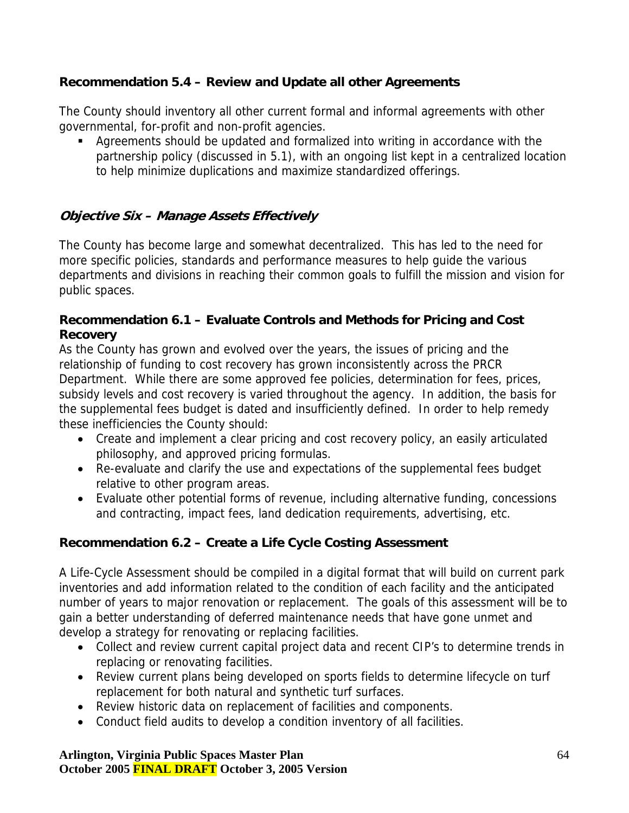## **Recommendation 5.4 – Review and Update all other Agreements**

The County should inventory all other current formal and informal agreements with other governmental, for-profit and non-profit agencies.

 Agreements should be updated and formalized into writing in accordance with the partnership policy (discussed in 5.1), with an ongoing list kept in a centralized location to help minimize duplications and maximize standardized offerings.

## **Objective Six – Manage Assets Effectively**

The County has become large and somewhat decentralized. This has led to the need for more specific policies, standards and performance measures to help guide the various departments and divisions in reaching their common goals to fulfill the mission and vision for public spaces.

#### **Recommendation 6.1 – Evaluate Controls and Methods for Pricing and Cost Recovery**

As the County has grown and evolved over the years, the issues of pricing and the relationship of funding to cost recovery has grown inconsistently across the PRCR Department. While there are some approved fee policies, determination for fees, prices, subsidy levels and cost recovery is varied throughout the agency. In addition, the basis for the supplemental fees budget is dated and insufficiently defined. In order to help remedy these inefficiencies the County should:

- Create and implement a clear pricing and cost recovery policy, an easily articulated philosophy, and approved pricing formulas.
- Re-evaluate and clarify the use and expectations of the supplemental fees budget relative to other program areas.
- Evaluate other potential forms of revenue, including alternative funding, concessions and contracting, impact fees, land dedication requirements, advertising, etc.

## **Recommendation 6.2 – Create a Life Cycle Costing Assessment**

A Life-Cycle Assessment should be compiled in a digital format that will build on current park inventories and add information related to the condition of each facility and the anticipated number of years to major renovation or replacement. The goals of this assessment will be to gain a better understanding of deferred maintenance needs that have gone unmet and develop a strategy for renovating or replacing facilities.

- Collect and review current capital project data and recent CIP's to determine trends in replacing or renovating facilities.
- Review current plans being developed on sports fields to determine lifecycle on turf replacement for both natural and synthetic turf surfaces.
- Review historic data on replacement of facilities and components.
- Conduct field audits to develop a condition inventory of all facilities.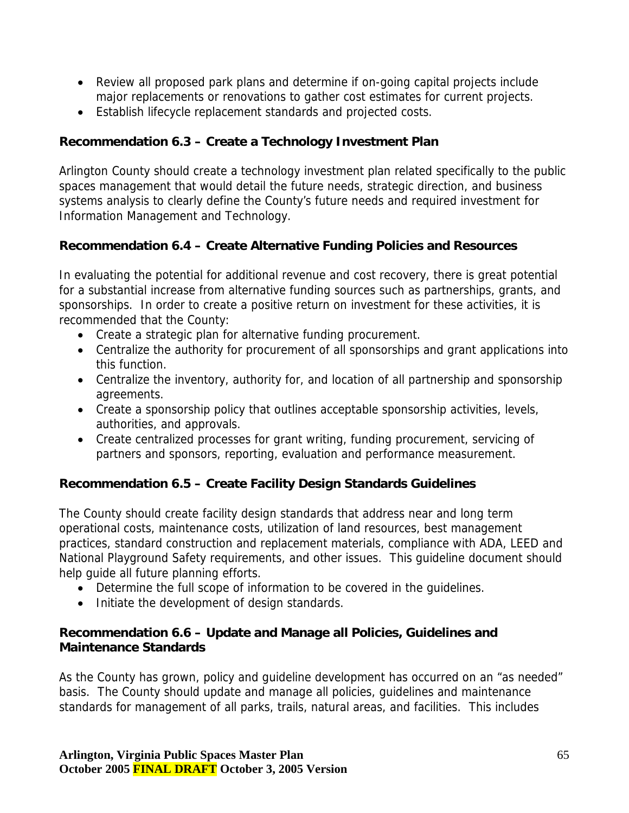- Review all proposed park plans and determine if on-going capital projects include major replacements or renovations to gather cost estimates for current projects.
- Establish lifecycle replacement standards and projected costs.

## **Recommendation 6.3 – Create a Technology Investment Plan**

Arlington County should create a technology investment plan related specifically to the public spaces management that would detail the future needs, strategic direction, and business systems analysis to clearly define the County's future needs and required investment for Information Management and Technology.

### **Recommendation 6.4 – Create Alternative Funding Policies and Resources**

In evaluating the potential for additional revenue and cost recovery, there is great potential for a substantial increase from alternative funding sources such as partnerships, grants, and sponsorships. In order to create a positive return on investment for these activities, it is recommended that the County:

- Create a strategic plan for alternative funding procurement.
- Centralize the authority for procurement of all sponsorships and grant applications into this function.
- Centralize the inventory, authority for, and location of all partnership and sponsorship agreements.
- Create a sponsorship policy that outlines acceptable sponsorship activities, levels, authorities, and approvals.
- Create centralized processes for grant writing, funding procurement, servicing of partners and sponsors, reporting, evaluation and performance measurement.

## **Recommendation 6.5 – Create Facility Design Standards Guidelines**

The County should create facility design standards that address near and long term operational costs, maintenance costs, utilization of land resources, best management practices, standard construction and replacement materials, compliance with ADA, LEED and National Playground Safety requirements, and other issues. This guideline document should help guide all future planning efforts.

- Determine the full scope of information to be covered in the guidelines.
- Initiate the development of design standards.

### **Recommendation 6.6 – Update and Manage all Policies, Guidelines and Maintenance Standards**

As the County has grown, policy and guideline development has occurred on an "as needed" basis. The County should update and manage all policies, guidelines and maintenance standards for management of all parks, trails, natural areas, and facilities. This includes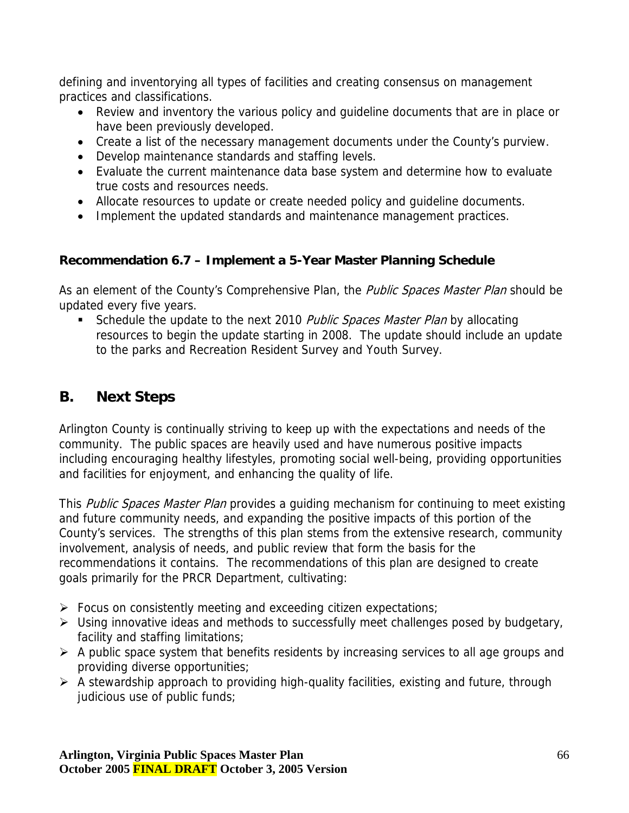<span id="page-65-0"></span>defining and inventorying all types of facilities and creating consensus on management practices and classifications.

- Review and inventory the various policy and guideline documents that are in place or have been previously developed.
- Create a list of the necessary management documents under the County's purview.
- Develop maintenance standards and staffing levels.
- Evaluate the current maintenance data base system and determine how to evaluate true costs and resources needs.
- Allocate resources to update or create needed policy and guideline documents.
- Implement the updated standards and maintenance management practices.

## **Recommendation 6.7 – Implement a 5-Year Master Planning Schedule**

As an element of the County's Comprehensive Plan, the *Public Spaces Master Plan* should be updated every five years.

Schedule the update to the next 2010 Public Spaces Master Plan by allocating resources to begin the update starting in 2008. The update should include an update to the parks and Recreation Resident Survey and Youth Survey.

# **B. Next Steps**

Arlington County is continually striving to keep up with the expectations and needs of the community. The public spaces are heavily used and have numerous positive impacts including encouraging healthy lifestyles, promoting social well-being, providing opportunities and facilities for enjoyment, and enhancing the quality of life.

This Public Spaces Master Plan provides a quiding mechanism for continuing to meet existing and future community needs, and expanding the positive impacts of this portion of the County's services. The strengths of this plan stems from the extensive research, community involvement, analysis of needs, and public review that form the basis for the recommendations it contains. The recommendations of this plan are designed to create goals primarily for the PRCR Department, cultivating:

- $\triangleright$  Focus on consistently meeting and exceeding citizen expectations;
- $\triangleright$  Using innovative ideas and methods to successfully meet challenges posed by budgetary, facility and staffing limitations;
- $\triangleright$  A public space system that benefits residents by increasing services to all age groups and providing diverse opportunities;
- $\triangleright$  A stewardship approach to providing high-quality facilities, existing and future, through judicious use of public funds;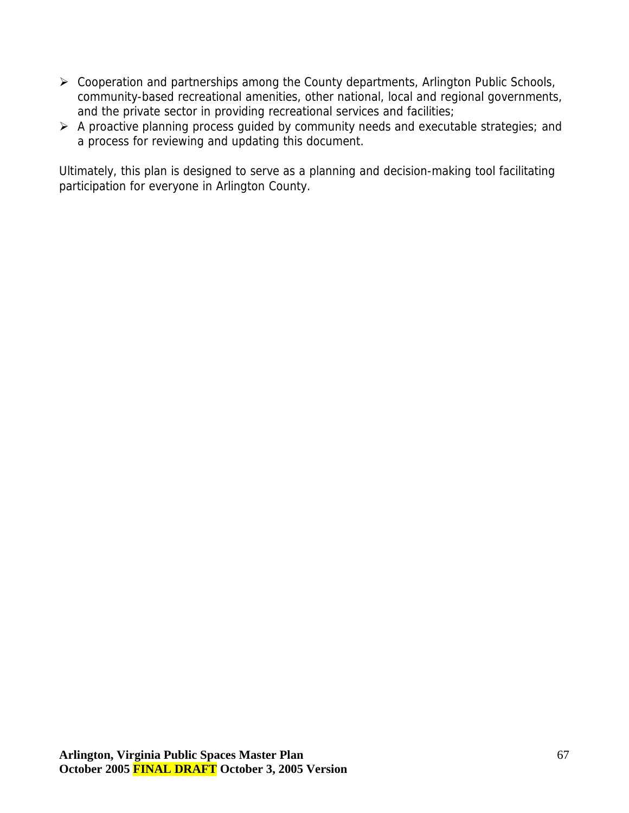- ¾ Cooperation and partnerships among the County departments, Arlington Public Schools, community-based recreational amenities, other national, local and regional governments, and the private sector in providing recreational services and facilities;
- $\triangleright$  A proactive planning process guided by community needs and executable strategies; and a process for reviewing and updating this document.

Ultimately, this plan is designed to serve as a planning and decision-making tool facilitating participation for everyone in Arlington County.